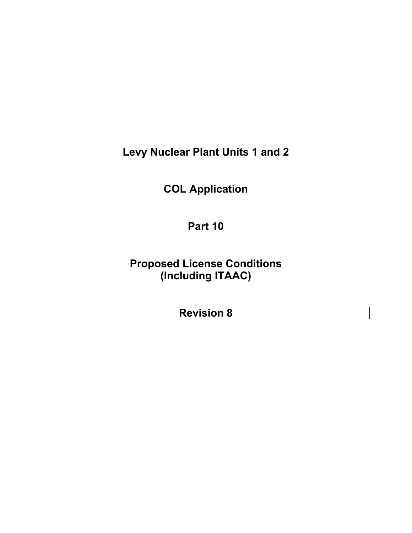**Levy Nuclear Plant Units 1 and 2** 

**COL Application** 

**Part 10** 

**Proposed License Conditions (Including ITAAC)** 

**Revision 8**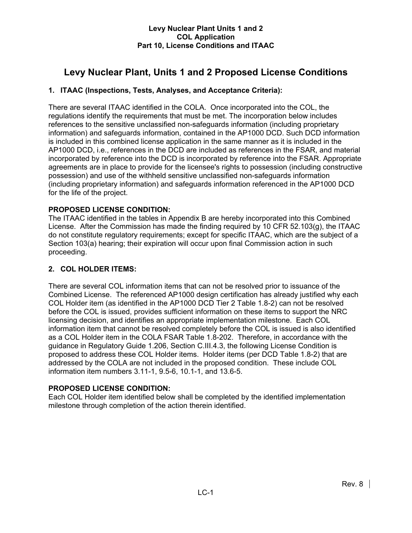# **Levy Nuclear Plant, Units 1 and 2 Proposed License Conditions**

# **1. ITAAC (Inspections, Tests, Analyses, and Acceptance Criteria):**

There are several ITAAC identified in the COLA. Once incorporated into the COL, the regulations identify the requirements that must be met. The incorporation below includes references to the sensitive unclassified non-safeguards information (including proprietary information) and safeguards information, contained in the AP1000 DCD. Such DCD information is included in this combined license application in the same manner as it is included in the AP1000 DCD, i.e., references in the DCD are included as references in the FSAR, and material incorporated by reference into the DCD is incorporated by reference into the FSAR. Appropriate agreements are in place to provide for the licensee's rights to possession (including constructive possession) and use of the withheld sensitive unclassified non-safeguards information (including proprietary information) and safeguards information referenced in the AP1000 DCD for the life of the project.

# **PROPOSED LICENSE CONDITION:**

The ITAAC identified in the tables in Appendix B are hereby incorporated into this Combined License. After the Commission has made the finding required by 10 CFR 52.103(g), the ITAAC do not constitute regulatory requirements; except for specific ITAAC, which are the subject of a Section 103(a) hearing; their expiration will occur upon final Commission action in such proceeding.

# **2. COL HOLDER ITEMS:**

There are several COL information items that can not be resolved prior to issuance of the Combined License. The referenced AP1000 design certification has already justified why each COL Holder item (as identified in the AP1000 DCD Tier 2 Table 1.8-2) can not be resolved before the COL is issued, provides sufficient information on these items to support the NRC licensing decision, and identifies an appropriate implementation milestone. Each COL information item that cannot be resolved completely before the COL is issued is also identified as a COL Holder item in the COLA FSAR Table 1.8-202. Therefore, in accordance with the guidance in Regulatory Guide 1.206, Section C.III.4.3, the following License Condition is proposed to address these COL Holder items. Holder items (per DCD Table 1.8-2) that are addressed by the COLA are not included in the proposed condition. These include COL information item numbers 3.11-1, 9.5-6, 10.1-1, and 13.6-5.

# **PROPOSED LICENSE CONDITION:**

Each COL Holder item identified below shall be completed by the identified implementation milestone through completion of the action therein identified.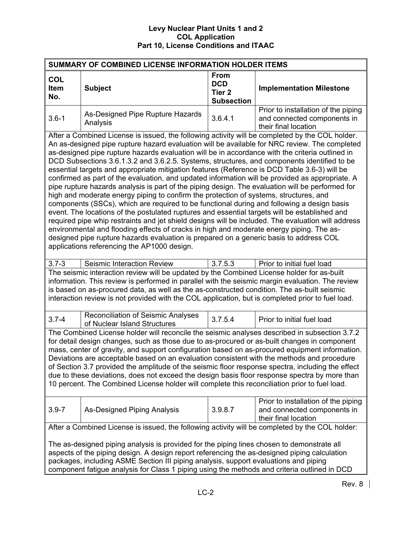| SUMMARY OF COMBINED LICENSE INFORMATION HOLDER ITEMS                                                                                                                                                                                                                                                                                                                                                                                                                                                                                                                                                                                                                                                                                                                                                                                                                                                                                                                                                                                                                                                                                                                                                                                                                                                                                         |                                                                                                                                                                                                                                                                                                                                                                                                                                                                                                                                                                                                                                                                                                      |                                                                     |                                                                                            |  |  |  |  |  |
|----------------------------------------------------------------------------------------------------------------------------------------------------------------------------------------------------------------------------------------------------------------------------------------------------------------------------------------------------------------------------------------------------------------------------------------------------------------------------------------------------------------------------------------------------------------------------------------------------------------------------------------------------------------------------------------------------------------------------------------------------------------------------------------------------------------------------------------------------------------------------------------------------------------------------------------------------------------------------------------------------------------------------------------------------------------------------------------------------------------------------------------------------------------------------------------------------------------------------------------------------------------------------------------------------------------------------------------------|------------------------------------------------------------------------------------------------------------------------------------------------------------------------------------------------------------------------------------------------------------------------------------------------------------------------------------------------------------------------------------------------------------------------------------------------------------------------------------------------------------------------------------------------------------------------------------------------------------------------------------------------------------------------------------------------------|---------------------------------------------------------------------|--------------------------------------------------------------------------------------------|--|--|--|--|--|
| <b>COL</b><br><b>Item</b><br>No.                                                                                                                                                                                                                                                                                                                                                                                                                                                                                                                                                                                                                                                                                                                                                                                                                                                                                                                                                                                                                                                                                                                                                                                                                                                                                                             | <b>Subject</b>                                                                                                                                                                                                                                                                                                                                                                                                                                                                                                                                                                                                                                                                                       | <b>From</b><br><b>DCD</b><br>Tier <sub>2</sub><br><b>Subsection</b> | <b>Implementation Milestone</b>                                                            |  |  |  |  |  |
| $3.6 - 1$                                                                                                                                                                                                                                                                                                                                                                                                                                                                                                                                                                                                                                                                                                                                                                                                                                                                                                                                                                                                                                                                                                                                                                                                                                                                                                                                    | As-Designed Pipe Rupture Hazards<br>Analysis                                                                                                                                                                                                                                                                                                                                                                                                                                                                                                                                                                                                                                                         | 3.6.4.1                                                             | Prior to installation of the piping<br>and connected components in<br>their final location |  |  |  |  |  |
| After a Combined License is issued, the following activity will be completed by the COL holder.<br>An as-designed pipe rupture hazard evaluation will be available for NRC review. The completed<br>as-designed pipe rupture hazards evaluation will be in accordance with the criteria outlined in<br>DCD Subsections 3.6.1.3.2 and 3.6.2.5. Systems, structures, and components identified to be<br>essential targets and appropriate mitigation features (Reference is DCD Table 3.6-3) will be<br>confirmed as part of the evaluation, and updated information will be provided as appropriate. A<br>pipe rupture hazards analysis is part of the piping design. The evaluation will be performed for<br>high and moderate energy piping to confirm the protection of systems, structures, and<br>components (SSCs), which are required to be functional during and following a design basis<br>event. The locations of the postulated ruptures and essential targets will be established and<br>required pipe whip restraints and jet shield designs will be included. The evaluation will address<br>environmental and flooding effects of cracks in high and moderate energy piping. The as-<br>designed pipe rupture hazards evaluation is prepared on a generic basis to address COL<br>applications referencing the AP1000 design. |                                                                                                                                                                                                                                                                                                                                                                                                                                                                                                                                                                                                                                                                                                      |                                                                     |                                                                                            |  |  |  |  |  |
| $3.7 - 3$                                                                                                                                                                                                                                                                                                                                                                                                                                                                                                                                                                                                                                                                                                                                                                                                                                                                                                                                                                                                                                                                                                                                                                                                                                                                                                                                    | Seismic Interaction Review                                                                                                                                                                                                                                                                                                                                                                                                                                                                                                                                                                                                                                                                           | 3.7.5.3                                                             | Prior to initial fuel load                                                                 |  |  |  |  |  |
|                                                                                                                                                                                                                                                                                                                                                                                                                                                                                                                                                                                                                                                                                                                                                                                                                                                                                                                                                                                                                                                                                                                                                                                                                                                                                                                                              | The seismic interaction review will be updated by the Combined License holder for as-built<br>information. This review is performed in parallel with the seismic margin evaluation. The review<br>is based on as-procured data, as well as the as-constructed condition. The as-built seismic<br>interaction review is not provided with the COL application, but is completed prior to fuel load.                                                                                                                                                                                                                                                                                                   |                                                                     |                                                                                            |  |  |  |  |  |
| $3.7 - 4$                                                                                                                                                                                                                                                                                                                                                                                                                                                                                                                                                                                                                                                                                                                                                                                                                                                                                                                                                                                                                                                                                                                                                                                                                                                                                                                                    | <b>Reconciliation of Seismic Analyses</b><br>of Nuclear Island Structures                                                                                                                                                                                                                                                                                                                                                                                                                                                                                                                                                                                                                            | 3.7.5.4                                                             | Prior to initial fuel load                                                                 |  |  |  |  |  |
|                                                                                                                                                                                                                                                                                                                                                                                                                                                                                                                                                                                                                                                                                                                                                                                                                                                                                                                                                                                                                                                                                                                                                                                                                                                                                                                                              | The Combined License holder will reconcile the seismic analyses described in subsection 3.7.2<br>for detail design changes, such as those due to as-procured or as-built changes in component<br>mass, center of gravity, and support configuration based on as-procured equipment information.<br>Deviations are acceptable based on an evaluation consistent with the methods and procedure<br>of Section 3.7 provided the amplitude of the seismic floor response spectra, including the effect<br>due to these deviations, does not exceed the design basis floor response spectra by more than<br>10 percent. The Combined License holder will complete this reconciliation prior to fuel load. |                                                                     |                                                                                            |  |  |  |  |  |
| $3.9 - 7$                                                                                                                                                                                                                                                                                                                                                                                                                                                                                                                                                                                                                                                                                                                                                                                                                                                                                                                                                                                                                                                                                                                                                                                                                                                                                                                                    | Prior to installation of the piping<br>As-Designed Piping Analysis<br>3.9.8.7<br>and connected components in<br>their final location                                                                                                                                                                                                                                                                                                                                                                                                                                                                                                                                                                 |                                                                     |                                                                                            |  |  |  |  |  |
|                                                                                                                                                                                                                                                                                                                                                                                                                                                                                                                                                                                                                                                                                                                                                                                                                                                                                                                                                                                                                                                                                                                                                                                                                                                                                                                                              | After a Combined License is issued, the following activity will be completed by the COL holder:                                                                                                                                                                                                                                                                                                                                                                                                                                                                                                                                                                                                      |                                                                     |                                                                                            |  |  |  |  |  |
|                                                                                                                                                                                                                                                                                                                                                                                                                                                                                                                                                                                                                                                                                                                                                                                                                                                                                                                                                                                                                                                                                                                                                                                                                                                                                                                                              | The as-designed piping analysis is provided for the piping lines chosen to demonstrate all<br>aspects of the piping design. A design report referencing the as-designed piping calculation<br>packages, including ASME Section III piping analysis, support evaluations and piping<br>component fatigue analysis for Class 1 piping using the methods and criteria outlined in DCD                                                                                                                                                                                                                                                                                                                   |                                                                     |                                                                                            |  |  |  |  |  |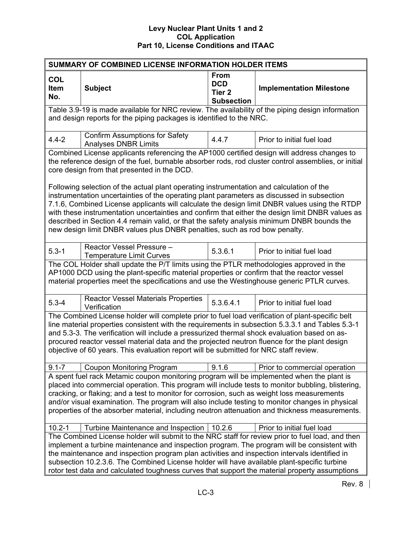| SUMMARY OF COMBINED LICENSE INFORMATION HOLDER ITEMS                                                                                                                                                                                                                                                                                                                                                                                                                                                |                                                                                                                                                                                                                                                                                                                                                                                                                                                                                                   |                                                                     |                                 |  |  |  |  |  |  |
|-----------------------------------------------------------------------------------------------------------------------------------------------------------------------------------------------------------------------------------------------------------------------------------------------------------------------------------------------------------------------------------------------------------------------------------------------------------------------------------------------------|---------------------------------------------------------------------------------------------------------------------------------------------------------------------------------------------------------------------------------------------------------------------------------------------------------------------------------------------------------------------------------------------------------------------------------------------------------------------------------------------------|---------------------------------------------------------------------|---------------------------------|--|--|--|--|--|--|
| <b>COL</b><br><b>Item</b><br>No.                                                                                                                                                                                                                                                                                                                                                                                                                                                                    | <b>Subject</b>                                                                                                                                                                                                                                                                                                                                                                                                                                                                                    | <b>From</b><br><b>DCD</b><br>Tier <sub>2</sub><br><b>Subsection</b> | <b>Implementation Milestone</b> |  |  |  |  |  |  |
|                                                                                                                                                                                                                                                                                                                                                                                                                                                                                                     | Table 3.9-19 is made available for NRC review. The availability of the piping design information<br>and design reports for the piping packages is identified to the NRC.                                                                                                                                                                                                                                                                                                                          |                                                                     |                                 |  |  |  |  |  |  |
| $4.4 - 2$                                                                                                                                                                                                                                                                                                                                                                                                                                                                                           | <b>Confirm Assumptions for Safety</b><br><b>Analyses DNBR Limits</b>                                                                                                                                                                                                                                                                                                                                                                                                                              | 4.4.7                                                               | Prior to initial fuel load      |  |  |  |  |  |  |
|                                                                                                                                                                                                                                                                                                                                                                                                                                                                                                     | Combined License applicants referencing the AP1000 certified design will address changes to<br>the reference design of the fuel, burnable absorber rods, rod cluster control assemblies, or initial<br>core design from that presented in the DCD.<br>Following selection of the actual plant operating instrumentation and calculation of the                                                                                                                                                    |                                                                     |                                 |  |  |  |  |  |  |
|                                                                                                                                                                                                                                                                                                                                                                                                                                                                                                     | instrumentation uncertainties of the operating plant parameters as discussed in subsection<br>7.1.6, Combined License applicants will calculate the design limit DNBR values using the RTDP<br>with these instrumentation uncertainties and confirm that either the design limit DNBR values as<br>described in Section 4.4 remain valid, or that the safety analysis minimum DNBR bounds the<br>new design limit DNBR values plus DNBR penalties, such as rod bow penalty.                       |                                                                     |                                 |  |  |  |  |  |  |
| $5.3 - 1$                                                                                                                                                                                                                                                                                                                                                                                                                                                                                           | Reactor Vessel Pressure -<br><b>Temperature Limit Curves</b>                                                                                                                                                                                                                                                                                                                                                                                                                                      | 5.3.6.1                                                             | Prior to initial fuel load      |  |  |  |  |  |  |
|                                                                                                                                                                                                                                                                                                                                                                                                                                                                                                     | The COL Holder shall update the P/T limits using the PTLR methodologies approved in the<br>AP1000 DCD using the plant-specific material properties or confirm that the reactor vessel<br>material properties meet the specifications and use the Westinghouse generic PTLR curves.                                                                                                                                                                                                                |                                                                     |                                 |  |  |  |  |  |  |
| $5.3 - 4$                                                                                                                                                                                                                                                                                                                                                                                                                                                                                           | <b>Reactor Vessel Materials Properties</b><br>Verification                                                                                                                                                                                                                                                                                                                                                                                                                                        | 5.3.6.4.1                                                           | Prior to initial fuel load      |  |  |  |  |  |  |
|                                                                                                                                                                                                                                                                                                                                                                                                                                                                                                     | The Combined License holder will complete prior to fuel load verification of plant-specific belt<br>line material properties consistent with the requirements in subsection 5.3.3.1 and Tables 5.3-1<br>and 5.3-3. The verification will include a pressurized thermal shock evaluation based on as-<br>procured reactor vessel material data and the projected neutron fluence for the plant design<br>objective of 60 years. This evaluation report will be submitted for NRC staff review.     |                                                                     |                                 |  |  |  |  |  |  |
| $9.1 - 7$                                                                                                                                                                                                                                                                                                                                                                                                                                                                                           | <b>Coupon Monitoring Program</b>                                                                                                                                                                                                                                                                                                                                                                                                                                                                  | 9.1.6                                                               | Prior to commercial operation   |  |  |  |  |  |  |
| A spent fuel rack Metamic coupon monitoring program will be implemented when the plant is<br>placed into commercial operation. This program will include tests to monitor bubbling, blistering,<br>cracking, or flaking; and a test to monitor for corrosion, such as weight loss measurements<br>and/or visual examination. The program will also include testing to monitor changes in physical<br>properties of the absorber material, including neutron attenuation and thickness measurements. |                                                                                                                                                                                                                                                                                                                                                                                                                                                                                                   |                                                                     |                                 |  |  |  |  |  |  |
| $10.2 - 1$                                                                                                                                                                                                                                                                                                                                                                                                                                                                                          | Turbine Maintenance and Inspection                                                                                                                                                                                                                                                                                                                                                                                                                                                                | 10.2.6                                                              | Prior to initial fuel load      |  |  |  |  |  |  |
|                                                                                                                                                                                                                                                                                                                                                                                                                                                                                                     | The Combined License holder will submit to the NRC staff for review prior to fuel load, and then<br>implement a turbine maintenance and inspection program. The program will be consistent with<br>the maintenance and inspection program plan activities and inspection intervals identified in<br>subsection 10.2.3.6. The Combined License holder will have available plant-specific turbine<br>rotor test data and calculated toughness curves that support the material property assumptions |                                                                     |                                 |  |  |  |  |  |  |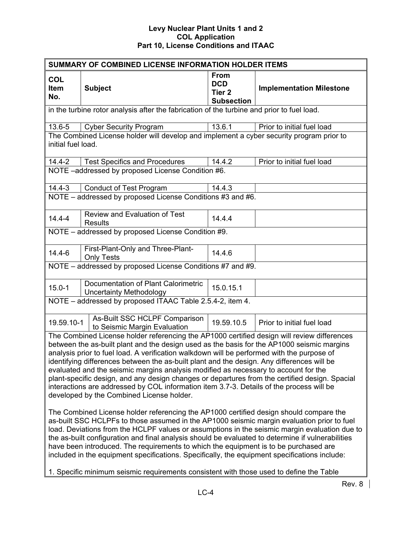| SUMMARY OF COMBINED LICENSE INFORMATION HOLDER ITEMS |                                                                                                                                                                                                                                                                                                                                                                                                                                                                                                                                                                                                                                                                                                                                                                                                                                                                                                                                                                                                                                                                                                                                                                                                               |                                                                     |                                 |  |  |  |  |  |
|------------------------------------------------------|---------------------------------------------------------------------------------------------------------------------------------------------------------------------------------------------------------------------------------------------------------------------------------------------------------------------------------------------------------------------------------------------------------------------------------------------------------------------------------------------------------------------------------------------------------------------------------------------------------------------------------------------------------------------------------------------------------------------------------------------------------------------------------------------------------------------------------------------------------------------------------------------------------------------------------------------------------------------------------------------------------------------------------------------------------------------------------------------------------------------------------------------------------------------------------------------------------------|---------------------------------------------------------------------|---------------------------------|--|--|--|--|--|
| <b>COL</b><br>Item<br>No.                            | <b>Subject</b>                                                                                                                                                                                                                                                                                                                                                                                                                                                                                                                                                                                                                                                                                                                                                                                                                                                                                                                                                                                                                                                                                                                                                                                                | <b>From</b><br><b>DCD</b><br>Tier <sub>2</sub><br><b>Subsection</b> | <b>Implementation Milestone</b> |  |  |  |  |  |
|                                                      | in the turbine rotor analysis after the fabrication of the turbine and prior to fuel load.                                                                                                                                                                                                                                                                                                                                                                                                                                                                                                                                                                                                                                                                                                                                                                                                                                                                                                                                                                                                                                                                                                                    |                                                                     |                                 |  |  |  |  |  |
| 13.6-5                                               | <b>Cyber Security Program</b>                                                                                                                                                                                                                                                                                                                                                                                                                                                                                                                                                                                                                                                                                                                                                                                                                                                                                                                                                                                                                                                                                                                                                                                 | 13.6.1                                                              | Prior to initial fuel load      |  |  |  |  |  |
| initial fuel load.                                   | The Combined License holder will develop and implement a cyber security program prior to                                                                                                                                                                                                                                                                                                                                                                                                                                                                                                                                                                                                                                                                                                                                                                                                                                                                                                                                                                                                                                                                                                                      |                                                                     |                                 |  |  |  |  |  |
| $14.4 - 2$                                           | <b>Test Specifics and Procedures</b>                                                                                                                                                                                                                                                                                                                                                                                                                                                                                                                                                                                                                                                                                                                                                                                                                                                                                                                                                                                                                                                                                                                                                                          | 14.4.2                                                              | Prior to initial fuel load      |  |  |  |  |  |
|                                                      | NOTE -addressed by proposed License Condition #6.                                                                                                                                                                                                                                                                                                                                                                                                                                                                                                                                                                                                                                                                                                                                                                                                                                                                                                                                                                                                                                                                                                                                                             |                                                                     |                                 |  |  |  |  |  |
| $14.4 - 3$                                           | <b>Conduct of Test Program</b>                                                                                                                                                                                                                                                                                                                                                                                                                                                                                                                                                                                                                                                                                                                                                                                                                                                                                                                                                                                                                                                                                                                                                                                | 14.4.3                                                              |                                 |  |  |  |  |  |
|                                                      | NOTE - addressed by proposed License Conditions #3 and #6.                                                                                                                                                                                                                                                                                                                                                                                                                                                                                                                                                                                                                                                                                                                                                                                                                                                                                                                                                                                                                                                                                                                                                    |                                                                     |                                 |  |  |  |  |  |
| $14.4 - 4$                                           | <b>Review and Evaluation of Test</b><br><b>Results</b>                                                                                                                                                                                                                                                                                                                                                                                                                                                                                                                                                                                                                                                                                                                                                                                                                                                                                                                                                                                                                                                                                                                                                        | 14.4.4                                                              |                                 |  |  |  |  |  |
|                                                      | NOTE - addressed by proposed License Condition #9.                                                                                                                                                                                                                                                                                                                                                                                                                                                                                                                                                                                                                                                                                                                                                                                                                                                                                                                                                                                                                                                                                                                                                            |                                                                     |                                 |  |  |  |  |  |
| $14.4 - 6$                                           | First-Plant-Only and Three-Plant-<br><b>Only Tests</b>                                                                                                                                                                                                                                                                                                                                                                                                                                                                                                                                                                                                                                                                                                                                                                                                                                                                                                                                                                                                                                                                                                                                                        | 14.4.6                                                              |                                 |  |  |  |  |  |
|                                                      | NOTE - addressed by proposed License Conditions #7 and #9.                                                                                                                                                                                                                                                                                                                                                                                                                                                                                                                                                                                                                                                                                                                                                                                                                                                                                                                                                                                                                                                                                                                                                    |                                                                     |                                 |  |  |  |  |  |
| $15.0 - 1$                                           | Documentation of Plant Calorimetric<br><b>Uncertainty Methodology</b>                                                                                                                                                                                                                                                                                                                                                                                                                                                                                                                                                                                                                                                                                                                                                                                                                                                                                                                                                                                                                                                                                                                                         | 15.0.15.1                                                           |                                 |  |  |  |  |  |
|                                                      | NOTE - addressed by proposed ITAAC Table 2.5.4-2, item 4.                                                                                                                                                                                                                                                                                                                                                                                                                                                                                                                                                                                                                                                                                                                                                                                                                                                                                                                                                                                                                                                                                                                                                     |                                                                     |                                 |  |  |  |  |  |
| 19.59.10-1                                           | As-Built SSC HCLPF Comparison<br>to Seismic Margin Evaluation                                                                                                                                                                                                                                                                                                                                                                                                                                                                                                                                                                                                                                                                                                                                                                                                                                                                                                                                                                                                                                                                                                                                                 | 19.59.10.5                                                          | Prior to initial fuel load      |  |  |  |  |  |
|                                                      | The Combined License holder referencing the AP1000 certified design will review differences<br>between the as-built plant and the design used as the basis for the AP1000 seismic margins<br>analysis prior to fuel load. A verification walkdown will be performed with the purpose of<br>identifying differences between the as-built plant and the design. Any differences will be<br>evaluated and the seismic margins analysis modified as necessary to account for the<br>plant-specific design, and any design changes or departures from the certified design. Spacial<br>interactions are addressed by COL information item 3.7-3. Details of the process will be<br>developed by the Combined License holder.<br>The Combined License holder referencing the AP1000 certified design should compare the<br>as-built SSC HCLPFs to those assumed in the AP1000 seismic margin evaluation prior to fuel<br>load. Deviations from the HCLPF values or assumptions in the seismic margin evaluation due to<br>the as-built configuration and final analysis should be evaluated to determine if vulnerabilities<br>have been introduced. The requirements to which the equipment is to be purchased are |                                                                     |                                 |  |  |  |  |  |
|                                                      | included in the equipment specifications. Specifically, the equipment specifications include:                                                                                                                                                                                                                                                                                                                                                                                                                                                                                                                                                                                                                                                                                                                                                                                                                                                                                                                                                                                                                                                                                                                 |                                                                     |                                 |  |  |  |  |  |
|                                                      | 1. Specific minimum seismic requirements consistent with those used to define the Table                                                                                                                                                                                                                                                                                                                                                                                                                                                                                                                                                                                                                                                                                                                                                                                                                                                                                                                                                                                                                                                                                                                       |                                                                     |                                 |  |  |  |  |  |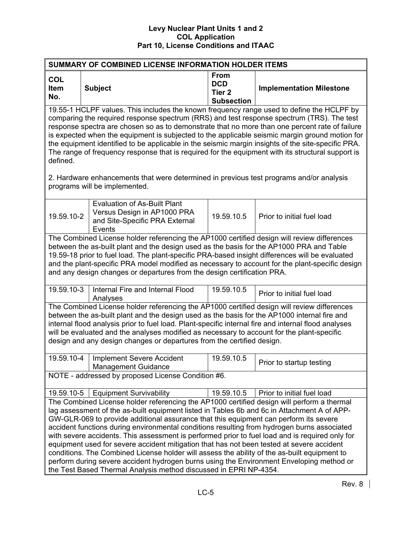| <b>SUMMARY OF COMBINED LICENSE INFORMATION HOLDER ITEMS</b>                                                                                                                                                                                                                                                                                                                                                                                                                                                                                                                                                                                                                                                  |                                                                                                                                                                                                                                                                                                                                                                                                                                                                                                                                                                                                                                                                                                                                                                                                                                                                  |                                                                     |                                 |  |  |  |  |  |  |
|--------------------------------------------------------------------------------------------------------------------------------------------------------------------------------------------------------------------------------------------------------------------------------------------------------------------------------------------------------------------------------------------------------------------------------------------------------------------------------------------------------------------------------------------------------------------------------------------------------------------------------------------------------------------------------------------------------------|------------------------------------------------------------------------------------------------------------------------------------------------------------------------------------------------------------------------------------------------------------------------------------------------------------------------------------------------------------------------------------------------------------------------------------------------------------------------------------------------------------------------------------------------------------------------------------------------------------------------------------------------------------------------------------------------------------------------------------------------------------------------------------------------------------------------------------------------------------------|---------------------------------------------------------------------|---------------------------------|--|--|--|--|--|--|
| <b>COL</b><br>Item<br>No.                                                                                                                                                                                                                                                                                                                                                                                                                                                                                                                                                                                                                                                                                    | <b>Subject</b>                                                                                                                                                                                                                                                                                                                                                                                                                                                                                                                                                                                                                                                                                                                                                                                                                                                   | <b>From</b><br><b>DCD</b><br>Tier <sub>2</sub><br><b>Subsection</b> | <b>Implementation Milestone</b> |  |  |  |  |  |  |
| 19.55-1 HCLPF values. This includes the known frequency range used to define the HCLPF by<br>comparing the required response spectrum (RRS) and test response spectrum (TRS). The test<br>response spectra are chosen so as to demonstrate that no more than one percent rate of failure<br>is expected when the equipment is subjected to the applicable seismic margin ground motion for<br>the equipment identified to be applicable in the seismic margin insights of the site-specific PRA.<br>The range of frequency response that is required for the equipment with its structural support is<br>defined.<br>2. Hardware enhancements that were determined in previous test programs and/or analysis |                                                                                                                                                                                                                                                                                                                                                                                                                                                                                                                                                                                                                                                                                                                                                                                                                                                                  |                                                                     |                                 |  |  |  |  |  |  |
|                                                                                                                                                                                                                                                                                                                                                                                                                                                                                                                                                                                                                                                                                                              | programs will be implemented.                                                                                                                                                                                                                                                                                                                                                                                                                                                                                                                                                                                                                                                                                                                                                                                                                                    |                                                                     |                                 |  |  |  |  |  |  |
| 19.59.10-2                                                                                                                                                                                                                                                                                                                                                                                                                                                                                                                                                                                                                                                                                                   | <b>Evaluation of As-Built Plant</b><br>Versus Design in AP1000 PRA<br>and Site-Specific PRA External<br>Events                                                                                                                                                                                                                                                                                                                                                                                                                                                                                                                                                                                                                                                                                                                                                   | 19.59.10.5                                                          | Prior to initial fuel load      |  |  |  |  |  |  |
|                                                                                                                                                                                                                                                                                                                                                                                                                                                                                                                                                                                                                                                                                                              | The Combined License holder referencing the AP1000 certified design will review differences<br>between the as-built plant and the design used as the basis for the AP1000 PRA and Table<br>19.59-18 prior to fuel load. The plant-specific PRA-based insight differences will be evaluated<br>and the plant-specific PRA model modified as necessary to account for the plant-specific design<br>and any design changes or departures from the design certification PRA.                                                                                                                                                                                                                                                                                                                                                                                         |                                                                     |                                 |  |  |  |  |  |  |
| 19.59.10-3                                                                                                                                                                                                                                                                                                                                                                                                                                                                                                                                                                                                                                                                                                   | Internal Fire and Internal Flood<br>Analyses                                                                                                                                                                                                                                                                                                                                                                                                                                                                                                                                                                                                                                                                                                                                                                                                                     | 19.59.10.5                                                          | Prior to initial fuel load      |  |  |  |  |  |  |
|                                                                                                                                                                                                                                                                                                                                                                                                                                                                                                                                                                                                                                                                                                              | The Combined License holder referencing the AP1000 certified design will review differences<br>between the as-built plant and the design used as the basis for the AP1000 internal fire and<br>internal flood analysis prior to fuel load. Plant-specific internal fire and internal flood analyses<br>will be evaluated and the analyses modified as necessary to account for the plant-specific<br>design and any design changes or departures from the certified design.                                                                                                                                                                                                                                                                                                                                                                                      |                                                                     |                                 |  |  |  |  |  |  |
| 19.59.10-4                                                                                                                                                                                                                                                                                                                                                                                                                                                                                                                                                                                                                                                                                                   | <b>Implement Severe Accident</b><br><b>Management Guidance</b>                                                                                                                                                                                                                                                                                                                                                                                                                                                                                                                                                                                                                                                                                                                                                                                                   | 19.59.10.5                                                          | Prior to startup testing        |  |  |  |  |  |  |
|                                                                                                                                                                                                                                                                                                                                                                                                                                                                                                                                                                                                                                                                                                              | NOTE - addressed by proposed License Condition #6.                                                                                                                                                                                                                                                                                                                                                                                                                                                                                                                                                                                                                                                                                                                                                                                                               |                                                                     |                                 |  |  |  |  |  |  |
|                                                                                                                                                                                                                                                                                                                                                                                                                                                                                                                                                                                                                                                                                                              | <b>Equipment Survivability</b>                                                                                                                                                                                                                                                                                                                                                                                                                                                                                                                                                                                                                                                                                                                                                                                                                                   | 19.59.10.5                                                          | Prior to initial fuel load      |  |  |  |  |  |  |
|                                                                                                                                                                                                                                                                                                                                                                                                                                                                                                                                                                                                                                                                                                              | 19.59.10-5<br>The Combined License holder referencing the AP1000 certified design will perform a thermal<br>lag assessment of the as-built equipment listed in Tables 6b and 6c in Attachment A of APP-<br>GW-GLR-069 to provide additional assurance that this equipment can perform its severe<br>accident functions during environmental conditions resulting from hydrogen burns associated<br>with severe accidents. This assessment is performed prior to fuel load and is required only for<br>equipment used for severe accident mitigation that has not been tested at severe accident<br>conditions. The Combined License holder will assess the ability of the as-built equipment to<br>perform during severe accident hydrogen burns using the Environment Enveloping method or<br>the Test Based Thermal Analysis method discussed in EPRI NP-4354. |                                                                     |                                 |  |  |  |  |  |  |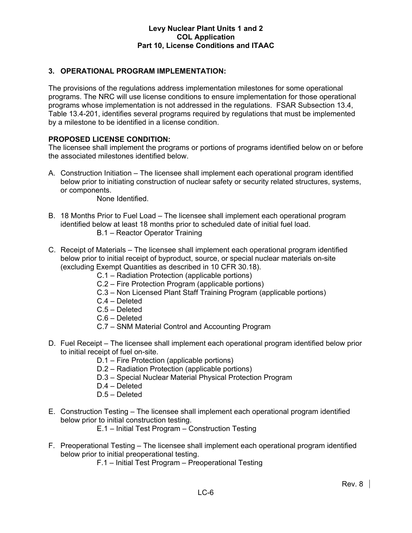# **3. OPERATIONAL PROGRAM IMPLEMENTATION:**

The provisions of the regulations address implementation milestones for some operational programs. The NRC will use license conditions to ensure implementation for those operational programs whose implementation is not addressed in the regulations. FSAR Subsection 13.4, Table 13.4-201, identifies several programs required by regulations that must be implemented by a milestone to be identified in a license condition.

# **PROPOSED LICENSE CONDITION:**

The licensee shall implement the programs or portions of programs identified below on or before the associated milestones identified below.

A. Construction Initiation – The licensee shall implement each operational program identified below prior to initiating construction of nuclear safety or security related structures, systems, or components.

None Identified.

- B. 18 Months Prior to Fuel Load The licensee shall implement each operational program identified below at least 18 months prior to scheduled date of initial fuel load. B.1 – Reactor Operator Training
- C. Receipt of Materials The licensee shall implement each operational program identified below prior to initial receipt of byproduct, source, or special nuclear materials on-site (excluding Exempt Quantities as described in 10 CFR 30.18).
	- C.1 Radiation Protection (applicable portions)
	- C.2 Fire Protection Program (applicable portions)
	- C.3 Non Licensed Plant Staff Training Program (applicable portions)
	- C.4 Deleted
	- C.5 Deleted
	- C.6 Deleted
	- C.7 SNM Material Control and Accounting Program
- D. Fuel Receipt The licensee shall implement each operational program identified below prior to initial receipt of fuel on-site.
	- D.1 Fire Protection (applicable portions)
	- D.2 Radiation Protection (applicable portions)
	- D.3 Special Nuclear Material Physical Protection Program
	- D.4 Deleted
	- D.5 Deleted
- E. Construction Testing The licensee shall implement each operational program identified below prior to initial construction testing.
	- E.1 Initial Test Program Construction Testing
- F. Preoperational Testing The licensee shall implement each operational program identified below prior to initial preoperational testing.
	- F.1 Initial Test Program Preoperational Testing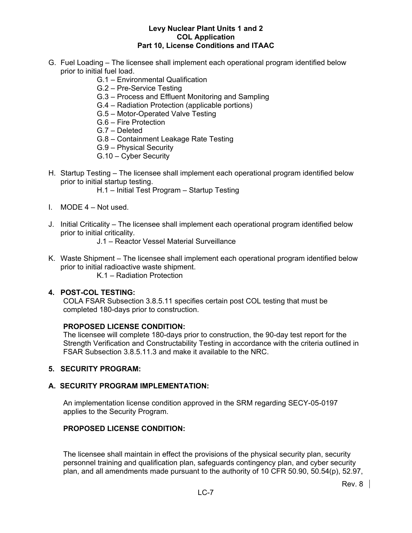- G. Fuel Loading The licensee shall implement each operational program identified below prior to initial fuel load.
	- G.1 Environmental Qualification
	- G.2 Pre-Service Testing
	- G.3 Process and Effluent Monitoring and Sampling
	- G.4 Radiation Protection (applicable portions)
	- G.5 Motor-Operated Valve Testing
	- G.6 Fire Protection
	- G.7 Deleted
	- G.8 Containment Leakage Rate Testing
	- G.9 Physical Security
	- G.10 Cyber Security
- H. Startup Testing The licensee shall implement each operational program identified below prior to initial startup testing.
	- H.1 Initial Test Program Startup Testing
- I. MODE 4 Not used.
- J. Initial Criticality The licensee shall implement each operational program identified below prior to initial criticality.
	- J.1 Reactor Vessel Material Surveillance
- K. Waste Shipment The licensee shall implement each operational program identified below prior to initial radioactive waste shipment.
	- K.1 Radiation Protection

#### **4. POST-COL TESTING:**

COLA FSAR Subsection 3.8.5.11 specifies certain post COL testing that must be completed 180-days prior to construction.

#### **PROPOSED LICENSE CONDITION:**

The licensee will complete 180-days prior to construction, the 90-day test report for the Strength Verification and Constructability Testing in accordance with the criteria outlined in FSAR Subsection 3.8.5.11.3 and make it available to the NRC.

#### **5. SECURITY PROGRAM:**

#### **A. SECURITY PROGRAM IMPLEMENTATION:**

An implementation license condition approved in the SRM regarding SECY-05-0197 applies to the Security Program.

# **PROPOSED LICENSE CONDITION:**

The licensee shall maintain in effect the provisions of the physical security plan, security personnel training and qualification plan, safeguards contingency plan, and cyber security plan, and all amendments made pursuant to the authority of 10 CFR 50.90, 50.54(p), 52.97,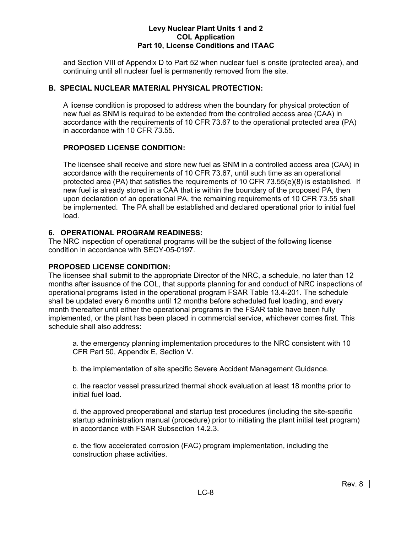and Section VIII of Appendix D to Part 52 when nuclear fuel is onsite (protected area), and continuing until all nuclear fuel is permanently removed from the site.

# **B. SPECIAL NUCLEAR MATERIAL PHYSICAL PROTECTION:**

A license condition is proposed to address when the boundary for physical protection of new fuel as SNM is required to be extended from the controlled access area (CAA) in accordance with the requirements of 10 CFR 73.67 to the operational protected area (PA) in accordance with 10 CFR 73.55.

# **PROPOSED LICENSE CONDITION:**

The licensee shall receive and store new fuel as SNM in a controlled access area (CAA) in accordance with the requirements of 10 CFR 73.67, until such time as an operational protected area (PA) that satisfies the requirements of 10 CFR 73.55(e)(8) is established. If new fuel is already stored in a CAA that is within the boundary of the proposed PA, then upon declaration of an operational PA, the remaining requirements of 10 CFR 73.55 shall be implemented. The PA shall be established and declared operational prior to initial fuel load.

# **6. OPERATIONAL PROGRAM READINESS:**

The NRC inspection of operational programs will be the subject of the following license condition in accordance with SECY-05-0197.

# **PROPOSED LICENSE CONDITION:**

The licensee shall submit to the appropriate Director of the NRC, a schedule, no later than 12 months after issuance of the COL, that supports planning for and conduct of NRC inspections of operational programs listed in the operational program FSAR Table 13.4-201. The schedule shall be updated every 6 months until 12 months before scheduled fuel loading, and every month thereafter until either the operational programs in the FSAR table have been fully implemented, or the plant has been placed in commercial service, whichever comes first. This schedule shall also address:

a. the emergency planning implementation procedures to the NRC consistent with 10 CFR Part 50, Appendix E, Section V.

b. the implementation of site specific Severe Accident Management Guidance.

c. the reactor vessel pressurized thermal shock evaluation at least 18 months prior to initial fuel load.

d. the approved preoperational and startup test procedures (including the site-specific startup administration manual (procedure) prior to initiating the plant initial test program) in accordance with FSAR Subsection 14.2.3.

e. the flow accelerated corrosion (FAC) program implementation, including the construction phase activities.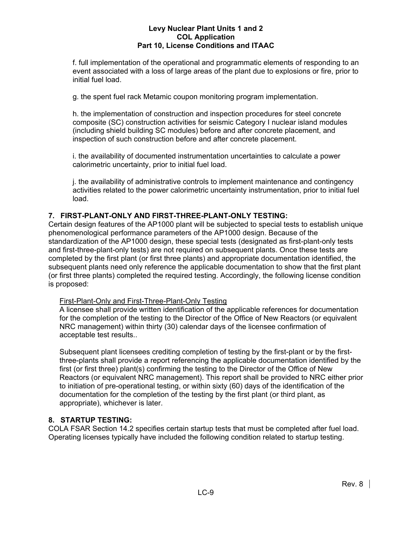f. full implementation of the operational and programmatic elements of responding to an event associated with a loss of large areas of the plant due to explosions or fire, prior to initial fuel load.

g. the spent fuel rack Metamic coupon monitoring program implementation.

h. the implementation of construction and inspection procedures for steel concrete composite (SC) construction activities for seismic Category I nuclear island modules (including shield building SC modules) before and after concrete placement, and inspection of such construction before and after concrete placement.

i. the availability of documented instrumentation uncertainties to calculate a power calorimetric uncertainty, prior to initial fuel load.

j. the availability of administrative controls to implement maintenance and contingency activities related to the power calorimetric uncertainty instrumentation, prior to initial fuel load.

# **7. FIRST-PLANT-ONLY AND FIRST-THREE-PLANT-ONLY TESTING:**

Certain design features of the AP1000 plant will be subjected to special tests to establish unique phenomenological performance parameters of the AP1000 design. Because of the standardization of the AP1000 design, these special tests (designated as first-plant-only tests and first-three-plant-only tests) are not required on subsequent plants. Once these tests are completed by the first plant (or first three plants) and appropriate documentation identified, the subsequent plants need only reference the applicable documentation to show that the first plant (or first three plants) completed the required testing. Accordingly, the following license condition is proposed:

# First-Plant-Only and First-Three-Plant-Only Testing

A licensee shall provide written identification of the applicable references for documentation for the completion of the testing to the Director of the Office of New Reactors (or equivalent NRC management) within thirty (30) calendar days of the licensee confirmation of acceptable test results..

Subsequent plant licensees crediting completion of testing by the first-plant or by the firstthree-plants shall provide a report referencing the applicable documentation identified by the first (or first three) plant(s) confirming the testing to the Director of the Office of New Reactors (or equivalent NRC management). This report shall be provided to NRC either prior to initiation of pre-operational testing, or within sixty (60) days of the identification of the documentation for the completion of the testing by the first plant (or third plant, as appropriate), whichever is later.

# **8. STARTUP TESTING:**

COLA FSAR Section 14.2 specifies certain startup tests that must be completed after fuel load. Operating licenses typically have included the following condition related to startup testing.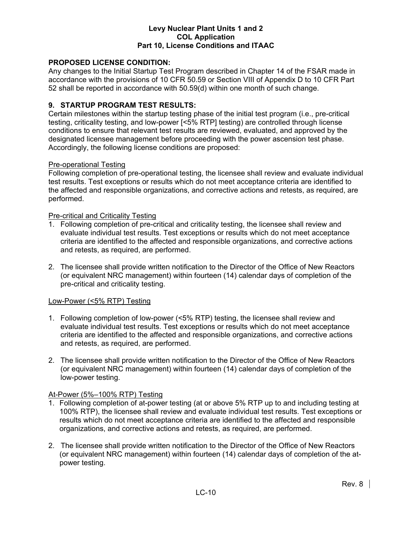# **PROPOSED LICENSE CONDITION:**

Any changes to the Initial Startup Test Program described in Chapter 14 of the FSAR made in accordance with the provisions of 10 CFR 50.59 or Section VIII of Appendix D to 10 CFR Part 52 shall be reported in accordance with 50.59(d) within one month of such change.

### **9. STARTUP PROGRAM TEST RESULTS:**

Certain milestones within the startup testing phase of the initial test program (i.e., pre-critical testing, criticality testing, and low-power [<5% RTP] testing) are controlled through license conditions to ensure that relevant test results are reviewed, evaluated, and approved by the designated licensee management before proceeding with the power ascension test phase. Accordingly, the following license conditions are proposed:

#### Pre-operational Testing

Following completion of pre-operational testing, the licensee shall review and evaluate individual test results. Test exceptions or results which do not meet acceptance criteria are identified to the affected and responsible organizations, and corrective actions and retests, as required, are performed.

#### Pre-critical and Criticality Testing

- 1. Following completion of pre-critical and criticality testing, the licensee shall review and evaluate individual test results. Test exceptions or results which do not meet acceptance criteria are identified to the affected and responsible organizations, and corrective actions and retests, as required, are performed.
- 2. The licensee shall provide written notification to the Director of the Office of New Reactors (or equivalent NRC management) within fourteen (14) calendar days of completion of the pre-critical and criticality testing.

#### Low-Power (<5% RTP) Testing

- 1. Following completion of low-power (<5% RTP) testing, the licensee shall review and evaluate individual test results. Test exceptions or results which do not meet acceptance criteria are identified to the affected and responsible organizations, and corrective actions and retests, as required, are performed.
- 2. The licensee shall provide written notification to the Director of the Office of New Reactors (or equivalent NRC management) within fourteen (14) calendar days of completion of the low-power testing.

### At-Power (5%–100% RTP) Testing

- 1. Following completion of at-power testing (at or above 5% RTP up to and including testing at 100% RTP), the licensee shall review and evaluate individual test results. Test exceptions or results which do not meet acceptance criteria are identified to the affected and responsible organizations, and corrective actions and retests, as required, are performed.
- 2. The licensee shall provide written notification to the Director of the Office of New Reactors (or equivalent NRC management) within fourteen (14) calendar days of completion of the atpower testing.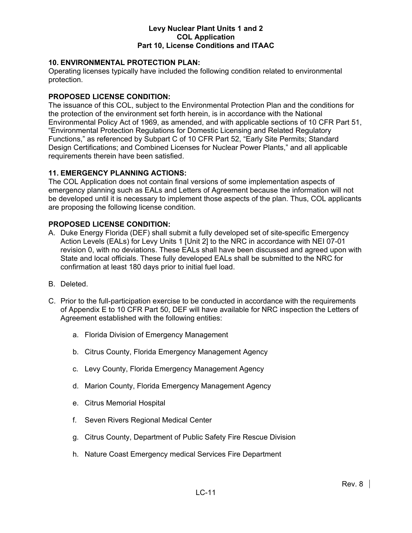# **10. ENVIRONMENTAL PROTECTION PLAN:**

Operating licenses typically have included the following condition related to environmental protection.

# **PROPOSED LICENSE CONDITION:**

The issuance of this COL, subject to the Environmental Protection Plan and the conditions for the protection of the environment set forth herein, is in accordance with the National Environmental Policy Act of 1969, as amended, and with applicable sections of 10 CFR Part 51, "Environmental Protection Regulations for Domestic Licensing and Related Regulatory Functions," as referenced by Subpart C of 10 CFR Part 52, "Early Site Permits; Standard Design Certifications; and Combined Licenses for Nuclear Power Plants," and all applicable requirements therein have been satisfied.

### **11. EMERGENCY PLANNING ACTIONS:**

The COL Application does not contain final versions of some implementation aspects of emergency planning such as EALs and Letters of Agreement because the information will not be developed until it is necessary to implement those aspects of the plan. Thus, COL applicants are proposing the following license condition.

### **PROPOSED LICENSE CONDITION:**

- A. Duke Energy Florida (DEF) shall submit a fully developed set of site-specific Emergency Action Levels (EALs) for Levy Units 1 [Unit 2] to the NRC in accordance with NEI 07-01 revision 0, with no deviations. These EALs shall have been discussed and agreed upon with State and local officials. These fully developed EALs shall be submitted to the NRC for confirmation at least 180 days prior to initial fuel load.
- B. Deleted.
- C. Prior to the full-participation exercise to be conducted in accordance with the requirements of Appendix E to 10 CFR Part 50, DEF will have available for NRC inspection the Letters of Agreement established with the following entities:
	- a. Florida Division of Emergency Management
	- b. Citrus County, Florida Emergency Management Agency
	- c. Levy County, Florida Emergency Management Agency
	- d. Marion County, Florida Emergency Management Agency
	- e. Citrus Memorial Hospital
	- f. Seven Rivers Regional Medical Center
	- g. Citrus County, Department of Public Safety Fire Rescue Division
	- h. Nature Coast Emergency medical Services Fire Department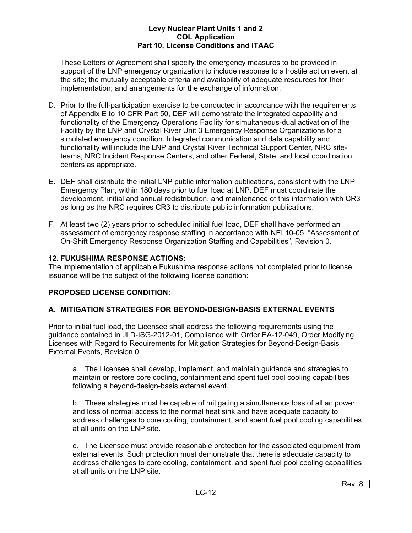These Letters of Agreement shall specify the emergency measures to be provided in support of the LNP emergency organization to include response to a hostile action event at the site; the mutually acceptable criteria and availability of adequate resources for their implementation; and arrangements for the exchange of information.

- D. Prior to the full-participation exercise to be conducted in accordance with the requirements of Appendix E to 10 CFR Part 50, DEF will demonstrate the integrated capability and functionality of the Emergency Operations Facility for simultaneous-dual activation of the Facility by the LNP and Crystal River Unit 3 Emergency Response Organizations for a simulated emergency condition. Integrated communication and data capability and functionality will include the LNP and Crystal River Technical Support Center, NRC siteteams, NRC Incident Response Centers, and other Federal, State, and local coordination centers as appropriate.
- E. DEF shall distribute the initial LNP public information publications, consistent with the LNP Emergency Plan, within 180 days prior to fuel load at LNP. DEF must coordinate the development, initial and annual redistribution, and maintenance of this information with CR3 as long as the NRC requires CR3 to distribute public information publications.
- F. At least two (2) years prior to scheduled initial fuel load, DEF shall have performed an assessment of emergency response staffing in accordance with NEI 10-05, "Assessment of On-Shift Emergency Response Organization Staffing and Capabilities", Revision 0.

# **12. FUKUSHIMA RESPONSE ACTIONS:**

The implementation of applicable Fukushima response actions not completed prior to license issuance will be the subject of the following license condition:

# **PROPOSED LICENSE CONDITION:**

# **A. MITIGATION STRATEGIES FOR BEYOND-DESIGN-BASIS EXTERNAL EVENTS**

Prior to initial fuel load, the Licensee shall address the following requirements using the guidance contained in JLD-ISG-2012-01, Compliance with Order EA-12-049, Order Modifying Licenses with Regard to Requirements for Mitigation Strategies for Beyond-Design-Basis External Events, Revision 0:

a. The Licensee shall develop, implement, and maintain guidance and strategies to maintain or restore core cooling, containment and spent fuel pool cooling capabilities following a beyond-design-basis external event.

b. These strategies must be capable of mitigating a simultaneous loss of all ac power and loss of normal access to the normal heat sink and have adequate capacity to address challenges to core cooling, containment, and spent fuel pool cooling capabilities at all units on the LNP site.

c. The Licensee must provide reasonable protection for the associated equipment from external events. Such protection must demonstrate that there is adequate capacity to address challenges to core cooling, containment, and spent fuel pool cooling capabilities at all units on the LNP site.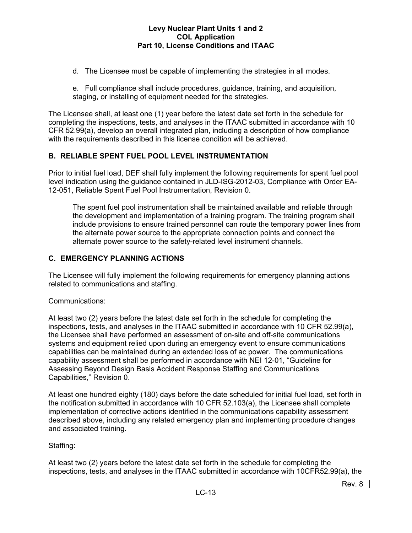- d. The Licensee must be capable of implementing the strategies in all modes.
- e. Full compliance shall include procedures, guidance, training, and acquisition, staging, or installing of equipment needed for the strategies.

The Licensee shall, at least one (1) year before the latest date set forth in the schedule for completing the inspections, tests, and analyses in the ITAAC submitted in accordance with 10 CFR 52.99(a), develop an overall integrated plan, including a description of how compliance with the requirements described in this license condition will be achieved.

# **B. RELIABLE SPENT FUEL POOL LEVEL INSTRUMENTATION**

Prior to initial fuel load, DEF shall fully implement the following requirements for spent fuel pool level indication using the guidance contained in JLD-ISG-2012-03, Compliance with Order EA-12-051, Reliable Spent Fuel Pool Instrumentation, Revision 0.

The spent fuel pool instrumentation shall be maintained available and reliable through the development and implementation of a training program. The training program shall include provisions to ensure trained personnel can route the temporary power lines from the alternate power source to the appropriate connection points and connect the alternate power source to the safety-related level instrument channels.

# **C. EMERGENCY PLANNING ACTIONS**

The Licensee will fully implement the following requirements for emergency planning actions related to communications and staffing.

# Communications:

At least two (2) years before the latest date set forth in the schedule for completing the inspections, tests, and analyses in the ITAAC submitted in accordance with 10 CFR 52.99(a), the Licensee shall have performed an assessment of on-site and off-site communications systems and equipment relied upon during an emergency event to ensure communications capabilities can be maintained during an extended loss of ac power. The communications capability assessment shall be performed in accordance with NEI 12-01, "Guideline for Assessing Beyond Design Basis Accident Response Staffing and Communications Capabilities," Revision 0.

At least one hundred eighty (180) days before the date scheduled for initial fuel load, set forth in the notification submitted in accordance with 10 CFR 52.103(a), the Licensee shall complete implementation of corrective actions identified in the communications capability assessment described above, including any related emergency plan and implementing procedure changes and associated training.

# Staffing:

At least two (2) years before the latest date set forth in the schedule for completing the inspections, tests, and analyses in the ITAAC submitted in accordance with 10CFR52.99(a), the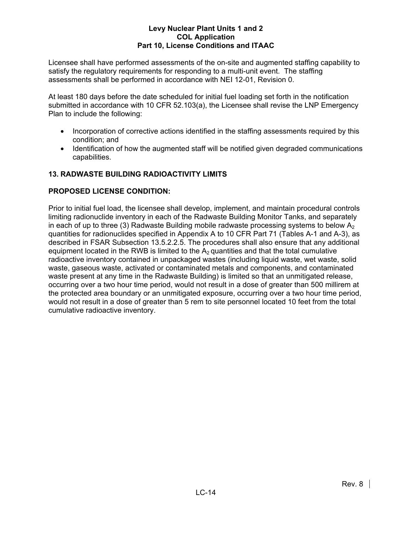Licensee shall have performed assessments of the on-site and augmented staffing capability to satisfy the regulatory requirements for responding to a multi-unit event. The staffing assessments shall be performed in accordance with NEI 12-01, Revision 0.

At least 180 days before the date scheduled for initial fuel loading set forth in the notification submitted in accordance with 10 CFR 52.103(a), the Licensee shall revise the LNP Emergency Plan to include the following:

- Incorporation of corrective actions identified in the staffing assessments required by this condition; and
- Identification of how the augmented staff will be notified given degraded communications capabilities.

# **13. RADWASTE BUILDING RADIOACTIVITY LIMITS**

# **PROPOSED LICENSE CONDITION:**

Prior to initial fuel load, the licensee shall develop, implement, and maintain procedural controls limiting radionuclide inventory in each of the Radwaste Building Monitor Tanks, and separately in each of up to three (3) Radwaste Building mobile radwaste processing systems to below  $A_2$ quantities for radionuclides specified in Appendix A to 10 CFR Part 71 (Tables A-1 and A-3), as described in FSAR Subsection 13.5.2.2.5. The procedures shall also ensure that any additional equipment located in the RWB is limited to the  $A_2$  quantities and that the total cumulative radioactive inventory contained in unpackaged wastes (including liquid waste, wet waste, solid waste, gaseous waste, activated or contaminated metals and components, and contaminated waste present at any time in the Radwaste Building) is limited so that an unmitigated release, occurring over a two hour time period, would not result in a dose of greater than 500 millirem at the protected area boundary or an unmitigated exposure, occurring over a two hour time period, would not result in a dose of greater than 5 rem to site personnel located 10 feet from the total cumulative radioactive inventory.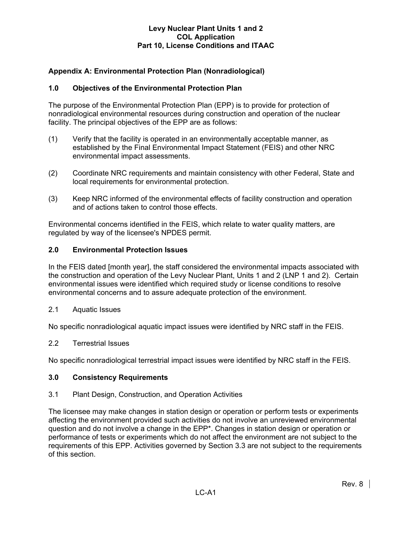# **Appendix A: Environmental Protection Plan (Nonradiological)**

# **1.0 Objectives of the Environmental Protection Plan**

The purpose of the Environmental Protection Plan (EPP) is to provide for protection of nonradiological environmental resources during construction and operation of the nuclear facility. The principal objectives of the EPP are as follows:

- (1) Verify that the facility is operated in an environmentally acceptable manner, as established by the Final Environmental Impact Statement (FEIS) and other NRC environmental impact assessments.
- (2) Coordinate NRC requirements and maintain consistency with other Federal, State and local requirements for environmental protection.
- (3) Keep NRC informed of the environmental effects of facility construction and operation and of actions taken to control those effects.

Environmental concerns identified in the FEIS, which relate to water quality matters, are regulated by way of the licensee's NPDES permit.

#### **2.0 Environmental Protection Issues**

In the FEIS dated [month year], the staff considered the environmental impacts associated with the construction and operation of the Levy Nuclear Plant, Units 1 and 2 (LNP 1 and 2). Certain environmental issues were identified which required study or license conditions to resolve environmental concerns and to assure adequate protection of the environment.

2.1 Aquatic Issues

No specific nonradiological aquatic impact issues were identified by NRC staff in the FEIS.

#### 2.2 Terrestrial Issues

No specific nonradiological terrestrial impact issues were identified by NRC staff in the FEIS.

#### **3.0 Consistency Requirements**

#### 3.1 Plant Design, Construction, and Operation Activities

The licensee may make changes in station design or operation or perform tests or experiments affecting the environment provided such activities do not involve an unreviewed environmental question and do not involve a change in the EPP\*. Changes in station design or operation or performance of tests or experiments which do not affect the environment are not subject to the requirements of this EPP. Activities governed by Section 3.3 are not subject to the requirements of this section.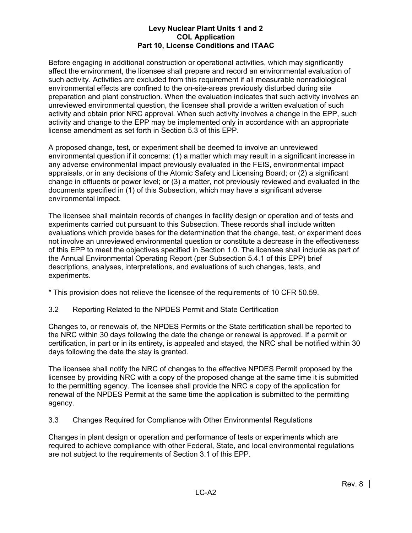Before engaging in additional construction or operational activities, which may significantly affect the environment, the licensee shall prepare and record an environmental evaluation of such activity. Activities are excluded from this requirement if all measurable nonradiological environmental effects are confined to the on-site-areas previously disturbed during site preparation and plant construction. When the evaluation indicates that such activity involves an unreviewed environmental question, the licensee shall provide a written evaluation of such activity and obtain prior NRC approval. When such activity involves a change in the EPP, such activity and change to the EPP may be implemented only in accordance with an appropriate license amendment as set forth in Section 5.3 of this EPP.

A proposed change, test, or experiment shall be deemed to involve an unreviewed environmental question if it concerns: (1) a matter which may result in a significant increase in any adverse environmental impact previously evaluated in the FEIS, environmental impact appraisals, or in any decisions of the Atomic Safety and Licensing Board; or (2) a significant change in effluents or power level; or (3) a matter, not previously reviewed and evaluated in the documents specified in (1) of this Subsection, which may have a significant adverse environmental impact.

The licensee shall maintain records of changes in facility design or operation and of tests and experiments carried out pursuant to this Subsection. These records shall include written evaluations which provide bases for the determination that the change, test, or experiment does not involve an unreviewed environmental question or constitute a decrease in the effectiveness of this EPP to meet the objectives specified in Section 1.0. The licensee shall include as part of the Annual Environmental Operating Report (per Subsection 5.4.1 of this EPP) brief descriptions, analyses, interpretations, and evaluations of such changes, tests, and experiments.

\* This provision does not relieve the licensee of the requirements of 10 CFR 50.59.

3.2 Reporting Related to the NPDES Permit and State Certification

Changes to, or renewals of, the NPDES Permits or the State certification shall be reported to the NRC within 30 days following the date the change or renewal is approved. If a permit or certification, in part or in its entirety, is appealed and stayed, the NRC shall be notified within 30 days following the date the stay is granted.

The licensee shall notify the NRC of changes to the effective NPDES Permit proposed by the licensee by providing NRC with a copy of the proposed change at the same time it is submitted to the permitting agency. The licensee shall provide the NRC a copy of the application for renewal of the NPDES Permit at the same time the application is submitted to the permitting agency.

3.3 Changes Required for Compliance with Other Environmental Regulations

Changes in plant design or operation and performance of tests or experiments which are required to achieve compliance with other Federal, State, and local environmental regulations are not subject to the requirements of Section 3.1 of this EPP.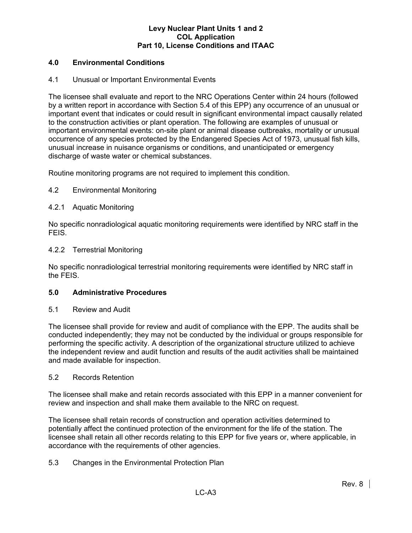# **4.0 Environmental Conditions**

# 4.1 Unusual or Important Environmental Events

The licensee shall evaluate and report to the NRC Operations Center within 24 hours (followed by a written report in accordance with Section 5.4 of this EPP) any occurrence of an unusual or important event that indicates or could result in significant environmental impact causally related to the construction activities or plant operation. The following are examples of unusual or important environmental events: on-site plant or animal disease outbreaks, mortality or unusual occurrence of any species protected by the Endangered Species Act of 1973, unusual fish kills, unusual increase in nuisance organisms or conditions, and unanticipated or emergency discharge of waste water or chemical substances.

Routine monitoring programs are not required to implement this condition.

# 4.2 Environmental Monitoring

### 4.2.1 Aquatic Monitoring

No specific nonradiological aquatic monitoring requirements were identified by NRC staff in the FEIS.

#### 4.2.2 Terrestrial Monitoring

No specific nonradiological terrestrial monitoring requirements were identified by NRC staff in the FEIS.

#### **5.0 Administrative Procedures**

#### 5.1 Review and Audit

The licensee shall provide for review and audit of compliance with the EPP. The audits shall be conducted independently; they may not be conducted by the individual or groups responsible for performing the specific activity. A description of the organizational structure utilized to achieve the independent review and audit function and results of the audit activities shall be maintained and made available for inspection.

#### 5.2 Records Retention

The licensee shall make and retain records associated with this EPP in a manner convenient for review and inspection and shall make them available to the NRC on request.

The licensee shall retain records of construction and operation activities determined to potentially affect the continued protection of the environment for the life of the station. The licensee shall retain all other records relating to this EPP for five years or, where applicable, in accordance with the requirements of other agencies.

# 5.3 Changes in the Environmental Protection Plan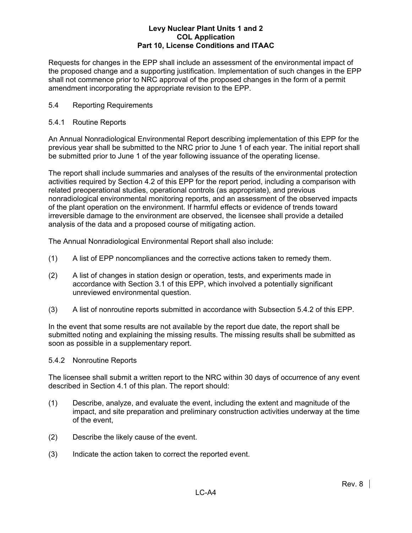Requests for changes in the EPP shall include an assessment of the environmental impact of the proposed change and a supporting justification. Implementation of such changes in the EPP shall not commence prior to NRC approval of the proposed changes in the form of a permit amendment incorporating the appropriate revision to the EPP.

# 5.4 Reporting Requirements

# 5.4.1 Routine Reports

An Annual Nonradiological Environmental Report describing implementation of this EPP for the previous year shall be submitted to the NRC prior to June 1 of each year. The initial report shall be submitted prior to June 1 of the year following issuance of the operating license.

The report shall include summaries and analyses of the results of the environmental protection activities required by Section 4.2 of this EPP for the report period, including a comparison with related preoperational studies, operational controls (as appropriate), and previous nonradiological environmental monitoring reports, and an assessment of the observed impacts of the plant operation on the environment. If harmful effects or evidence of trends toward irreversible damage to the environment are observed, the licensee shall provide a detailed analysis of the data and a proposed course of mitigating action.

The Annual Nonradiological Environmental Report shall also include:

- (1) A list of EPP noncompliances and the corrective actions taken to remedy them.
- (2) A list of changes in station design or operation, tests, and experiments made in accordance with Section 3.1 of this EPP, which involved a potentially significant unreviewed environmental question.
- (3) A list of nonroutine reports submitted in accordance with Subsection 5.4.2 of this EPP.

In the event that some results are not available by the report due date, the report shall be submitted noting and explaining the missing results. The missing results shall be submitted as soon as possible in a supplementary report.

# 5.4.2 Nonroutine Reports

The licensee shall submit a written report to the NRC within 30 days of occurrence of any event described in Section 4.1 of this plan. The report should:

- (1) Describe, analyze, and evaluate the event, including the extent and magnitude of the impact, and site preparation and preliminary construction activities underway at the time of the event,
- (2) Describe the likely cause of the event.
- (3) Indicate the action taken to correct the reported event.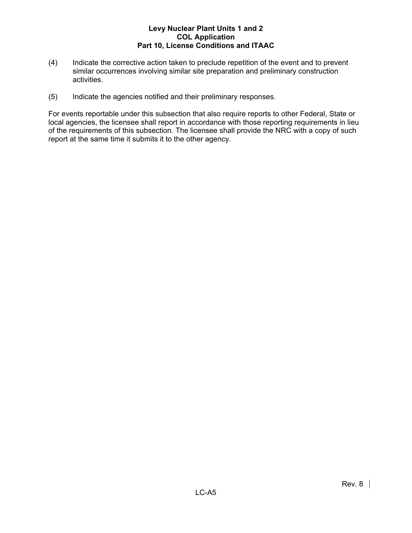- (4) Indicate the corrective action taken to preclude repetition of the event and to prevent similar occurrences involving similar site preparation and preliminary construction activities.
- (5) Indicate the agencies notified and their preliminary responses.

For events reportable under this subsection that also require reports to other Federal, State or local agencies, the licensee shall report in accordance with those reporting requirements in lieu of the requirements of this subsection. The licensee shall provide the NRC with a copy of such report at the same time it submits it to the other agency.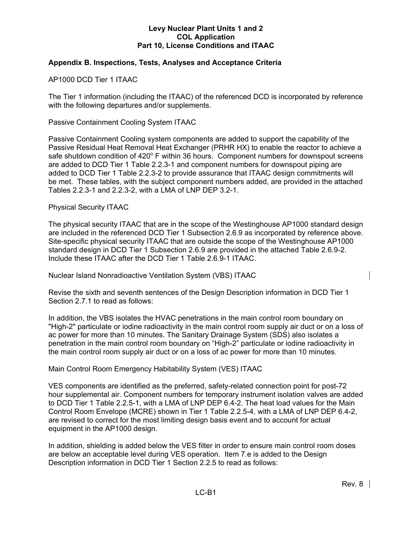# **Appendix B. Inspections, Tests, Analyses and Acceptance Criteria**

AP1000 DCD Tier 1 ITAAC

The Tier 1 information (including the ITAAC) of the referenced DCD is incorporated by reference with the following departures and/or supplements.

Passive Containment Cooling System ITAAC

Passive Containment Cooling system components are added to support the capability of the Passive Residual Heat Removal Heat Exchanger (PRHR HX) to enable the reactor to achieve a safe shutdown condition of 420° F within 36 hours. Component numbers for downspout screens are added to DCD Tier 1 Table 2.2.3-1 and component numbers for downspout piping are added to DCD Tier 1 Table 2.2.3-2 to provide assurance that ITAAC design commitments will be met. These tables, with the subject component numbers added, are provided in the attached Tables 2.2.3-1 and 2.2.3-2, with a LMA of LNP DEP 3.2-1.

#### Physical Security ITAAC

The physical security ITAAC that are in the scope of the Westinghouse AP1000 standard design are included in the referenced DCD Tier 1 Subsection 2.6.9 as incorporated by reference above. Site-specific physical security ITAAC that are outside the scope of the Westinghouse AP1000 standard design in DCD Tier 1 Subsection 2.6.9 are provided in the attached Table 2.6.9-2. Include these ITAAC after the DCD Tier 1 Table 2.6.9-1 ITAAC.

Nuclear Island Nonradioactive Ventilation System (VBS) ITAAC

Revise the sixth and seventh sentences of the Design Description information in DCD Tier 1 Section 2.7.1 to read as follows:

In addition, the VBS isolates the HVAC penetrations in the main control room boundary on "High-2" particulate or iodine radioactivity in the main control room supply air duct or on a loss of ac power for more than 10 minutes. The Sanitary Drainage System (SDS) also isolates a penetration in the main control room boundary on "High-2" particulate or iodine radioactivity in the main control room supply air duct or on a loss of ac power for more than 10 minutes.

Main Control Room Emergency Habitability System (VES) ITAAC

VES components are identified as the preferred, safety-related connection point for post-72 hour supplemental air. Component numbers for temporary instrument isolation valves are added to DCD Tier 1 Table 2.2.5-1, with a LMA of LNP DEP 6.4-2. The heat load values for the Main Control Room Envelope (MCRE) shown in Tier 1 Table 2.2.5-4, with a LMA of LNP DEP 6.4-2, are revised to correct for the most limiting design basis event and to account for actual equipment in the AP1000 design.

In addition, shielding is added below the VES filter in order to ensure main control room doses are below an acceptable level during VES operation. Item 7.e is added to the Design Description information in DCD Tier 1 Section 2.2.5 to read as follows: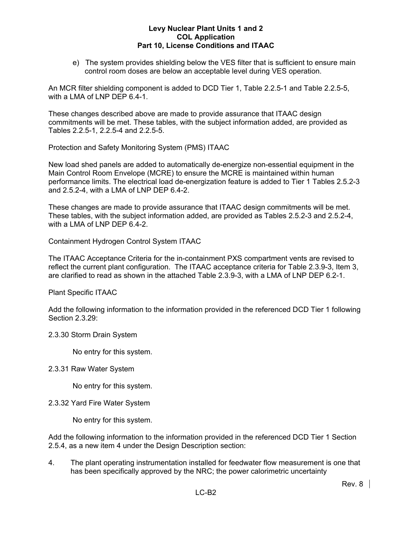e) The system provides shielding below the VES filter that is sufficient to ensure main control room doses are below an acceptable level during VES operation.

An MCR filter shielding component is added to DCD Tier 1, Table 2.2.5-1 and Table 2.2.5-5, with a LMA of LNP DEP 6.4-1.

These changes described above are made to provide assurance that ITAAC design commitments will be met. These tables, with the subject information added, are provided as Tables 2.2.5-1, 2.2.5-4 and 2.2.5-5.

Protection and Safety Monitoring System (PMS) ITAAC

New load shed panels are added to automatically de-energize non-essential equipment in the Main Control Room Envelope (MCRE) to ensure the MCRE is maintained within human performance limits. The electrical load de-energization feature is added to Tier 1 Tables 2.5.2-3 and 2.5.2-4, with a LMA of LNP DEP 6.4-2.

These changes are made to provide assurance that ITAAC design commitments will be met. These tables, with the subject information added, are provided as Tables 2.5.2-3 and 2.5.2-4, with a LMA of LNP DEP 6.4-2.

Containment Hydrogen Control System ITAAC

The ITAAC Acceptance Criteria for the in-containment PXS compartment vents are revised to reflect the current plant configuration. The ITAAC acceptance criteria for Table 2.3.9-3, Item 3, are clarified to read as shown in the attached Table 2.3.9-3, with a LMA of LNP DEP 6.2-1.

Plant Specific ITAAC

Add the following information to the information provided in the referenced DCD Tier 1 following Section 2.3.29:

# 2.3.30 Storm Drain System

No entry for this system.

# 2.3.31 Raw Water System

No entry for this system.

2.3.32 Yard Fire Water System

No entry for this system.

Add the following information to the information provided in the referenced DCD Tier 1 Section 2.5.4, as a new item 4 under the Design Description section:

4. The plant operating instrumentation installed for feedwater flow measurement is one that has been specifically approved by the NRC; the power calorimetric uncertainty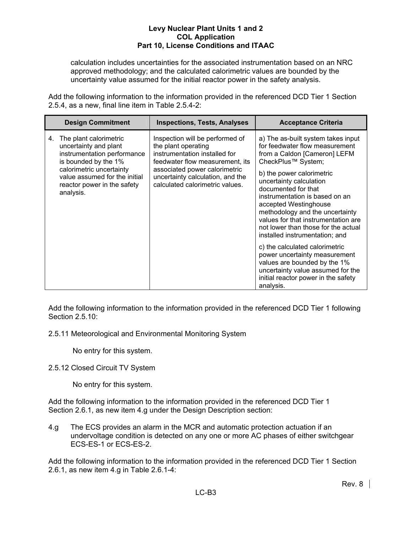calculation includes uncertainties for the associated instrumentation based on an NRC approved methodology; and the calculated calorimetric values are bounded by the uncertainty value assumed for the initial reactor power in the safety analysis.

Add the following information to the information provided in the referenced DCD Tier 1 Section 2.5.4, as a new, final line item in Table 2.5.4-2:

|    | <b>Design Commitment</b>                                                                                                                                                                                        | <b>Inspections, Tests, Analyses</b>                                                                                                                                                                                                | <b>Acceptance Criteria</b>                                                                                                                                                                                                                                                                                                                                                                                                                                                                                                                                                                                          |
|----|-----------------------------------------------------------------------------------------------------------------------------------------------------------------------------------------------------------------|------------------------------------------------------------------------------------------------------------------------------------------------------------------------------------------------------------------------------------|---------------------------------------------------------------------------------------------------------------------------------------------------------------------------------------------------------------------------------------------------------------------------------------------------------------------------------------------------------------------------------------------------------------------------------------------------------------------------------------------------------------------------------------------------------------------------------------------------------------------|
| 4. | The plant calorimetric<br>uncertainty and plant<br>instrumentation performance<br>is bounded by the 1%<br>calorimetric uncertainty<br>value assumed for the initial<br>reactor power in the safety<br>analysis. | Inspection will be performed of<br>the plant operating<br>instrumentation installed for<br>feedwater flow measurement, its<br>associated power calorimetric<br>uncertainty calculation, and the<br>calculated calorimetric values. | a) The as-built system takes input<br>for feedwater flow measurement<br>from a Caldon [Cameron] LEFM<br>CheckPlus™ System;<br>b) the power calorimetric<br>uncertainty calculation<br>documented for that<br>instrumentation is based on an<br>accepted Westinghouse<br>methodology and the uncertainty<br>values for that instrumentation are<br>not lower than those for the actual<br>installed instrumentation; and<br>c) the calculated calorimetric<br>power uncertainty measurement<br>values are bounded by the 1%<br>uncertainty value assumed for the<br>initial reactor power in the safety<br>analysis. |

Add the following information to the information provided in the referenced DCD Tier 1 following Section 2.5.10:

2.5.11 Meteorological and Environmental Monitoring System

No entry for this system.

2.5.12 Closed Circuit TV System

No entry for this system.

Add the following information to the information provided in the referenced DCD Tier 1 Section 2.6.1, as new item 4.g under the Design Description section:

4.g The ECS provides an alarm in the MCR and automatic protection actuation if an undervoltage condition is detected on any one or more AC phases of either switchgear ECS-ES-1 or ECS-ES-2.

Add the following information to the information provided in the referenced DCD Tier 1 Section 2.6.1, as new item 4.g in Table 2.6.1-4: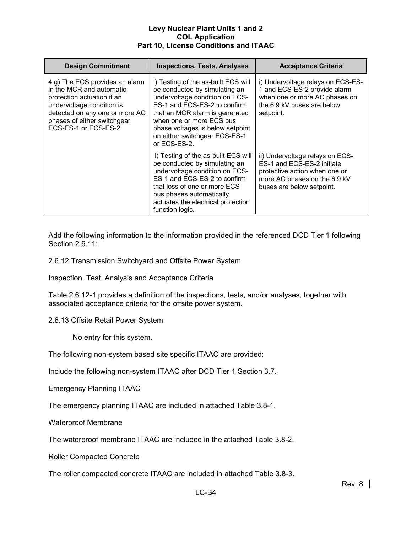| <b>Design Commitment</b>                                                                                                                                                                                        | <b>Inspections, Tests, Analyses</b>                                                                                                                                                                                                                                                       | <b>Acceptance Criteria</b>                                                                                                                                  |
|-----------------------------------------------------------------------------------------------------------------------------------------------------------------------------------------------------------------|-------------------------------------------------------------------------------------------------------------------------------------------------------------------------------------------------------------------------------------------------------------------------------------------|-------------------------------------------------------------------------------------------------------------------------------------------------------------|
| 4.g) The ECS provides an alarm<br>in the MCR and automatic<br>protection actuation if an<br>undervoltage condition is<br>detected on any one or more AC<br>phases of either switchgear<br>ECS-ES-1 or ECS-ES-2. | i) Testing of the as-built ECS will<br>be conducted by simulating an<br>undervoltage condition on ECS-<br>ES-1 and ECS-ES-2 to confirm<br>that an MCR alarm is generated<br>when one or more ECS bus<br>phase voltages is below setpoint<br>on either switchgear ECS-ES-1<br>or ECS-ES-2. | i) Undervoltage relays on ECS-ES-<br>1 and ECS-ES-2 provide alarm<br>when one or more AC phases on<br>the 6.9 kV buses are below<br>setpoint.               |
|                                                                                                                                                                                                                 | ii) Testing of the as-built ECS will<br>be conducted by simulating an<br>undervoltage condition on ECS-<br>ES-1 and ECS-ES-2 to confirm<br>that loss of one or more ECS<br>bus phases automatically<br>actuates the electrical protection<br>function logic.                              | ii) Undervoltage relays on ECS-<br>ES-1 and ECS-ES-2 initiate<br>protective action when one or<br>more AC phases on the 6.9 kV<br>buses are below setpoint. |

Add the following information to the information provided in the referenced DCD Tier 1 following Section 2.6.11:

2.6.12 Transmission Switchyard and Offsite Power System

Inspection, Test, Analysis and Acceptance Criteria

Table 2.6.12-1 provides a definition of the inspections, tests, and/or analyses, together with associated acceptance criteria for the offsite power system.

2.6.13 Offsite Retail Power System

No entry for this system.

The following non-system based site specific ITAAC are provided:

Include the following non-system ITAAC after DCD Tier 1 Section 3.7.

Emergency Planning ITAAC

The emergency planning ITAAC are included in attached Table 3.8-1.

Waterproof Membrane

The waterproof membrane ITAAC are included in the attached Table 3.8-2.

Roller Compacted Concrete

The roller compacted concrete ITAAC are included in attached Table 3.8-3.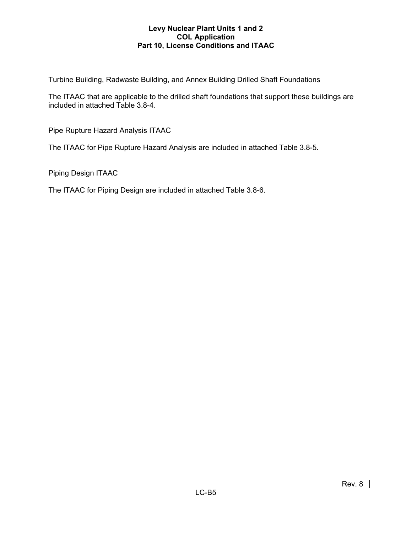Turbine Building, Radwaste Building, and Annex Building Drilled Shaft Foundations

The ITAAC that are applicable to the drilled shaft foundations that support these buildings are included in attached Table 3.8-4.

Pipe Rupture Hazard Analysis ITAAC

The ITAAC for Pipe Rupture Hazard Analysis are included in attached Table 3.8-5.

Piping Design ITAAC

The ITAAC for Piping Design are included in attached Table 3.8-6.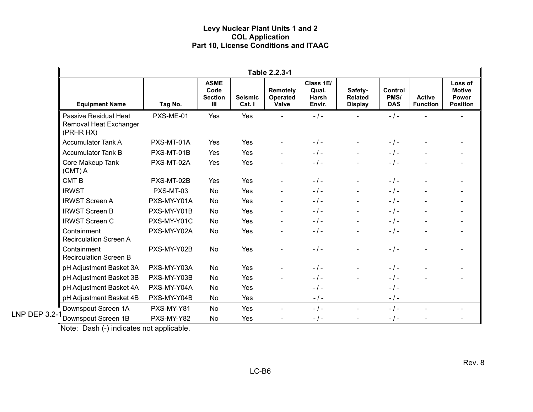|                                                              |             |                                                         |                          | Table 2.2.3-1                 |                                       |                                             |                               |                                  |                                                      |
|--------------------------------------------------------------|-------------|---------------------------------------------------------|--------------------------|-------------------------------|---------------------------------------|---------------------------------------------|-------------------------------|----------------------------------|------------------------------------------------------|
| <b>Equipment Name</b>                                        | Tag No.     | <b>ASME</b><br>Code<br><b>Section</b><br>$\mathbf{III}$ | <b>Seismic</b><br>Cat. I | Remotely<br>Operated<br>Valve | Class 1E/<br>Qual.<br>Harsh<br>Envir. | Safety-<br><b>Related</b><br><b>Display</b> | Control<br>PMS/<br><b>DAS</b> | <b>Active</b><br><b>Function</b> | Loss of<br><b>Motive</b><br>Power<br><b>Position</b> |
| Passive Residual Heat<br>Removal Heat Exchanger<br>(PRHR HX) | PXS-ME-01   | Yes                                                     | Yes                      |                               | $-1-$                                 |                                             | $-$ / $-$                     |                                  |                                                      |
| <b>Accumulator Tank A</b>                                    | PXS-MT-01A  | Yes                                                     | Yes                      |                               | $-1-$                                 |                                             | $-$ / $-$                     |                                  |                                                      |
| <b>Accumulator Tank B</b>                                    | PXS-MT-01B  | Yes                                                     | Yes                      |                               | $-1-$                                 |                                             | $-1-$                         |                                  |                                                      |
| Core Makeup Tank<br>$(CMT)$ A                                | PXS-MT-02A  | Yes                                                     | Yes                      |                               | $-1-$                                 |                                             | $-1 -$                        |                                  |                                                      |
| CMT <sub>B</sub>                                             | PXS-MT-02B  | Yes                                                     | Yes                      | $\blacksquare$                | $-1-$                                 |                                             | $-1-$                         |                                  |                                                      |
| <b>IRWST</b>                                                 | PXS-MT-03   | No                                                      | Yes                      | $\blacksquare$                | $-1-$                                 | $\blacksquare$                              | $-$ / $-$                     |                                  |                                                      |
| <b>IRWST Screen A</b>                                        | PXS-MY-Y01A | No                                                      | Yes                      | $\blacksquare$                | $-1-$                                 |                                             | $-1-$                         |                                  |                                                      |
| <b>IRWST Screen B</b>                                        | PXS-MY-Y01B | No                                                      | Yes                      | $\blacksquare$                | $-1-$                                 |                                             | $-1-$                         |                                  |                                                      |
| <b>IRWST Screen C</b>                                        | PXS-MY-Y01C | No                                                      | Yes                      |                               | $-1-$                                 |                                             | $-1-$                         |                                  |                                                      |
| Containment<br><b>Recirculation Screen A</b>                 | PXS-MY-Y02A | <b>No</b>                                               | Yes                      |                               | $-$ / $-$                             |                                             | $-$ / $-$                     |                                  |                                                      |
| Containment<br><b>Recirculation Screen B</b>                 | PXS-MY-Y02B | No                                                      | Yes                      |                               | $-1-$                                 |                                             | $-1-$                         |                                  |                                                      |
| pH Adjustment Basket 3A                                      | PXS-MY-Y03A | No                                                      | Yes                      |                               | $-1-$                                 |                                             | $-1-$                         |                                  |                                                      |
| pH Adjustment Basket 3B                                      | PXS-MY-Y03B | No                                                      | Yes                      |                               | $-1-$                                 |                                             | $-1-$                         |                                  |                                                      |
| pH Adjustment Basket 4A                                      | PXS-MY-Y04A | No                                                      | Yes                      |                               | $-1-$                                 |                                             | $-$ / $-$                     |                                  |                                                      |
| pH Adjustment Basket 4B                                      | PXS-MY-Y04B | No                                                      | Yes                      |                               | $-$ / $-$                             |                                             | $-$ / $-$                     |                                  |                                                      |
| Downspout Screen 1A                                          | PXS-MY-Y81  | No                                                      | Yes                      | $\blacksquare$                | $-1-$                                 |                                             | $-$ / $-$                     |                                  |                                                      |
| <b>LNP DEP 3.2-1</b><br>Downspout Screen 1B                  | PXS-MY-Y82  | No                                                      | Yes                      |                               | $-$ / $-$                             |                                             | $-$ / $-$                     |                                  |                                                      |

Note: Dash (-) indicates not applicable.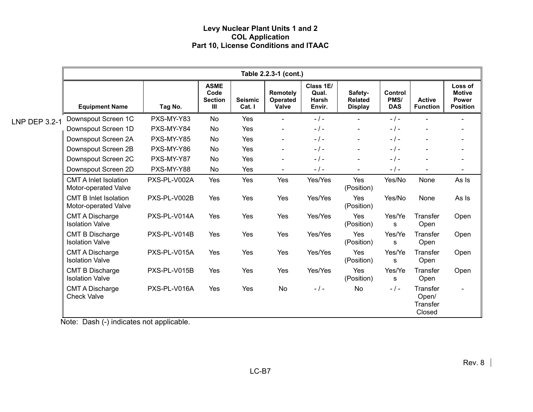|               |                                                      |              |                                                         |                          | Table 2.2.3-1 (cont.)                |                                       |                                             |                                      |                                                |                                                             |
|---------------|------------------------------------------------------|--------------|---------------------------------------------------------|--------------------------|--------------------------------------|---------------------------------------|---------------------------------------------|--------------------------------------|------------------------------------------------|-------------------------------------------------------------|
|               | <b>Equipment Name</b>                                | Tag No.      | <b>ASME</b><br>Code<br><b>Section</b><br>$\mathbf{III}$ | <b>Seismic</b><br>Cat. I | Remotely<br>Operated<br><b>Valve</b> | Class 1E/<br>Qual.<br>Harsh<br>Envir. | Safety-<br><b>Related</b><br><b>Display</b> | <b>Control</b><br>PMS/<br><b>DAS</b> | <b>Active</b><br><b>Function</b>               | Loss of<br><b>Motive</b><br><b>Power</b><br><b>Position</b> |
| LNP DEP 3.2-1 | Downspout Screen 1C                                  | PXS-MY-Y83   | <b>No</b>                                               | Yes                      |                                      | $-1-$                                 |                                             | $-1-$                                |                                                |                                                             |
|               | Downspout Screen 1D                                  | PXS-MY-Y84   | No                                                      | Yes                      | $\blacksquare$                       | $-1-$                                 | $\blacksquare$                              | $-1-$                                | $\overline{\phantom{0}}$                       |                                                             |
|               | Downspout Screen 2A                                  | PXS-MY-Y85   | No                                                      | Yes                      | $\blacksquare$                       | $-$ / $-$                             | $\blacksquare$                              | $-1-$                                |                                                |                                                             |
|               | Downspout Screen 2B                                  | PXS-MY-Y86   | No                                                      | Yes                      | $\blacksquare$                       | $-1-$                                 | $\blacksquare$                              | $-1-$                                | $\blacksquare$                                 |                                                             |
|               | Downspout Screen 2C                                  | PXS-MY-Y87   | No                                                      | Yes                      | $\overline{\phantom{0}}$             | $-1-$                                 | $\blacksquare$                              | $-1-$                                |                                                |                                                             |
|               | Downspout Screen 2D                                  | PXS-MY-Y88   | <b>No</b>                                               | Yes                      | $\sim$                               | $-$ / $-$                             | $\sim$                                      | $-$ / $-$                            | $\blacksquare$                                 | $\overline{\phantom{a}}$                                    |
|               | <b>CMT A Inlet Isolation</b><br>Motor-operated Valve | PXS-PL-V002A | Yes                                                     | Yes                      | Yes                                  | Yes/Yes                               | Yes<br>(Position)                           | Yes/No                               | None                                           | As Is                                                       |
|               | <b>CMT B Inlet Isolation</b><br>Motor-operated Valve | PXS-PL-V002B | Yes                                                     | Yes                      | Yes                                  | Yes/Yes                               | Yes<br>(Position)                           | Yes/No                               | None                                           | As Is                                                       |
|               | <b>CMT A Discharge</b><br><b>Isolation Valve</b>     | PXS-PL-V014A | Yes                                                     | Yes                      | Yes                                  | Yes/Yes                               | Yes<br>(Position)                           | Yes/Ye<br>s                          | <b>Transfer</b><br>Open                        | Open                                                        |
|               | <b>CMT B Discharge</b><br><b>Isolation Valve</b>     | PXS-PL-V014B | Yes                                                     | Yes                      | Yes                                  | Yes/Yes                               | Yes<br>(Position)                           | Yes/Ye<br>s                          | Transfer<br>Open                               | Open                                                        |
|               | <b>CMT A Discharge</b><br><b>Isolation Valve</b>     | PXS-PL-V015A | Yes                                                     | Yes                      | Yes                                  | Yes/Yes                               | Yes<br>(Position)                           | Yes/Ye<br>s                          | Transfer<br>Open                               | Open                                                        |
|               | <b>CMT B Discharge</b><br><b>Isolation Valve</b>     | PXS-PL-V015B | Yes                                                     | Yes                      | Yes                                  | Yes/Yes                               | Yes<br>(Position)                           | Yes/Ye<br>s                          | Transfer<br>Open                               | Open                                                        |
|               | <b>CMT A Discharge</b><br><b>Check Valve</b>         | PXS-PL-V016A | Yes                                                     | Yes                      | <b>No</b>                            | $-1-$                                 | <b>No</b>                                   | $-1-$                                | Transfer<br>Open/<br><b>Transfer</b><br>Closed |                                                             |

Note: Dash (-) indicates not applicable.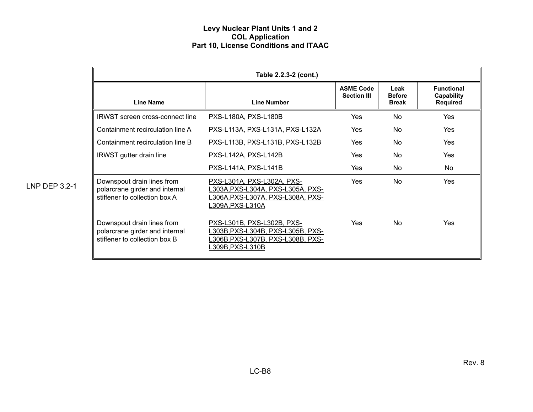|                      |                                                                                               | Table 2.2.3-2 (cont.)                                                                                                         |                                        |                                       |                                                    |
|----------------------|-----------------------------------------------------------------------------------------------|-------------------------------------------------------------------------------------------------------------------------------|----------------------------------------|---------------------------------------|----------------------------------------------------|
|                      | <b>Line Name</b>                                                                              | <b>Line Number</b>                                                                                                            | <b>ASME Code</b><br><b>Section III</b> | Leak<br><b>Before</b><br><b>Break</b> | <b>Functional</b><br>Capability<br><b>Required</b> |
|                      | <b>IRWST</b> screen cross-connect line                                                        | PXS-L180A, PXS-L180B                                                                                                          | Yes                                    | No                                    | Yes                                                |
|                      | Containment recirculation line A                                                              | PXS-L113A, PXS-L131A, PXS-L132A                                                                                               | Yes                                    | <b>No</b>                             | Yes                                                |
|                      | Containment recirculation line B                                                              | PXS-L113B, PXS-L131B, PXS-L132B                                                                                               | Yes                                    | No.                                   | <b>Yes</b>                                         |
|                      | <b>IRWST</b> gutter drain line                                                                | PXS-L142A, PXS-L142B                                                                                                          | Yes                                    | No                                    | Yes                                                |
|                      |                                                                                               | PXS-L141A, PXS-L141B                                                                                                          | Yes                                    | No                                    | No                                                 |
| <b>LNP DEP 3.2-1</b> | Downspout drain lines from<br>polarcrane girder and internal<br>stiffener to collection box A | PXS-L301A, PXS-L302A, PXS-<br>L303A,PXS-L304A, PXS-L305A, PXS-<br>L306A, PXS-L307A, PXS-L308A, PXS-<br>L309A,PXS-L310A        | <b>Yes</b>                             | N <sub>o</sub>                        | Yes                                                |
|                      | Downspout drain lines from<br>polarcrane girder and internal<br>stiffener to collection box B | PXS-L301B, PXS-L302B, PXS-<br>L303B, PXS-L304B, PXS-L305B, PXS-<br><u>L306B,PXS-L307B, PXS-L308B, PXS-</u><br>L309B,PXS-L310B | Yes                                    | N <sub>o</sub>                        | Yes                                                |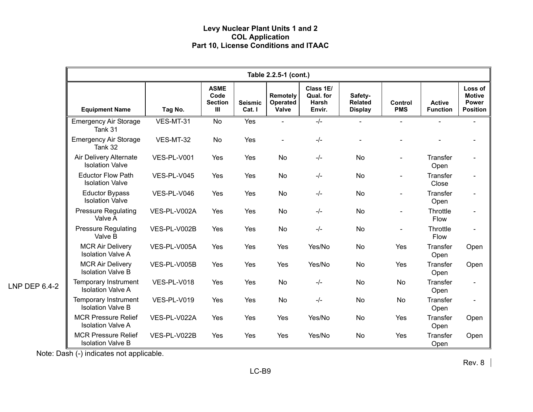|               | Table 2.2.5-1 (cont.)                                   |              |                                                         |                          |                               |                                           |                                             |                       |                                  |                                                             |
|---------------|---------------------------------------------------------|--------------|---------------------------------------------------------|--------------------------|-------------------------------|-------------------------------------------|---------------------------------------------|-----------------------|----------------------------------|-------------------------------------------------------------|
|               | <b>Equipment Name</b>                                   | Tag No.      | <b>ASME</b><br>Code<br><b>Section</b><br>$\mathbf{III}$ | <b>Seismic</b><br>Cat. I | Remotely<br>Operated<br>Valve | Class 1E/<br>Qual. for<br>Harsh<br>Envir. | Safety-<br><b>Related</b><br><b>Display</b> | Control<br><b>PMS</b> | <b>Active</b><br><b>Function</b> | Loss of<br><b>Motive</b><br><b>Power</b><br><b>Position</b> |
|               | <b>Emergency Air Storage</b><br>Tank 31                 | VES-MT-31    | No                                                      | Yes                      | $\sim$                        | $-/-$                                     |                                             |                       |                                  |                                                             |
|               | <b>Emergency Air Storage</b><br>Tank 32                 | VES-MT-32    | <b>No</b>                                               | Yes                      |                               | $-/-$                                     |                                             |                       |                                  |                                                             |
|               | Air Delivery Alternate<br><b>Isolation Valve</b>        | VES-PL-V001  | Yes                                                     | Yes                      | <b>No</b>                     | $-l$                                      | <b>No</b>                                   |                       | <b>Transfer</b><br>Open          |                                                             |
|               | <b>Eductor Flow Path</b><br><b>Isolation Valve</b>      | VES-PL-V045  | Yes                                                     | Yes                      | No                            | $-/-$                                     | No                                          |                       | Transfer<br>Close                |                                                             |
|               | <b>Eductor Bypass</b><br><b>Isolation Valve</b>         | VES-PL-V046  | Yes                                                     | Yes                      | No                            | $-/-$                                     | No                                          |                       | Transfer<br>Open                 |                                                             |
|               | <b>Pressure Regulating</b><br>Valve A                   | VES-PL-V002A | Yes                                                     | Yes                      | <b>No</b>                     | $-l$                                      | <b>No</b>                                   |                       | Throttle<br>Flow                 |                                                             |
|               | <b>Pressure Regulating</b><br>Valve B                   | VES-PL-V002B | Yes                                                     | Yes                      | No                            | $-/-$                                     | <b>No</b>                                   |                       | Throttle<br>Flow                 |                                                             |
|               | <b>MCR Air Delivery</b><br><b>Isolation Valve A</b>     | VES-PL-V005A | Yes                                                     | Yes                      | Yes                           | Yes/No                                    | No                                          | Yes                   | Transfer<br>Open                 | Open                                                        |
|               | <b>MCR Air Delivery</b><br><b>Isolation Valve B</b>     | VES-PL-V005B | Yes                                                     | Yes                      | Yes                           | Yes/No                                    | <b>No</b>                                   | Yes                   | Transfer<br>Open                 | Open                                                        |
| LNP DEP 6.4-2 | <b>Temporary Instrument</b><br><b>Isolation Valve A</b> | VES-PL-V018  | Yes                                                     | Yes                      | <b>No</b>                     | $-l$                                      | <b>No</b>                                   | <b>No</b>             | Transfer<br>Open                 |                                                             |
|               | <b>Temporary Instrument</b><br><b>Isolation Valve B</b> | VES-PL-V019  | Yes                                                     | Yes                      | No                            | $-/-$                                     | No                                          | No                    | Transfer<br>Open                 |                                                             |
|               | <b>MCR Pressure Relief</b><br><b>Isolation Valve A</b>  | VES-PL-V022A | Yes                                                     | Yes                      | Yes                           | Yes/No                                    | <b>No</b>                                   | Yes                   | Transfer<br>Open                 | Open                                                        |
|               | <b>MCR Pressure Relief</b><br><b>Isolation Valve B</b>  | VES-PL-V022B | Yes                                                     | Yes                      | Yes                           | Yes/No                                    | <b>No</b>                                   | Yes                   | Transfer<br>Open                 | Open                                                        |

Note: Dash (-) indicates not applicable.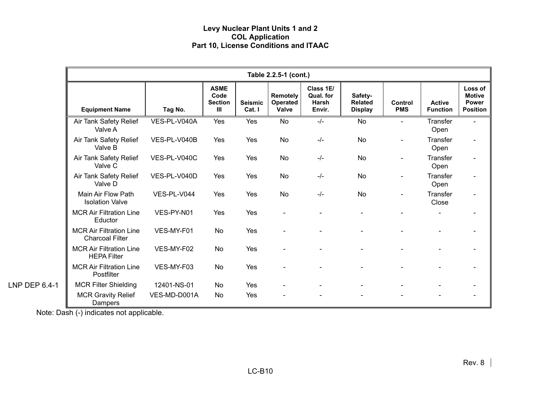|               | Table 2.2.5-1 (cont.)                                    |              |                                              |                          |                                      |                                                  |                                             |                              |                                  |                                                      |
|---------------|----------------------------------------------------------|--------------|----------------------------------------------|--------------------------|--------------------------------------|--------------------------------------------------|---------------------------------------------|------------------------------|----------------------------------|------------------------------------------------------|
|               | <b>Equipment Name</b>                                    | Tag No.      | <b>ASME</b><br>Code<br><b>Section</b><br>III | <b>Seismic</b><br>Cat. I | <b>Remotely</b><br>Operated<br>Valve | Class 1E/<br>Qual. for<br><b>Harsh</b><br>Envir. | Safety-<br><b>Related</b><br><b>Display</b> | <b>Control</b><br><b>PMS</b> | <b>Active</b><br><b>Function</b> | Loss of<br><b>Motive</b><br>Power<br><b>Position</b> |
|               | Air Tank Safety Relief<br>Valve A                        | VES-PL-V040A | Yes                                          | Yes                      | <b>No</b>                            | $-/-$                                            | No                                          | $\overline{\phantom{0}}$     | Transfer<br>Open                 | $\blacksquare$                                       |
|               | Air Tank Safety Relief<br>Valve B                        | VES-PL-V040B | Yes                                          | Yes                      | <b>No</b>                            | $-/-$                                            | <b>No</b>                                   |                              | Transfer<br>Open                 |                                                      |
|               | Air Tank Safety Relief<br>Valve C                        | VES-PL-V040C | Yes                                          | Yes                      | No                                   | $-/-$                                            | <b>No</b>                                   |                              | Transfer<br>Open                 |                                                      |
|               | Air Tank Safety Relief<br>Valve D                        | VES-PL-V040D | Yes                                          | Yes                      | <b>No</b>                            | $-/-$                                            | <b>No</b>                                   |                              | <b>Transfer</b><br>Open          |                                                      |
|               | Main Air Flow Path<br><b>Isolation Valve</b>             | VES-PL-V044  | Yes                                          | Yes                      | No                                   | $-/-$                                            | <b>No</b>                                   |                              | Transfer<br>Close                |                                                      |
|               | <b>MCR Air Filtration Line</b><br>Eductor                | VES-PY-N01   | Yes                                          | Yes                      |                                      |                                                  |                                             |                              |                                  |                                                      |
|               | <b>MCR Air Filtration Line</b><br><b>Charcoal Filter</b> | VES-MY-F01   | <b>No</b>                                    | Yes                      |                                      |                                                  |                                             |                              |                                  |                                                      |
|               | <b>MCR Air Filtration Line</b><br><b>HEPA Filter</b>     | VES-MY-F02   | <b>No</b>                                    | Yes                      |                                      |                                                  |                                             |                              |                                  |                                                      |
|               | <b>MCR Air Filtration Line</b><br>Postfilter             | VES-MY-F03   | No                                           | Yes                      |                                      |                                                  |                                             |                              |                                  |                                                      |
| LNP DEP 6.4-1 | <b>MCR Filter Shielding</b>                              | 12401-NS-01  | No                                           | Yes                      |                                      |                                                  |                                             |                              |                                  |                                                      |
|               | <b>MCR Gravity Relief</b><br>Dampers                     | VES-MD-D001A | No                                           | Yes                      |                                      |                                                  |                                             |                              |                                  |                                                      |

Note: Dash (-) indicates not applicable.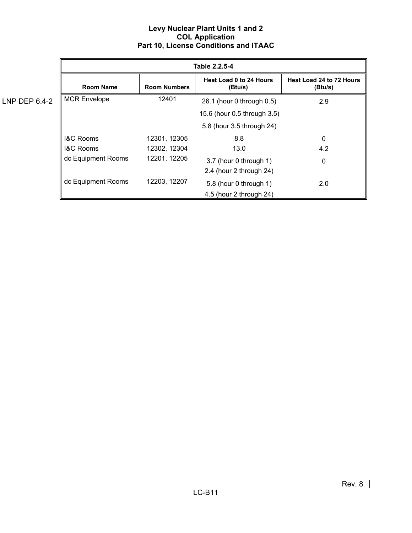|               |                      |                     | Table 2.2.5-4                             |                                     |
|---------------|----------------------|---------------------|-------------------------------------------|-------------------------------------|
|               | <b>Room Name</b>     | <b>Room Numbers</b> | <b>Heat Load 0 to 24 Hours</b><br>(Btu/s) | Heat Load 24 to 72 Hours<br>(Btu/s) |
| LNP DEP 6.4-2 | <b>MCR Envelope</b>  | 12401               | 26.1 (hour 0 through 0.5)                 | 2.9                                 |
|               |                      |                     | 15.6 (hour 0.5 through 3.5)               |                                     |
|               |                      |                     | 5.8 (hour 3.5 through 24)                 |                                     |
|               | <b>I&amp;C Rooms</b> | 12301, 12305        | 8.8                                       | 0                                   |
|               | <b>I&amp;C Rooms</b> | 12302, 12304        | 13.0                                      | 4.2                                 |
|               | dc Equipment Rooms   | 12201, 12205        | 3.7 (hour 0 through 1)                    | 0                                   |
|               |                      |                     | 2.4 (hour 2 through 24)                   |                                     |
|               | dc Equipment Rooms   | 12203, 12207        | 5.8 (hour 0 through 1)                    | 2.0                                 |
|               |                      |                     | 4.5 (hour 2 through 24)                   |                                     |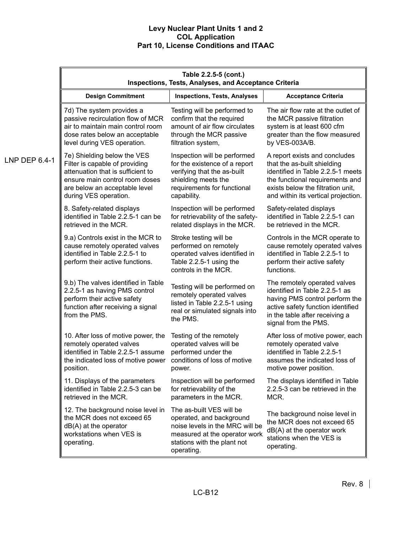|               | Table 2.2.5-5 (cont.)<br><b>Inspections, Tests, Analyses, and Acceptance Criteria</b>                                                                     |                                                                                                                                                                       |                                                                                                                                                                                                 |
|---------------|-----------------------------------------------------------------------------------------------------------------------------------------------------------|-----------------------------------------------------------------------------------------------------------------------------------------------------------------------|-------------------------------------------------------------------------------------------------------------------------------------------------------------------------------------------------|
|               | <b>Design Commitment</b>                                                                                                                                  | <b>Inspections, Tests, Analyses</b>                                                                                                                                   | <b>Acceptance Criteria</b>                                                                                                                                                                      |
|               | 7d) The system provides a                                                                                                                                 | Testing will be performed to                                                                                                                                          | The air flow rate at the outlet of                                                                                                                                                              |
|               | passive recirculation flow of MCR                                                                                                                         | confirm that the required                                                                                                                                             | the MCR passive filtration                                                                                                                                                                      |
|               | air to maintain main control room                                                                                                                         | amount of air flow circulates                                                                                                                                         | system is at least 600 cfm                                                                                                                                                                      |
|               | dose rates below an acceptable                                                                                                                            | through the MCR passive                                                                                                                                               | greater than the flow measured                                                                                                                                                                  |
|               | level during VES operation.                                                                                                                               | filtration system,                                                                                                                                                    | by VES-003A/B.                                                                                                                                                                                  |
| LNP DEP 6.4-1 | 7e) Shielding below the VES                                                                                                                               | Inspection will be performed                                                                                                                                          | A report exists and concludes                                                                                                                                                                   |
|               | Filter is capable of providing                                                                                                                            | for the existence of a report                                                                                                                                         | that the as-built shielding                                                                                                                                                                     |
|               | attenuation that is sufficient to                                                                                                                         | verifying that the as-built                                                                                                                                           | identified in Table 2.2.5-1 meets                                                                                                                                                               |
|               | ensure main control room doses                                                                                                                            | shielding meets the                                                                                                                                                   | the functional requirements and                                                                                                                                                                 |
|               | are below an acceptable level                                                                                                                             | requirements for functional                                                                                                                                           | exists below the filtration unit,                                                                                                                                                               |
|               | during VES operation.                                                                                                                                     | capability.                                                                                                                                                           | and within its vertical projection.                                                                                                                                                             |
|               | 8. Safety-related displays                                                                                                                                | Inspection will be performed                                                                                                                                          | Safety-related displays                                                                                                                                                                         |
|               | identified in Table 2.2.5-1 can be                                                                                                                        | for retrievability of the safety-                                                                                                                                     | identified in Table 2.2.5-1 can                                                                                                                                                                 |
|               | retrieved in the MCR.                                                                                                                                     | related displays in the MCR.                                                                                                                                          | be retrieved in the MCR.                                                                                                                                                                        |
|               | 9.a) Controls exist in the MCR to<br>cause remotely operated valves<br>identified in Table 2.2.5-1 to<br>perform their active functions.                  | Stroke testing will be<br>performed on remotely<br>operated valves identified in<br>Table 2.2.5-1 using the<br>controls in the MCR.                                   | Controls in the MCR operate to<br>cause remotely operated valves<br>identified in Table 2.2.5-1 to<br>perform their active safety<br>functions.                                                 |
|               | 9.b) The valves identified in Table<br>2.2.5-1 as having PMS control<br>perform their active safety<br>function after receiving a signal<br>from the PMS. | Testing will be performed on<br>remotely operated valves<br>listed in Table 2.2.5-1 using<br>real or simulated signals into<br>the PMS.                               | The remotely operated valves<br>identified in Table 2.2.5-1 as<br>having PMS control perform the<br>active safety function identified<br>in the table after receiving a<br>signal from the PMS. |
|               | 10. After loss of motive power, the                                                                                                                       | Testing of the remotely                                                                                                                                               | After loss of motive power, each                                                                                                                                                                |
|               | remotely operated valves                                                                                                                                  | operated valves will be                                                                                                                                               | remotely operated valve                                                                                                                                                                         |
|               | identified in Table 2.2.5-1 assume                                                                                                                        | performed under the                                                                                                                                                   | identified in Table 2.2.5-1                                                                                                                                                                     |
|               | the indicated loss of motive power                                                                                                                        | conditions of loss of motive                                                                                                                                          | assumes the indicated loss of                                                                                                                                                                   |
|               | position.                                                                                                                                                 | power.                                                                                                                                                                | motive power position.                                                                                                                                                                          |
|               | 11. Displays of the parameters                                                                                                                            | Inspection will be performed                                                                                                                                          | The displays identified in Table                                                                                                                                                                |
|               | identified in Table 2.2.5-3 can be                                                                                                                        | for retrievability of the                                                                                                                                             | 2.2.5-3 can be retrieved in the                                                                                                                                                                 |
|               | retrieved in the MCR.                                                                                                                                     | parameters in the MCR.                                                                                                                                                | MCR.                                                                                                                                                                                            |
|               | 12. The background noise level in<br>the MCR does not exceed 65<br>$dB(A)$ at the operator<br>workstations when VES is<br>operating.                      | The as-built VES will be<br>operated, and background<br>noise levels in the MRC will be<br>measured at the operator work<br>stations with the plant not<br>operating. | The background noise level in<br>the MCR does not exceed 65<br>$dB(A)$ at the operator work<br>stations when the VES is<br>operating.                                                           |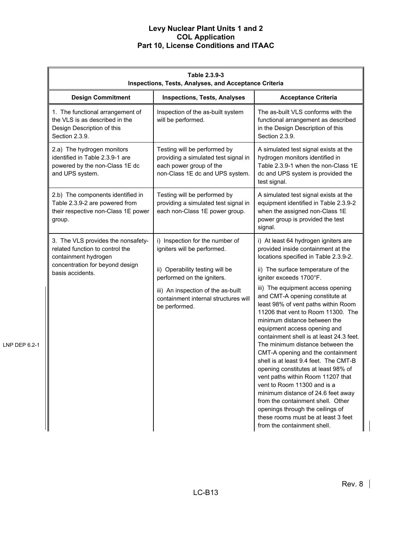|               | Table 2.3.9-3<br>Inspections, Tests, Analyses, and Acceptance Criteria                                                                               |                                                                                                                                    |                                                                                                                                                                                                                                                                                                                                                                                                                                                                                                                                                                                                                                                                                 |
|---------------|------------------------------------------------------------------------------------------------------------------------------------------------------|------------------------------------------------------------------------------------------------------------------------------------|---------------------------------------------------------------------------------------------------------------------------------------------------------------------------------------------------------------------------------------------------------------------------------------------------------------------------------------------------------------------------------------------------------------------------------------------------------------------------------------------------------------------------------------------------------------------------------------------------------------------------------------------------------------------------------|
|               | <b>Design Commitment</b>                                                                                                                             | <b>Inspections, Tests, Analyses</b>                                                                                                | <b>Acceptance Criteria</b>                                                                                                                                                                                                                                                                                                                                                                                                                                                                                                                                                                                                                                                      |
|               | 1. The functional arrangement of<br>the VLS is as described in the<br>Design Description of this<br>Section 2.3.9.                                   | Inspection of the as-built system<br>will be performed.                                                                            | The as-built VLS conforms with the<br>functional arrangement as described<br>in the Design Description of this<br>Section 2.3.9.                                                                                                                                                                                                                                                                                                                                                                                                                                                                                                                                                |
|               | 2.a) The hydrogen monitors<br>identified in Table 2.3.9-1 are<br>powered by the non-Class 1E dc<br>and UPS system.                                   | Testing will be performed by<br>providing a simulated test signal in<br>each power group of the<br>non-Class 1E dc and UPS system. | A simulated test signal exists at the<br>hydrogen monitors identified in<br>Table 2.3.9-1 when the non-Class 1E<br>dc and UPS system is provided the<br>test signal.                                                                                                                                                                                                                                                                                                                                                                                                                                                                                                            |
|               | 2.b) The components identified in<br>Table 2.3.9-2 are powered from<br>their respective non-Class 1E power<br>group.                                 | Testing will be performed by<br>providing a simulated test signal in<br>each non-Class 1E power group.                             | A simulated test signal exists at the<br>equipment identified in Table 2.3.9-2<br>when the assigned non-Class 1E<br>power group is provided the test<br>signal.                                                                                                                                                                                                                                                                                                                                                                                                                                                                                                                 |
|               | 3. The VLS provides the nonsafety-<br>related function to control the<br>containment hydrogen<br>concentration for beyond design<br>basis accidents. | i) Inspection for the number of<br>igniters will be performed.                                                                     | i) At least 64 hydrogen igniters are<br>provided inside containment at the<br>locations specified in Table 2.3.9-2.                                                                                                                                                                                                                                                                                                                                                                                                                                                                                                                                                             |
|               |                                                                                                                                                      | ii) Operability testing will be<br>performed on the igniters.                                                                      | ii) The surface temperature of the<br>igniter exceeds 1700°F.                                                                                                                                                                                                                                                                                                                                                                                                                                                                                                                                                                                                                   |
| LNP DEP 6.2-1 |                                                                                                                                                      | iii) An inspection of the as-built<br>containment internal structures will<br>be performed.                                        | iii) The equipment access opening<br>and CMT-A opening constitute at<br>least 98% of vent paths within Room<br>11206 that vent to Room 11300. The<br>minimum distance between the<br>equipment access opening and<br>containment shell is at least 24.3 feet.<br>The minimum distance between the<br>CMT-A opening and the containment<br>shell is at least 9.4 feet. The CMT-B<br>opening constitutes at least 98% of<br>vent paths within Room 11207 that<br>vent to Room 11300 and is a<br>minimum distance of 24.6 feet away<br>from the containment shell. Other<br>openings through the ceilings of<br>these rooms must be at least 3 feet<br>from the containment shell. |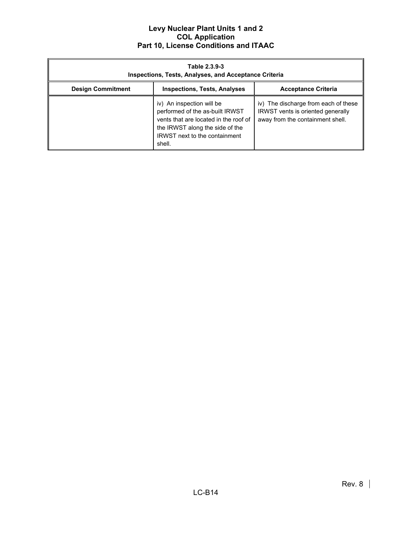| Table 2.3.9-3<br><b>Inspections, Tests, Analyses, and Acceptance Criteria</b> |                                                                                                                                                                                            |                                                                                                               |
|-------------------------------------------------------------------------------|--------------------------------------------------------------------------------------------------------------------------------------------------------------------------------------------|---------------------------------------------------------------------------------------------------------------|
| <b>Design Commitment</b>                                                      | <b>Inspections, Tests, Analyses</b>                                                                                                                                                        | <b>Acceptance Criteria</b>                                                                                    |
|                                                                               | iv) An inspection will be<br>performed of the as-built IRWST<br>vents that are located in the roof of<br>the IRWST along the side of the<br><b>IRWST</b> next to the containment<br>shell. | iv) The discharge from each of these<br>IRWST vents is oriented generally<br>away from the containment shell. |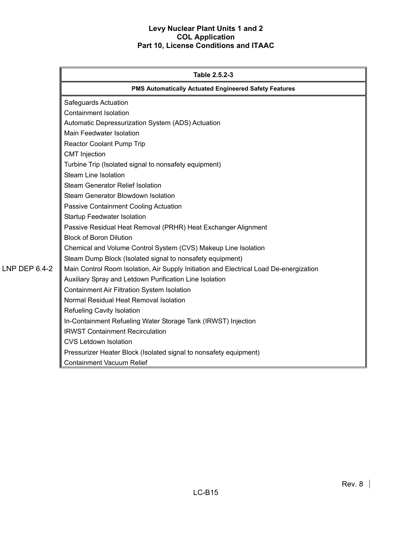|               | Table 2.5.2-3                                                                          |  |
|---------------|----------------------------------------------------------------------------------------|--|
|               | PMS Automatically Actuated Engineered Safety Features                                  |  |
|               | Safeguards Actuation                                                                   |  |
|               | <b>Containment Isolation</b>                                                           |  |
|               | Automatic Depressurization System (ADS) Actuation                                      |  |
|               | Main Feedwater Isolation                                                               |  |
|               | Reactor Coolant Pump Trip                                                              |  |
|               | <b>CMT</b> Injection                                                                   |  |
|               | Turbine Trip (Isolated signal to nonsafety equipment)                                  |  |
|               | Steam Line Isolation                                                                   |  |
|               | <b>Steam Generator Relief Isolation</b>                                                |  |
|               | Steam Generator Blowdown Isolation                                                     |  |
|               | Passive Containment Cooling Actuation                                                  |  |
|               | Startup Feedwater Isolation                                                            |  |
|               | Passive Residual Heat Removal (PRHR) Heat Exchanger Alignment                          |  |
|               | <b>Block of Boron Dilution</b>                                                         |  |
|               | Chemical and Volume Control System (CVS) Makeup Line Isolation                         |  |
|               | Steam Dump Block (Isolated signal to nonsafety equipment)                              |  |
| LNP DEP 6.4-2 | Main Control Room Isolation, Air Supply Initiation and Electrical Load De-energization |  |
|               | Auxiliary Spray and Letdown Purification Line Isolation                                |  |
|               | <b>Containment Air Filtration System Isolation</b>                                     |  |
|               | Normal Residual Heat Removal Isolation                                                 |  |
|               | Refueling Cavity Isolation                                                             |  |
|               | In-Containment Refueling Water Storage Tank (IRWST) Injection                          |  |
|               | <b>IRWST Containment Recirculation</b>                                                 |  |
|               | <b>CVS Letdown Isolation</b>                                                           |  |
|               | Pressurizer Heater Block (Isolated signal to nonsafety equipment)                      |  |
|               | <b>Containment Vacuum Relief</b>                                                       |  |

LC-B15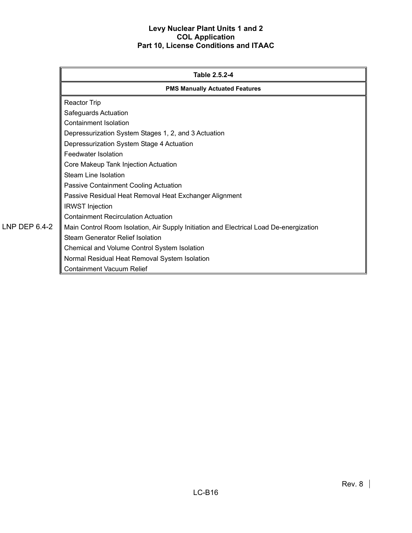|               | Table 2.5.2-4                                                                          |  |
|---------------|----------------------------------------------------------------------------------------|--|
|               | <b>PMS Manually Actuated Features</b>                                                  |  |
|               | <b>Reactor Trip</b>                                                                    |  |
|               | Safeguards Actuation                                                                   |  |
|               | Containment Isolation                                                                  |  |
|               | Depressurization System Stages 1, 2, and 3 Actuation                                   |  |
|               | Depressurization System Stage 4 Actuation                                              |  |
|               | Feedwater Isolation                                                                    |  |
|               | Core Makeup Tank Injection Actuation                                                   |  |
|               | Steam Line Isolation                                                                   |  |
|               | Passive Containment Cooling Actuation                                                  |  |
|               | Passive Residual Heat Removal Heat Exchanger Alignment                                 |  |
|               | <b>IRWST</b> Injection                                                                 |  |
|               | <b>Containment Recirculation Actuation</b>                                             |  |
| LNP DEP 6.4-2 | Main Control Room Isolation, Air Supply Initiation and Electrical Load De-energization |  |
|               | <b>Steam Generator Relief Isolation</b>                                                |  |
|               | Chemical and Volume Control System Isolation                                           |  |
|               | Normal Residual Heat Removal System Isolation                                          |  |
|               | <b>Containment Vacuum Relief</b>                                                       |  |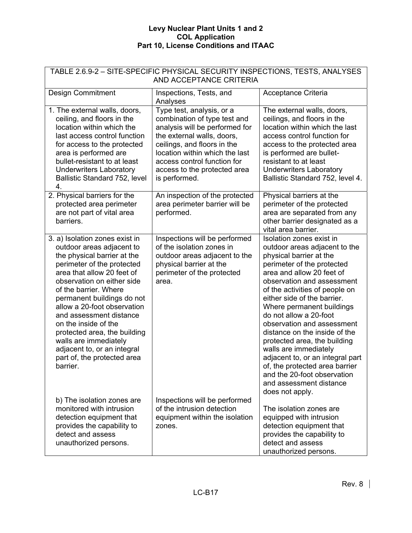| TABLE 2.6.9-2 - SITE-SPECIFIC PHYSICAL SECURITY INSPECTIONS, TESTS, ANALYSES<br>AND ACCEPTANCE CRITERIA                                                                                                                                                                                                                                                                                                                                                          |                                                                                                                                                                                                                                                                            |                                                                                                                                                                                                                                                                                                                                                                                                                                                                                                                                                                                  |  |
|------------------------------------------------------------------------------------------------------------------------------------------------------------------------------------------------------------------------------------------------------------------------------------------------------------------------------------------------------------------------------------------------------------------------------------------------------------------|----------------------------------------------------------------------------------------------------------------------------------------------------------------------------------------------------------------------------------------------------------------------------|----------------------------------------------------------------------------------------------------------------------------------------------------------------------------------------------------------------------------------------------------------------------------------------------------------------------------------------------------------------------------------------------------------------------------------------------------------------------------------------------------------------------------------------------------------------------------------|--|
| <b>Design Commitment</b>                                                                                                                                                                                                                                                                                                                                                                                                                                         | Inspections, Tests, and<br>Analyses                                                                                                                                                                                                                                        | Acceptance Criteria                                                                                                                                                                                                                                                                                                                                                                                                                                                                                                                                                              |  |
| 1. The external walls, doors,<br>ceiling, and floors in the<br>location within which the<br>last access control function<br>for access to the protected<br>area is performed are<br>bullet-resistant to at least<br><b>Underwriters Laboratory</b><br>Ballistic Standard 752, level<br>4.                                                                                                                                                                        | Type test, analysis, or a<br>combination of type test and<br>analysis will be performed for<br>the external walls, doors,<br>ceilings, and floors in the<br>location within which the last<br>access control function for<br>access to the protected area<br>is performed. | The external walls, doors,<br>ceilings, and floors in the<br>location within which the last<br>access control function for<br>access to the protected area<br>is performed are bullet-<br>resistant to at least<br><b>Underwriters Laboratory</b><br>Ballistic Standard 752, level 4.                                                                                                                                                                                                                                                                                            |  |
| 2. Physical barriers for the<br>protected area perimeter<br>are not part of vital area<br>barriers.                                                                                                                                                                                                                                                                                                                                                              | An inspection of the protected<br>area perimeter barrier will be<br>performed.                                                                                                                                                                                             | Physical barriers at the<br>perimeter of the protected<br>area are separated from any<br>other barrier designated as a<br>vital area barrier.                                                                                                                                                                                                                                                                                                                                                                                                                                    |  |
| 3. a) Isolation zones exist in<br>outdoor areas adjacent to<br>the physical barrier at the<br>perimeter of the protected<br>area that allow 20 feet of<br>observation on either side<br>of the barrier. Where<br>permanent buildings do not<br>allow a 20-foot observation<br>and assessment distance<br>on the inside of the<br>protected area, the building<br>walls are immediately<br>adjacent to, or an integral<br>part of, the protected area<br>barrier. | Inspections will be performed<br>of the isolation zones in<br>outdoor areas adjacent to the<br>physical barrier at the<br>perimeter of the protected<br>area.                                                                                                              | Isolation zones exist in<br>outdoor areas adjacent to the<br>physical barrier at the<br>perimeter of the protected<br>area and allow 20 feet of<br>observation and assessment<br>of the activities of people on<br>either side of the barrier.<br>Where permanent buildings<br>do not allow a 20-foot<br>observation and assessment<br>distance on the inside of the<br>protected area, the building<br>walls are immediately<br>adjacent to, or an integral part<br>of, the protected area barrier<br>and the 20-foot observation<br>and assessment distance<br>does not apply. |  |
| b) The isolation zones are<br>monitored with intrusion<br>detection equipment that<br>provides the capability to<br>detect and assess<br>unauthorized persons.                                                                                                                                                                                                                                                                                                   | Inspections will be performed<br>of the intrusion detection<br>equipment within the isolation<br>zones.                                                                                                                                                                    | The isolation zones are<br>equipped with intrusion<br>detection equipment that<br>provides the capability to<br>detect and assess<br>unauthorized persons.                                                                                                                                                                                                                                                                                                                                                                                                                       |  |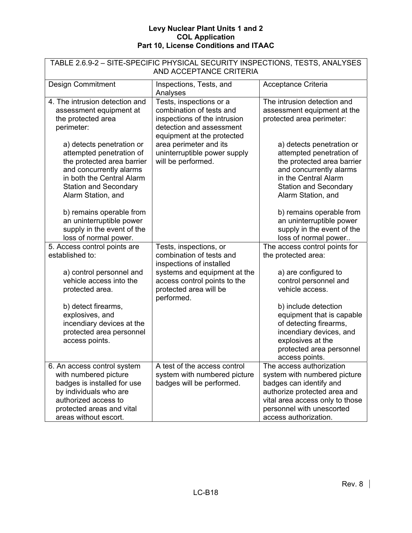| TABLE 2.6.9-2 - SITE-SPECIFIC PHYSICAL SECURITY INSPECTIONS, TESTS, ANALYSES<br>AND ACCEPTANCE CRITERIA                                                                                                                                                                                                                        |                                                                                                                                                                                                                               |                                                                                                                                                                                                                                                                                                                     |  |
|--------------------------------------------------------------------------------------------------------------------------------------------------------------------------------------------------------------------------------------------------------------------------------------------------------------------------------|-------------------------------------------------------------------------------------------------------------------------------------------------------------------------------------------------------------------------------|---------------------------------------------------------------------------------------------------------------------------------------------------------------------------------------------------------------------------------------------------------------------------------------------------------------------|--|
| <b>Design Commitment</b>                                                                                                                                                                                                                                                                                                       | Inspections, Tests, and<br>Analyses                                                                                                                                                                                           | Acceptance Criteria                                                                                                                                                                                                                                                                                                 |  |
| 4. The intrusion detection and<br>assessment equipment at<br>the protected area<br>perimeter:<br>a) detects penetration or<br>attempted penetration of<br>the protected area barrier<br>and concurrently alarms<br>in both the Central Alarm<br><b>Station and Secondary</b><br>Alarm Station, and<br>b) remains operable from | Tests, inspections or a<br>combination of tests and<br>inspections of the intrusion<br>detection and assessment<br>equipment at the protected<br>area perimeter and its<br>uninterruptible power supply<br>will be performed. | The intrusion detection and<br>assessment equipment at the<br>protected area perimeter:<br>a) detects penetration or<br>attempted penetration of<br>the protected area barrier<br>and concurrently alarms<br>in the Central Alarm<br><b>Station and Secondary</b><br>Alarm Station, and<br>b) remains operable from |  |
| an uninterruptible power<br>supply in the event of the<br>loss of normal power.                                                                                                                                                                                                                                                |                                                                                                                                                                                                                               | an uninterruptible power<br>supply in the event of the<br>loss of normal power                                                                                                                                                                                                                                      |  |
| 5. Access control points are<br>established to:<br>a) control personnel and<br>vehicle access into the                                                                                                                                                                                                                         | Tests, inspections, or<br>combination of tests and<br>inspections of installed<br>systems and equipment at the<br>access control points to the                                                                                | The access control points for<br>the protected area:<br>a) are configured to<br>control personnel and                                                                                                                                                                                                               |  |
| protected area.                                                                                                                                                                                                                                                                                                                | protected area will be<br>performed.                                                                                                                                                                                          | vehicle access.                                                                                                                                                                                                                                                                                                     |  |
| b) detect firearms,<br>explosives, and<br>incendiary devices at the<br>protected area personnel<br>access points.                                                                                                                                                                                                              |                                                                                                                                                                                                                               | b) include detection<br>equipment that is capable<br>of detecting firearms,<br>incendiary devices, and<br>explosives at the<br>protected area personnel<br>access points.                                                                                                                                           |  |
| 6. An access control system<br>with numbered picture<br>badges is installed for use<br>by individuals who are<br>authorized access to<br>protected areas and vital<br>areas without escort.                                                                                                                                    | A test of the access control<br>system with numbered picture<br>badges will be performed.                                                                                                                                     | The access authorization<br>system with numbered picture<br>badges can identify and<br>authorize protected area and<br>vital area access only to those<br>personnel with unescorted<br>access authorization.                                                                                                        |  |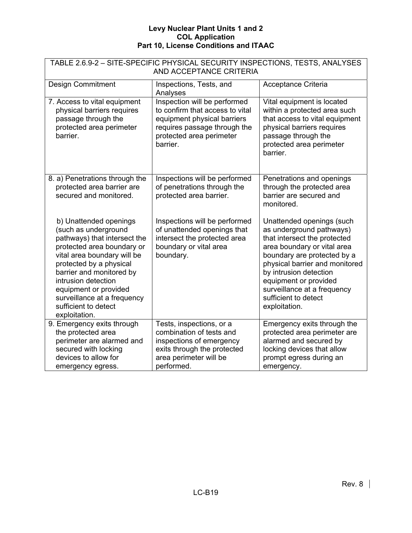| TABLE 2.6.9-2 - SITE-SPECIFIC PHYSICAL SECURITY INSPECTIONS, TESTS, ANALYSES<br>AND ACCEPTANCE CRITERIA                                                                                                                                                                                                                    |                                                                                                                                                                        |                                                                                                                                                                                                                                                                                                                  |  |
|----------------------------------------------------------------------------------------------------------------------------------------------------------------------------------------------------------------------------------------------------------------------------------------------------------------------------|------------------------------------------------------------------------------------------------------------------------------------------------------------------------|------------------------------------------------------------------------------------------------------------------------------------------------------------------------------------------------------------------------------------------------------------------------------------------------------------------|--|
| <b>Design Commitment</b>                                                                                                                                                                                                                                                                                                   | Inspections, Tests, and<br>Analyses                                                                                                                                    | Acceptance Criteria                                                                                                                                                                                                                                                                                              |  |
| 7. Access to vital equipment<br>physical barriers requires<br>passage through the<br>protected area perimeter<br>barrier.                                                                                                                                                                                                  | Inspection will be performed<br>to confirm that access to vital<br>equipment physical barriers<br>requires passage through the<br>protected area perimeter<br>barrier. | Vital equipment is located<br>within a protected area such<br>that access to vital equipment<br>physical barriers requires<br>passage through the<br>protected area perimeter<br>barrier.                                                                                                                        |  |
| 8. a) Penetrations through the<br>protected area barrier are<br>secured and monitored.                                                                                                                                                                                                                                     | Inspections will be performed<br>of penetrations through the<br>protected area barrier.                                                                                | Penetrations and openings<br>through the protected area<br>barrier are secured and<br>monitored.                                                                                                                                                                                                                 |  |
| b) Unattended openings<br>(such as underground<br>pathways) that intersect the<br>protected area boundary or<br>vital area boundary will be<br>protected by a physical<br>barrier and monitored by<br>intrusion detection<br>equipment or provided<br>surveillance at a frequency<br>sufficient to detect<br>exploitation. | Inspections will be performed<br>of unattended openings that<br>intersect the protected area<br>boundary or vital area<br>boundary.                                    | Unattended openings (such<br>as underground pathways)<br>that intersect the protected<br>area boundary or vital area<br>boundary are protected by a<br>physical barrier and monitored<br>by intrusion detection<br>equipment or provided<br>surveillance at a frequency<br>sufficient to detect<br>exploitation. |  |
| 9. Emergency exits through<br>the protected area<br>perimeter are alarmed and<br>secured with locking<br>devices to allow for<br>emergency egress.                                                                                                                                                                         | Tests, inspections, or a<br>combination of tests and<br>inspections of emergency<br>exits through the protected<br>area perimeter will be<br>performed.                | Emergency exits through the<br>protected area perimeter are<br>alarmed and secured by<br>locking devices that allow<br>prompt egress during an<br>emergency.                                                                                                                                                     |  |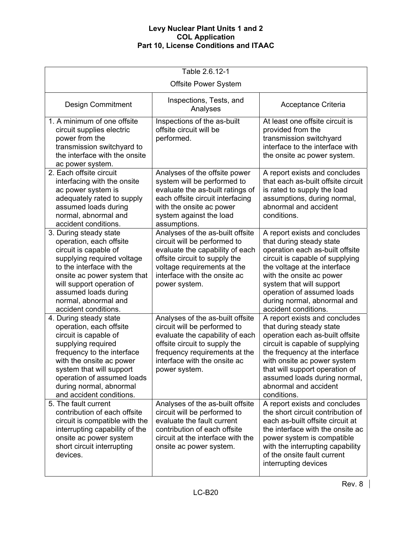| Table 2.6.12-1                                                                                                                                                                                                                                                              |                                                                                                                                                                                                                        |                                                                                                                                                                                                                                                                                                              |  |
|-----------------------------------------------------------------------------------------------------------------------------------------------------------------------------------------------------------------------------------------------------------------------------|------------------------------------------------------------------------------------------------------------------------------------------------------------------------------------------------------------------------|--------------------------------------------------------------------------------------------------------------------------------------------------------------------------------------------------------------------------------------------------------------------------------------------------------------|--|
|                                                                                                                                                                                                                                                                             | <b>Offsite Power System</b>                                                                                                                                                                                            |                                                                                                                                                                                                                                                                                                              |  |
| <b>Design Commitment</b>                                                                                                                                                                                                                                                    | Inspections, Tests, and<br>Analyses                                                                                                                                                                                    | Acceptance Criteria                                                                                                                                                                                                                                                                                          |  |
| 1. A minimum of one offsite<br>circuit supplies electric<br>power from the<br>transmission switchyard to<br>the interface with the onsite<br>ac power system.                                                                                                               | Inspections of the as-built<br>offsite circuit will be<br>performed.                                                                                                                                                   | At least one offsite circuit is<br>provided from the<br>transmission switchyard<br>interface to the interface with<br>the onsite ac power system.                                                                                                                                                            |  |
| 2. Each offsite circuit<br>interfacing with the onsite<br>ac power system is<br>adequately rated to supply<br>assumed loads during<br>normal, abnormal and<br>accident conditions.                                                                                          | Analyses of the offsite power<br>system will be performed to<br>evaluate the as-built ratings of<br>each offsite circuit interfacing<br>with the onsite ac power<br>system against the load<br>assumptions.            | A report exists and concludes<br>that each as-built offsite circuit<br>is rated to supply the load<br>assumptions, during normal,<br>abnormal and accident<br>conditions.                                                                                                                                    |  |
| 3. During steady state<br>operation, each offsite<br>circuit is capable of<br>supplying required voltage<br>to the interface with the<br>onsite ac power system that<br>will support operation of<br>assumed loads during<br>normal, abnormal and<br>accident conditions.   | Analyses of the as-built offsite<br>circuit will be performed to<br>evaluate the capability of each<br>offsite circuit to supply the<br>voltage requirements at the<br>interface with the onsite ac<br>power system.   | A report exists and concludes<br>that during steady state<br>operation each as-built offsite<br>circuit is capable of supplying<br>the voltage at the interface<br>with the onsite ac power<br>system that will support<br>operation of assumed loads<br>during normal, abnormal and<br>accident conditions. |  |
| 4. During steady state<br>operation, each offsite<br>circuit is capable of<br>supplying required<br>frequency to the interface<br>with the onsite ac power<br>system that will support<br>operation of assumed loads<br>during normal, abnormal<br>and accident conditions. | Analyses of the as-built offsite<br>circuit will be performed to<br>evaluate the capability of each<br>offsite circuit to supply the<br>frequency requirements at the<br>interface with the onsite ac<br>power system. | A report exists and concludes<br>that during steady state<br>operation each as-built offsite<br>circuit is capable of supplying<br>the frequency at the interface<br>with onsite ac power system<br>that will support operation of<br>assumed loads during normal,<br>abnormal and accident<br>conditions.   |  |
| 5. The fault current<br>contribution of each offsite<br>circuit is compatible with the<br>interrupting capability of the<br>onsite ac power system<br>short circuit interrupting<br>devices.                                                                                | Analyses of the as-built offsite<br>circuit will be performed to<br>evaluate the fault current<br>contribution of each offsite<br>circuit at the interface with the<br>onsite ac power system.                         | A report exists and concludes<br>the short circuit contribution of<br>each as-built offsite circuit at<br>the interface with the onsite ac<br>power system is compatible<br>with the interrupting capability<br>of the onsite fault current<br>interrupting devices                                          |  |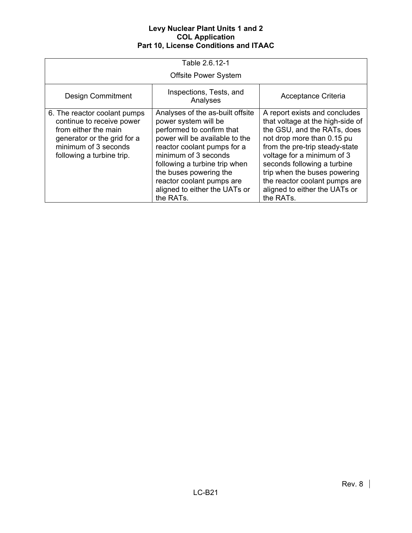| Table 2.6.12-1                                                                                                                                                        |                                                                                                                                                                                                                                                                                                                      |                                                                                                                                                                                                                                                                                                                                              |  |
|-----------------------------------------------------------------------------------------------------------------------------------------------------------------------|----------------------------------------------------------------------------------------------------------------------------------------------------------------------------------------------------------------------------------------------------------------------------------------------------------------------|----------------------------------------------------------------------------------------------------------------------------------------------------------------------------------------------------------------------------------------------------------------------------------------------------------------------------------------------|--|
|                                                                                                                                                                       | <b>Offsite Power System</b>                                                                                                                                                                                                                                                                                          |                                                                                                                                                                                                                                                                                                                                              |  |
| <b>Design Commitment</b>                                                                                                                                              | Inspections, Tests, and<br>Analyses                                                                                                                                                                                                                                                                                  | Acceptance Criteria                                                                                                                                                                                                                                                                                                                          |  |
| 6. The reactor coolant pumps<br>continue to receive power<br>from either the main<br>generator or the grid for a<br>minimum of 3 seconds<br>following a turbine trip. | Analyses of the as-built offsite<br>power system will be<br>performed to confirm that<br>power will be available to the<br>reactor coolant pumps for a<br>minimum of 3 seconds<br>following a turbine trip when<br>the buses powering the<br>reactor coolant pumps are<br>aligned to either the UATs or<br>the RATs. | A report exists and concludes<br>that voltage at the high-side of<br>the GSU, and the RATs, does<br>not drop more than 0.15 pu<br>from the pre-trip steady-state<br>voltage for a minimum of 3<br>seconds following a turbine<br>trip when the buses powering<br>the reactor coolant pumps are<br>aligned to either the UATs or<br>the RATs. |  |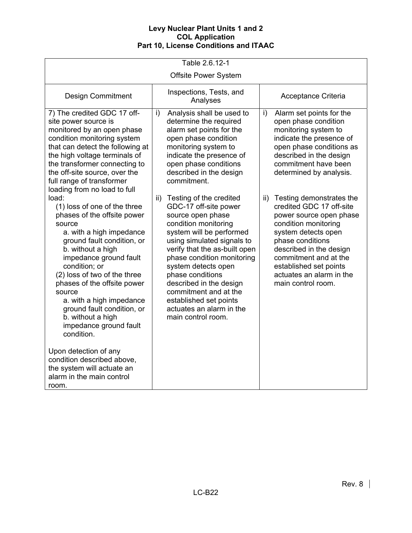| Table 2.6.12-1                                                                                                                                                                                                                                                                                                                                                                                                                                                                                                                      |                                                                                                                                                                                                                                                                                                                                                                                                          |                                                                                                                                                                                                                                                                                        |  |  |
|-------------------------------------------------------------------------------------------------------------------------------------------------------------------------------------------------------------------------------------------------------------------------------------------------------------------------------------------------------------------------------------------------------------------------------------------------------------------------------------------------------------------------------------|----------------------------------------------------------------------------------------------------------------------------------------------------------------------------------------------------------------------------------------------------------------------------------------------------------------------------------------------------------------------------------------------------------|----------------------------------------------------------------------------------------------------------------------------------------------------------------------------------------------------------------------------------------------------------------------------------------|--|--|
| <b>Offsite Power System</b>                                                                                                                                                                                                                                                                                                                                                                                                                                                                                                         |                                                                                                                                                                                                                                                                                                                                                                                                          |                                                                                                                                                                                                                                                                                        |  |  |
| <b>Design Commitment</b>                                                                                                                                                                                                                                                                                                                                                                                                                                                                                                            | Inspections, Tests, and<br>Analyses                                                                                                                                                                                                                                                                                                                                                                      | Acceptance Criteria                                                                                                                                                                                                                                                                    |  |  |
| 7) The credited GDC 17 off-<br>site power source is<br>monitored by an open phase<br>condition monitoring system<br>that can detect the following at<br>the high voltage terminals of<br>the transformer connecting to<br>the off-site source, over the<br>full range of transformer<br>loading from no load to full                                                                                                                                                                                                                | Analysis shall be used to<br>i)<br>determine the required<br>alarm set points for the<br>open phase condition<br>monitoring system to<br>indicate the presence of<br>open phase conditions<br>described in the design<br>commitment.                                                                                                                                                                     | i)<br>Alarm set points for the<br>open phase condition<br>monitoring system to<br>indicate the presence of<br>open phase conditions as<br>described in the design<br>commitment have been<br>determined by analysis.                                                                   |  |  |
| load:<br>(1) loss of one of the three<br>phases of the offsite power<br>source<br>a. with a high impedance<br>ground fault condition, or<br>b. without a high<br>impedance ground fault<br>condition; or<br>(2) loss of two of the three<br>phases of the offsite power<br>source<br>a. with a high impedance<br>ground fault condition, or<br>b. without a high<br>impedance ground fault<br>condition.<br>Upon detection of any<br>condition described above,<br>the system will actuate an<br>alarm in the main control<br>room. | Testing of the credited<br>ii)<br>GDC-17 off-site power<br>source open phase<br>condition monitoring<br>system will be performed<br>using simulated signals to<br>verify that the as-built open<br>phase condition monitoring<br>system detects open<br>phase conditions<br>described in the design<br>commitment and at the<br>established set points<br>actuates an alarm in the<br>main control room. | ii) Testing demonstrates the<br>credited GDC 17 off-site<br>power source open phase<br>condition monitoring<br>system detects open<br>phase conditions<br>described in the design<br>commitment and at the<br>established set points<br>actuates an alarm in the<br>main control room. |  |  |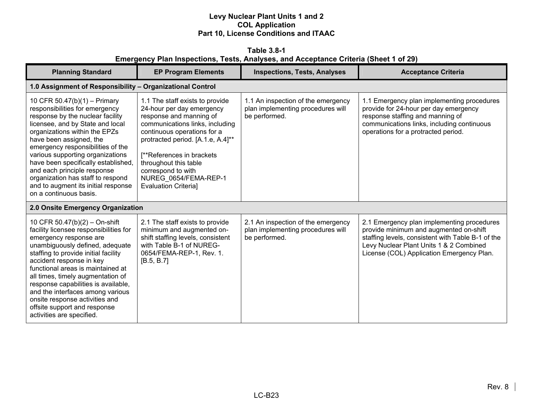**Table 3.8-1 Emergency Plan Inspections, Tests, Analyses, and Acceptance Criteria (Sheet 1 of 29)** 

| <b>Planning Standard</b>                                                                                                                                                                                                                                                                                                                                                                                                                                     | <b>EP Program Elements</b>                                                                                                                                                                                                                                                                                                          | <b>Inspections, Tests, Analyses</b>                                                      | <b>Acceptance Criteria</b>                                                                                                                                                                                                        |
|--------------------------------------------------------------------------------------------------------------------------------------------------------------------------------------------------------------------------------------------------------------------------------------------------------------------------------------------------------------------------------------------------------------------------------------------------------------|-------------------------------------------------------------------------------------------------------------------------------------------------------------------------------------------------------------------------------------------------------------------------------------------------------------------------------------|------------------------------------------------------------------------------------------|-----------------------------------------------------------------------------------------------------------------------------------------------------------------------------------------------------------------------------------|
| 1.0 Assignment of Responsibility - Organizational Control                                                                                                                                                                                                                                                                                                                                                                                                    |                                                                                                                                                                                                                                                                                                                                     |                                                                                          |                                                                                                                                                                                                                                   |
| 10 CFR 50.47(b)(1) - Primary<br>responsibilities for emergency<br>response by the nuclear facility<br>licensee, and by State and local<br>organizations within the EPZs<br>have been assigned, the<br>emergency responsibilities of the<br>various supporting organizations<br>have been specifically established,<br>and each principle response<br>organization has staff to respond<br>and to augment its initial response<br>on a continuous basis.      | 1.1 The staff exists to provide<br>24-hour per day emergency<br>response and manning of<br>communications links, including<br>continuous operations for a<br>protracted period. [A.1.e, A.4]**<br>[**References in brackets]<br>throughout this table<br>correspond to with<br>NUREG 0654/FEMA-REP-1<br><b>Evaluation Criterial</b> | 1.1 An inspection of the emergency<br>plan implementing procedures will<br>be performed. | 1.1 Emergency plan implementing procedures<br>provide for 24-hour per day emergency<br>response staffing and manning of<br>communications links, including continuous<br>operations for a protracted period.                      |
| 2.0 Onsite Emergency Organization                                                                                                                                                                                                                                                                                                                                                                                                                            |                                                                                                                                                                                                                                                                                                                                     |                                                                                          |                                                                                                                                                                                                                                   |
| 10 CFR 50.47(b)(2) - On-shift<br>facility licensee responsibilities for<br>emergency response are<br>unambiguously defined, adequate<br>staffing to provide initial facility<br>accident response in key<br>functional areas is maintained at<br>all times, timely augmentation of<br>response capabilities is available,<br>and the interfaces among various<br>onsite response activities and<br>offsite support and response<br>activities are specified. | 2.1 The staff exists to provide<br>minimum and augmented on-<br>shift staffing levels, consistent<br>with Table B-1 of NUREG-<br>0654/FEMA-REP-1, Rev. 1.<br>[B.5, B.7]                                                                                                                                                             | 2.1 An inspection of the emergency<br>plan implementing procedures will<br>be performed. | 2.1 Emergency plan implementing procedures<br>provide minimum and augmented on-shift<br>staffing levels, consistent with Table B-1 of the<br>Levy Nuclear Plant Units 1 & 2 Combined<br>License (COL) Application Emergency Plan. |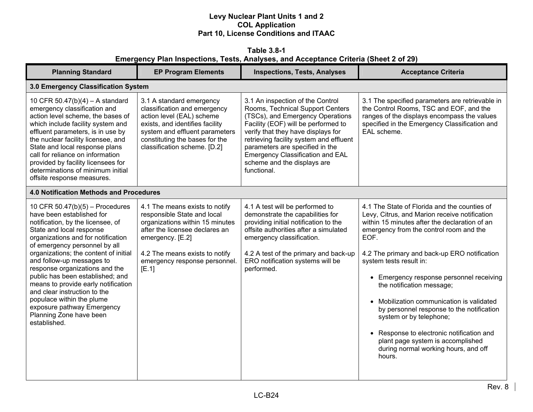**Table 3.8-1 Emergency Plan Inspections, Tests, Analyses, and Acceptance Criteria (Sheet 2 of 29)** 

| <b>Planning Standard</b>                                                                                                                                                                                                                                                                                                                                                                                                                                                                                                      | <b>EP Program Elements</b>                                                                                                                                                                                                         | <b>Inspections, Tests, Analyses</b>                                                                                                                                                                                                                                                                                                                          | <b>Acceptance Criteria</b>                                                                                                                                                                                                                                                                                                                                                                                                                                                                                                                                                                                     |
|-------------------------------------------------------------------------------------------------------------------------------------------------------------------------------------------------------------------------------------------------------------------------------------------------------------------------------------------------------------------------------------------------------------------------------------------------------------------------------------------------------------------------------|------------------------------------------------------------------------------------------------------------------------------------------------------------------------------------------------------------------------------------|--------------------------------------------------------------------------------------------------------------------------------------------------------------------------------------------------------------------------------------------------------------------------------------------------------------------------------------------------------------|----------------------------------------------------------------------------------------------------------------------------------------------------------------------------------------------------------------------------------------------------------------------------------------------------------------------------------------------------------------------------------------------------------------------------------------------------------------------------------------------------------------------------------------------------------------------------------------------------------------|
| 3.0 Emergency Classification System                                                                                                                                                                                                                                                                                                                                                                                                                                                                                           |                                                                                                                                                                                                                                    |                                                                                                                                                                                                                                                                                                                                                              |                                                                                                                                                                                                                                                                                                                                                                                                                                                                                                                                                                                                                |
| 10 CFR 50.47(b)(4) - A standard<br>emergency classification and<br>action level scheme, the bases of<br>which include facility system and<br>effluent parameters, is in use by<br>the nuclear facility licensee, and<br>State and local response plans<br>call for reliance on information<br>provided by facility licensees for<br>determinations of minimum initial<br>offsite response measures.                                                                                                                           | 3.1 A standard emergency<br>classification and emergency<br>action level (EAL) scheme<br>exists, and identifies facility<br>system and effluent parameters<br>constituting the bases for the<br>classification scheme. [D.2]       | 3.1 An inspection of the Control<br>Rooms, Technical Support Centers<br>(TSCs), and Emergency Operations<br>Facility (EOF) will be performed to<br>verify that they have displays for<br>retrieving facility system and effluent<br>parameters are specified in the<br><b>Emergency Classification and EAL</b><br>scheme and the displays are<br>functional. | 3.1 The specified parameters are retrievable in<br>the Control Rooms, TSC and EOF, and the<br>ranges of the displays encompass the values<br>specified in the Emergency Classification and<br>EAL scheme.                                                                                                                                                                                                                                                                                                                                                                                                      |
| <b>4.0 Notification Methods and Procedures</b>                                                                                                                                                                                                                                                                                                                                                                                                                                                                                |                                                                                                                                                                                                                                    |                                                                                                                                                                                                                                                                                                                                                              |                                                                                                                                                                                                                                                                                                                                                                                                                                                                                                                                                                                                                |
| 10 CFR 50.47(b)(5) - Procedures<br>have been established for<br>notification, by the licensee, of<br>State and local response<br>organizations and for notification<br>of emergency personnel by all<br>organizations; the content of initial<br>and follow-up messages to<br>response organizations and the<br>public has been established; and<br>means to provide early notification<br>and clear instruction to the<br>populace within the plume<br>exposure pathway Emergency<br>Planning Zone have been<br>established. | 4.1 The means exists to notify<br>responsible State and local<br>organizations within 15 minutes<br>after the licensee declares an<br>emergency. [E.2]<br>4.2 The means exists to notify<br>emergency response personnel.<br>[E.1] | 4.1 A test will be performed to<br>demonstrate the capabilities for<br>providing initial notification to the<br>offsite authorities after a simulated<br>emergency classification.<br>4.2 A test of the primary and back-up<br>ERO notification systems will be<br>performed.                                                                                | 4.1 The State of Florida and the counties of<br>Levy, Citrus, and Marion receive notification<br>within 15 minutes after the declaration of an<br>emergency from the control room and the<br>EOF.<br>4.2 The primary and back-up ERO notification<br>system tests result in:<br>• Emergency response personnel receiving<br>the notification message;<br>• Mobilization communication is validated<br>by personnel response to the notification<br>system or by telephone;<br>• Response to electronic notification and<br>plant page system is accomplished<br>during normal working hours, and off<br>hours. |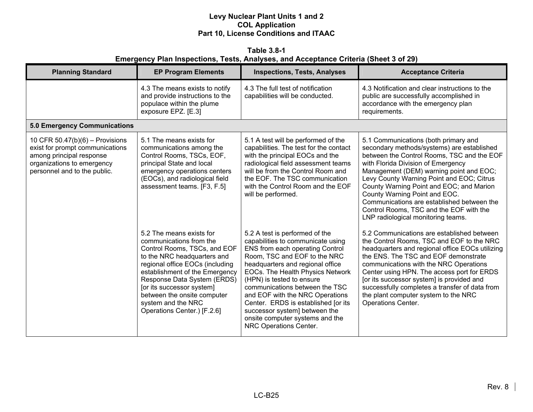**Table 3.8-1 Emergency Plan Inspections, Tests, Analyses, and Acceptance Criteria (Sheet 3 of 29)** 

| <b>Planning Standard</b>                                                                                                                                       | <b>EP Program Elements</b>                                                                                                                                                                                                                                                                                                              | <b>Inspections, Tests, Analyses</b>                                                                                                                                                                                                                                                                                                                                                                                                                   | <b>Acceptance Criteria</b>                                                                                                                                                                                                                                                                                                                                                                                                                                                 |
|----------------------------------------------------------------------------------------------------------------------------------------------------------------|-----------------------------------------------------------------------------------------------------------------------------------------------------------------------------------------------------------------------------------------------------------------------------------------------------------------------------------------|-------------------------------------------------------------------------------------------------------------------------------------------------------------------------------------------------------------------------------------------------------------------------------------------------------------------------------------------------------------------------------------------------------------------------------------------------------|----------------------------------------------------------------------------------------------------------------------------------------------------------------------------------------------------------------------------------------------------------------------------------------------------------------------------------------------------------------------------------------------------------------------------------------------------------------------------|
|                                                                                                                                                                | 4.3 The means exists to notify<br>and provide instructions to the<br>populace within the plume<br>exposure EPZ. [E.3]                                                                                                                                                                                                                   | 4.3 The full test of notification<br>capabilities will be conducted.                                                                                                                                                                                                                                                                                                                                                                                  | 4.3 Notification and clear instructions to the<br>public are successfully accomplished in<br>accordance with the emergency plan<br>requirements.                                                                                                                                                                                                                                                                                                                           |
| <b>5.0 Emergency Communications</b>                                                                                                                            |                                                                                                                                                                                                                                                                                                                                         |                                                                                                                                                                                                                                                                                                                                                                                                                                                       |                                                                                                                                                                                                                                                                                                                                                                                                                                                                            |
| 10 CFR $50.47(b)(6)$ – Provisions<br>exist for prompt communications<br>among principal response<br>organizations to emergency<br>personnel and to the public. | 5.1 The means exists for<br>communications among the<br>Control Rooms, TSCs, EOF,<br>principal State and local<br>emergency operations centers<br>(EOCs), and radiological field<br>assessment teams. [F3, F.5]                                                                                                                         | 5.1 A test will be performed of the<br>capabilities. The test for the contact<br>with the principal EOCs and the<br>radiological field assessment teams<br>will be from the Control Room and<br>the EOF. The TSC communication<br>with the Control Room and the EOF<br>will be performed.                                                                                                                                                             | 5.1 Communications (both primary and<br>secondary methods/systems) are established<br>between the Control Rooms, TSC and the EOF<br>with Florida Division of Emergency<br>Management (DEM) warning point and EOC;<br>Levy County Warning Point and EOC; Citrus<br>County Warning Point and EOC; and Marion<br>County Warning Point and EOC.<br>Communications are established between the<br>Control Rooms, TSC and the EOF with the<br>LNP radiological monitoring teams. |
|                                                                                                                                                                | 5.2 The means exists for<br>communications from the<br>Control Rooms, TSCs, and EOF<br>to the NRC headquarters and<br>regional office EOCs (including<br>establishment of the Emergency<br>Response Data System (ERDS)<br>[or its successor system]<br>between the onsite computer<br>system and the NRC<br>Operations Center.) [F.2.6] | 5.2 A test is performed of the<br>capabilities to communicate using<br>ENS from each operating Control<br>Room, TSC and EOF to the NRC<br>headquarters and regional office<br>EOCs. The Health Physics Network<br>(HPN) is tested to ensure<br>communications between the TSC<br>and EOF with the NRC Operations<br>Center. ERDS is established [or its<br>successor system] between the<br>onsite computer systems and the<br>NRC Operations Center. | 5.2 Communications are established between<br>the Control Rooms, TSC and EOF to the NRC<br>headquarters and regional office EOCs utilizing<br>the ENS. The TSC and EOF demonstrate<br>communications with the NRC Operations<br>Center using HPN. The access port for ERDS<br>[or its successor system] is provided and<br>successfully completes a transfer of data from<br>the plant computer system to the NRC<br><b>Operations Center.</b>                             |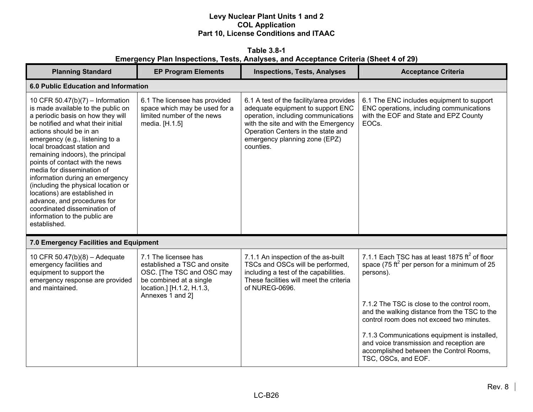**Table 3.8-1 Emergency Plan Inspections, Tests, Analyses, and Acceptance Criteria (Sheet 4 of 29)** 

| <b>Planning Standard</b>                                                                                                                                                                                                                                                                                                                                                                                                                                                                                                                                                        | <b>EP Program Elements</b>                                                                                                                                    | <b>Inspections, Tests, Analyses</b>                                                                                                                                                                                                              | <b>Acceptance Criteria</b>                                                                                                                                 |
|---------------------------------------------------------------------------------------------------------------------------------------------------------------------------------------------------------------------------------------------------------------------------------------------------------------------------------------------------------------------------------------------------------------------------------------------------------------------------------------------------------------------------------------------------------------------------------|---------------------------------------------------------------------------------------------------------------------------------------------------------------|--------------------------------------------------------------------------------------------------------------------------------------------------------------------------------------------------------------------------------------------------|------------------------------------------------------------------------------------------------------------------------------------------------------------|
| 6.0 Public Education and Information                                                                                                                                                                                                                                                                                                                                                                                                                                                                                                                                            |                                                                                                                                                               |                                                                                                                                                                                                                                                  |                                                                                                                                                            |
| 10 CFR 50.47(b)(7) - Information<br>is made available to the public on<br>a periodic basis on how they will<br>be notified and what their initial<br>actions should be in an<br>emergency (e.g., listening to a<br>local broadcast station and<br>remaining indoors), the principal<br>points of contact with the news<br>media for dissemination of<br>information during an emergency<br>(including the physical location or<br>locations) are established in<br>advance, and procedures for<br>coordinated dissemination of<br>information to the public are<br>established. | 6.1 The licensee has provided<br>space which may be used for a<br>limited number of the news<br>media. [H.1.5]                                                | 6.1 A test of the facility/area provides<br>adequate equipment to support ENC<br>operation, including communications<br>with the site and with the Emergency<br>Operation Centers in the state and<br>emergency planning zone (EPZ)<br>counties. | 6.1 The ENC includes equipment to support<br>ENC operations, including communications<br>with the EOF and State and EPZ County<br>EOC <sub>s</sub> .       |
| 7.0 Emergency Facilities and Equipment                                                                                                                                                                                                                                                                                                                                                                                                                                                                                                                                          |                                                                                                                                                               |                                                                                                                                                                                                                                                  |                                                                                                                                                            |
| 10 CFR 50.47(b)(8) - Adequate<br>emergency facilities and<br>equipment to support the<br>emergency response are provided<br>and maintained.                                                                                                                                                                                                                                                                                                                                                                                                                                     | 7.1 The licensee has<br>established a TSC and onsite<br>OSC. [The TSC and OSC may<br>be combined at a single<br>location.] [H.1.2, H.1.3,<br>Annexes 1 and 2] | 7.1.1 An inspection of the as-built<br>TSCs and OSCs will be performed,<br>including a test of the capabilities.<br>These facilities will meet the criteria<br>of NUREG-0696.                                                                    | 7.1.1 Each TSC has at least 1875 $\text{ft}^2$ of floor<br>space (75 ft <sup>2</sup> per person for a minimum of 25<br>persons).                           |
|                                                                                                                                                                                                                                                                                                                                                                                                                                                                                                                                                                                 |                                                                                                                                                               |                                                                                                                                                                                                                                                  | 7.1.2 The TSC is close to the control room,<br>and the walking distance from the TSC to the<br>control room does not exceed two minutes.                   |
|                                                                                                                                                                                                                                                                                                                                                                                                                                                                                                                                                                                 |                                                                                                                                                               |                                                                                                                                                                                                                                                  | 7.1.3 Communications equipment is installed,<br>and voice transmission and reception are<br>accomplished between the Control Rooms,<br>TSC, OSCs, and EOF. |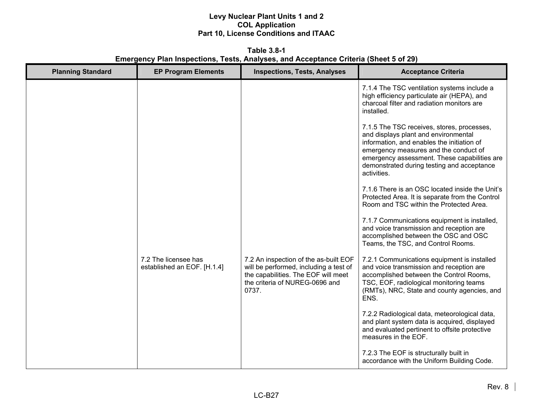**Table 3.8-1 Emergency Plan Inspections, Tests, Analyses, and Acceptance Criteria (Sheet 5 of 29)** 

| <b>Planning Standard</b> | <b>EP Program Elements</b>                          | <b>Inspections, Tests, Analyses</b>                                                                                                                               | <b>Acceptance Criteria</b>                                                                                                                                                                                                                                                             |
|--------------------------|-----------------------------------------------------|-------------------------------------------------------------------------------------------------------------------------------------------------------------------|----------------------------------------------------------------------------------------------------------------------------------------------------------------------------------------------------------------------------------------------------------------------------------------|
|                          |                                                     |                                                                                                                                                                   | 7.1.4 The TSC ventilation systems include a<br>high efficiency particulate air (HEPA), and<br>charcoal filter and radiation monitors are<br>installed.                                                                                                                                 |
|                          |                                                     |                                                                                                                                                                   | 7.1.5 The TSC receives, stores, processes,<br>and displays plant and environmental<br>information, and enables the initiation of<br>emergency measures and the conduct of<br>emergency assessment. These capabilities are<br>demonstrated during testing and acceptance<br>activities. |
|                          |                                                     |                                                                                                                                                                   | 7.1.6 There is an OSC located inside the Unit's<br>Protected Area. It is separate from the Control<br>Room and TSC within the Protected Area.                                                                                                                                          |
|                          |                                                     |                                                                                                                                                                   | 7.1.7 Communications equipment is installed,<br>and voice transmission and reception are<br>accomplished between the OSC and OSC<br>Teams, the TSC, and Control Rooms.                                                                                                                 |
|                          | 7.2 The licensee has<br>established an EOF. [H.1.4] | 7.2 An inspection of the as-built EOF<br>will be performed, including a test of<br>the capabilities. The EOF will meet<br>the criteria of NUREG-0696 and<br>0737. | 7.2.1 Communications equipment is installed<br>and voice transmission and reception are<br>accomplished between the Control Rooms,<br>TSC, EOF, radiological monitoring teams<br>(RMTs), NRC, State and county agencies, and<br>ENS.                                                   |
|                          |                                                     |                                                                                                                                                                   | 7.2.2 Radiological data, meteorological data,<br>and plant system data is acquired, displayed<br>and evaluated pertinent to offsite protective<br>measures in the EOF.                                                                                                                 |
|                          |                                                     |                                                                                                                                                                   | 7.2.3 The EOF is structurally built in<br>accordance with the Uniform Building Code.                                                                                                                                                                                                   |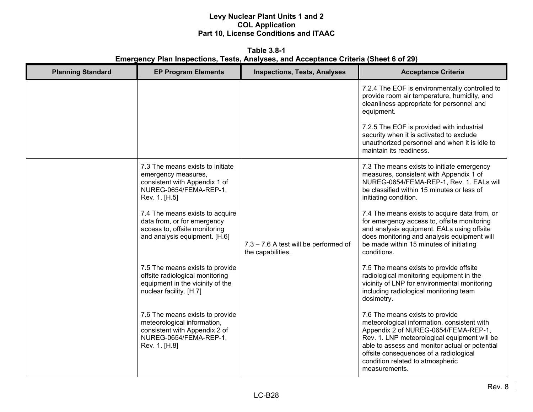**Table 3.8-1 Emergency Plan Inspections, Tests, Analyses, and Acceptance Criteria (Sheet 6 of 29)** 

| <b>Planning Standard</b> | <b>EP Program Elements</b>                                                                                                                 | <b>Inspections, Tests, Analyses</b>                        | <b>Acceptance Criteria</b>                                                                                                                                                                                                                                                                                              |
|--------------------------|--------------------------------------------------------------------------------------------------------------------------------------------|------------------------------------------------------------|-------------------------------------------------------------------------------------------------------------------------------------------------------------------------------------------------------------------------------------------------------------------------------------------------------------------------|
|                          |                                                                                                                                            |                                                            | 7.2.4 The EOF is environmentally controlled to<br>provide room air temperature, humidity, and<br>cleanliness appropriate for personnel and<br>equipment.                                                                                                                                                                |
|                          |                                                                                                                                            |                                                            | 7.2.5 The EOF is provided with industrial<br>security when it is activated to exclude<br>unauthorized personnel and when it is idle to<br>maintain its readiness.                                                                                                                                                       |
|                          | 7.3 The means exists to initiate<br>emergency measures,<br>consistent with Appendix 1 of<br>NUREG-0654/FEMA-REP-1,<br>Rev. 1. [H.5]        |                                                            | 7.3 The means exists to initiate emergency<br>measures, consistent with Appendix 1 of<br>NUREG-0654/FEMA-REP-1, Rev. 1. EALs will<br>be classified within 15 minutes or less of<br>initiating condition.                                                                                                                |
|                          | 7.4 The means exists to acquire<br>data from, or for emergency<br>access to, offsite monitoring<br>and analysis equipment. [H.6]           | 7.3 - 7.6 A test will be performed of<br>the capabilities. | 7.4 The means exists to acquire data from, or<br>for emergency access to, offsite monitoring<br>and analysis equipment. EALs using offsite<br>does monitoring and analysis equipment will<br>be made within 15 minutes of initiating<br>conditions.                                                                     |
|                          | 7.5 The means exists to provide<br>offsite radiological monitoring<br>equipment in the vicinity of the<br>nuclear facility. [H.7]          |                                                            | 7.5 The means exists to provide offsite<br>radiological monitoring equipment in the<br>vicinity of LNP for environmental monitoring<br>including radiological monitoring team<br>dosimetry.                                                                                                                             |
|                          | 7.6 The means exists to provide<br>meteorological information,<br>consistent with Appendix 2 of<br>NUREG-0654/FEMA-REP-1,<br>Rev. 1. [H.8] |                                                            | 7.6 The means exists to provide<br>meteorological information, consistent with<br>Appendix 2 of NUREG-0654/FEMA-REP-1,<br>Rev. 1. LNP meteorological equipment will be<br>able to assess and monitor actual or potential<br>offsite consequences of a radiological<br>condition related to atmospheric<br>measurements. |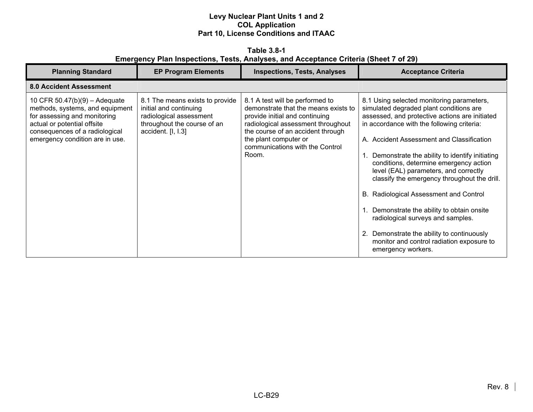**Table 3.8-1 Emergency Plan Inspections, Tests, Analyses, and Acceptance Criteria (Sheet 7 of 29)** 

| <b>Planning Standard</b>                                                                                                                                                                             | <b>EP Program Elements</b>                                                                                                                | <b>Inspections, Tests, Analyses</b>                                                                                                                                                                                                                       | <b>Acceptance Criteria</b>                                                                                                                                                                                                                                                                                                                                                                                                                                                                                                                                                                                                                                      |
|------------------------------------------------------------------------------------------------------------------------------------------------------------------------------------------------------|-------------------------------------------------------------------------------------------------------------------------------------------|-----------------------------------------------------------------------------------------------------------------------------------------------------------------------------------------------------------------------------------------------------------|-----------------------------------------------------------------------------------------------------------------------------------------------------------------------------------------------------------------------------------------------------------------------------------------------------------------------------------------------------------------------------------------------------------------------------------------------------------------------------------------------------------------------------------------------------------------------------------------------------------------------------------------------------------------|
| <b>8.0 Accident Assessment</b>                                                                                                                                                                       |                                                                                                                                           |                                                                                                                                                                                                                                                           |                                                                                                                                                                                                                                                                                                                                                                                                                                                                                                                                                                                                                                                                 |
| 10 CFR 50.47(b)(9) - Adequate<br>methods, systems, and equipment<br>for assessing and monitoring<br>actual or potential offsite<br>consequences of a radiological<br>emergency condition are in use. | 8.1 The means exists to provide<br>initial and continuing<br>radiological assessment<br>throughout the course of an<br>accident. [I, I.3] | 8.1 A test will be performed to<br>demonstrate that the means exists to<br>provide initial and continuing<br>radiological assessment throughout<br>the course of an accident through<br>the plant computer or<br>communications with the Control<br>Room. | 8.1 Using selected monitoring parameters,<br>simulated degraded plant conditions are<br>assessed, and protective actions are initiated<br>in accordance with the following criteria:<br>A. Accident Assessment and Classification<br>Demonstrate the ability to identify initiating<br>conditions, determine emergency action<br>level (EAL) parameters, and correctly<br>classify the emergency throughout the drill.<br>B. Radiological Assessment and Control<br>Demonstrate the ability to obtain onsite<br>radiological surveys and samples.<br>Demonstrate the ability to continuously<br>monitor and control radiation exposure to<br>emergency workers. |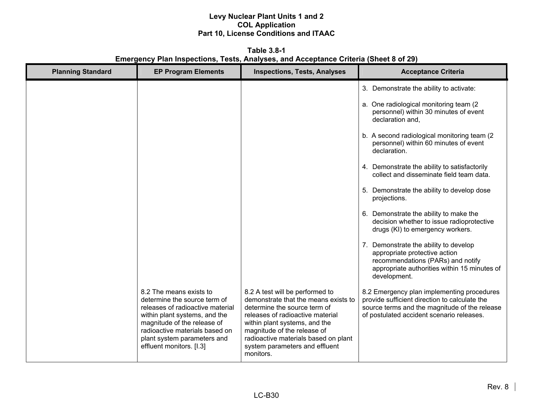**Table 3.8-1 Emergency Plan Inspections, Tests, Analyses, and Acceptance Criteria (Sheet 8 of 29)** 

| <b>Planning Standard</b> | <b>EP Program Elements</b>                                                                                                                                                                                                                               | <b>Inspections, Tests, Analyses</b>                                                                                                                                                                                                                                                                | <b>Acceptance Criteria</b>                                                                                                                                                                |
|--------------------------|----------------------------------------------------------------------------------------------------------------------------------------------------------------------------------------------------------------------------------------------------------|----------------------------------------------------------------------------------------------------------------------------------------------------------------------------------------------------------------------------------------------------------------------------------------------------|-------------------------------------------------------------------------------------------------------------------------------------------------------------------------------------------|
|                          |                                                                                                                                                                                                                                                          |                                                                                                                                                                                                                                                                                                    | 3. Demonstrate the ability to activate:                                                                                                                                                   |
|                          |                                                                                                                                                                                                                                                          |                                                                                                                                                                                                                                                                                                    | a. One radiological monitoring team (2)<br>personnel) within 30 minutes of event<br>declaration and.                                                                                      |
|                          |                                                                                                                                                                                                                                                          |                                                                                                                                                                                                                                                                                                    | b. A second radiological monitoring team (2)<br>personnel) within 60 minutes of event<br>declaration.                                                                                     |
|                          |                                                                                                                                                                                                                                                          |                                                                                                                                                                                                                                                                                                    | 4. Demonstrate the ability to satisfactorily<br>collect and disseminate field team data.                                                                                                  |
|                          |                                                                                                                                                                                                                                                          |                                                                                                                                                                                                                                                                                                    | 5. Demonstrate the ability to develop dose<br>projections.                                                                                                                                |
|                          |                                                                                                                                                                                                                                                          |                                                                                                                                                                                                                                                                                                    | 6. Demonstrate the ability to make the<br>decision whether to issue radioprotective<br>drugs (KI) to emergency workers.                                                                   |
|                          |                                                                                                                                                                                                                                                          |                                                                                                                                                                                                                                                                                                    | 7. Demonstrate the ability to develop<br>appropriate protective action<br>recommendations (PARs) and notify<br>appropriate authorities within 15 minutes of<br>development.               |
|                          | 8.2 The means exists to<br>determine the source term of<br>releases of radioactive material<br>within plant systems, and the<br>magnitude of the release of<br>radioactive materials based on<br>plant system parameters and<br>effluent monitors. [I.3] | 8.2 A test will be performed to<br>demonstrate that the means exists to<br>determine the source term of<br>releases of radioactive material<br>within plant systems, and the<br>magnitude of the release of<br>radioactive materials based on plant<br>system parameters and effluent<br>monitors. | 8.2 Emergency plan implementing procedures<br>provide sufficient direction to calculate the<br>source terms and the magnitude of the release<br>of postulated accident scenario releases. |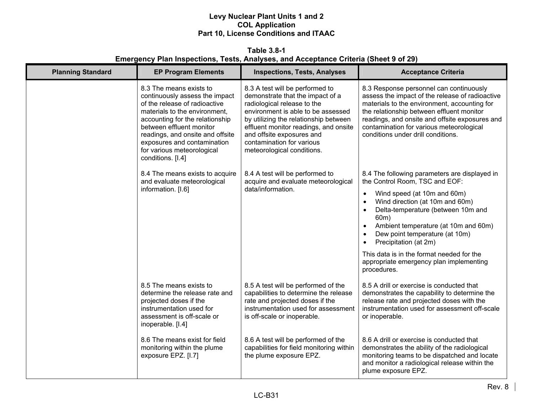#### **Table 3.8-1 Emergency Plan Inspections, Tests, Analyses, and Acceptance Criteria (Sheet 9 of 29)**

| <b>Planning Standard</b> | <b>EP Program Elements</b>                                                                                                                                                                                                                                                                                       | <b>Inspections, Tests, Analyses</b>                                                                                                                                                                                                                                                                                | <b>Acceptance Criteria</b>                                                                                                                                                                                                                                                                                                  |
|--------------------------|------------------------------------------------------------------------------------------------------------------------------------------------------------------------------------------------------------------------------------------------------------------------------------------------------------------|--------------------------------------------------------------------------------------------------------------------------------------------------------------------------------------------------------------------------------------------------------------------------------------------------------------------|-----------------------------------------------------------------------------------------------------------------------------------------------------------------------------------------------------------------------------------------------------------------------------------------------------------------------------|
|                          | 8.3 The means exists to<br>continuously assess the impact<br>of the release of radioactive<br>materials to the environment,<br>accounting for the relationship<br>between effluent monitor<br>readings, and onsite and offsite<br>exposures and contamination<br>for various meteorological<br>conditions. [I.4] | 8.3 A test will be performed to<br>demonstrate that the impact of a<br>radiological release to the<br>environment is able to be assessed<br>by utilizing the relationship between<br>effluent monitor readings, and onsite<br>and offsite exposures and<br>contamination for various<br>meteorological conditions. | 8.3 Response personnel can continuously<br>assess the impact of the release of radioactive<br>materials to the environment, accounting for<br>the relationship between effluent monitor<br>readings, and onsite and offsite exposures and<br>contamination for various meteorological<br>conditions under drill conditions. |
|                          | 8.4 The means exists to acquire<br>and evaluate meteorological                                                                                                                                                                                                                                                   | 8.4 A test will be performed to<br>acquire and evaluate meteorological                                                                                                                                                                                                                                             | 8.4 The following parameters are displayed in<br>the Control Room, TSC and EOF:                                                                                                                                                                                                                                             |
|                          | information. [I.6]                                                                                                                                                                                                                                                                                               | data/information.                                                                                                                                                                                                                                                                                                  | Wind speed (at 10m and 60m)<br>$\bullet$<br>Wind direction (at 10m and 60m)<br>$\bullet$<br>Delta-temperature (between 10m and<br>$\bullet$<br>60m)<br>Ambient temperature (at 10m and 60m)<br>$\bullet$<br>Dew point temperature (at 10m)<br>$\bullet$<br>Precipitation (at 2m)                                            |
|                          |                                                                                                                                                                                                                                                                                                                  |                                                                                                                                                                                                                                                                                                                    | This data is in the format needed for the<br>appropriate emergency plan implementing<br>procedures.                                                                                                                                                                                                                         |
|                          | 8.5 The means exists to<br>determine the release rate and<br>projected doses if the<br>instrumentation used for<br>assessment is off-scale or<br>inoperable. [I.4]                                                                                                                                               | 8.5 A test will be performed of the<br>capabilities to determine the release<br>rate and projected doses if the<br>instrumentation used for assessment<br>is off-scale or inoperable.                                                                                                                              | 8.5 A drill or exercise is conducted that<br>demonstrates the capability to determine the<br>release rate and projected doses with the<br>instrumentation used for assessment off-scale<br>or inoperable.                                                                                                                   |
|                          | 8.6 The means exist for field<br>monitoring within the plume<br>exposure EPZ. [I.7]                                                                                                                                                                                                                              | 8.6 A test will be performed of the<br>capabilities for field monitoring within<br>the plume exposure EPZ.                                                                                                                                                                                                         | 8.6 A drill or exercise is conducted that<br>demonstrates the ability of the radiological<br>monitoring teams to be dispatched and locate<br>and monitor a radiological release within the<br>plume exposure EPZ.                                                                                                           |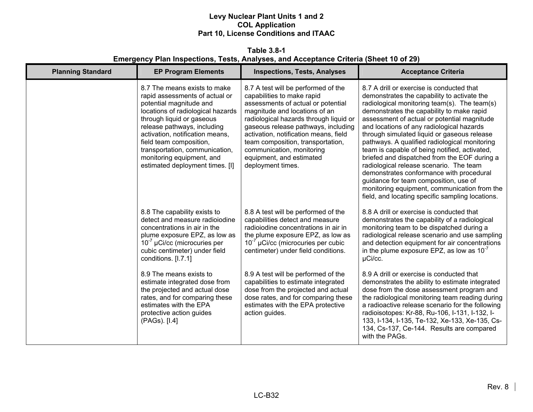**Table 3.8-1 Emergency Plan Inspections, Tests, Analyses, and Acceptance Criteria (Sheet 10 of 29)** 

| <b>Planning Standard</b> | <b>EP Program Elements</b>                                                                                                                                                                                                                                                                                                                                 | <b>Inspections, Tests, Analyses</b>                                                                                                                                                                                                                                                                                                                                                   | <b>Acceptance Criteria</b>                                                                                                                                                                                                                                                                                                                                                                                                                                                                                                                                                                                                                                                                                             |
|--------------------------|------------------------------------------------------------------------------------------------------------------------------------------------------------------------------------------------------------------------------------------------------------------------------------------------------------------------------------------------------------|---------------------------------------------------------------------------------------------------------------------------------------------------------------------------------------------------------------------------------------------------------------------------------------------------------------------------------------------------------------------------------------|------------------------------------------------------------------------------------------------------------------------------------------------------------------------------------------------------------------------------------------------------------------------------------------------------------------------------------------------------------------------------------------------------------------------------------------------------------------------------------------------------------------------------------------------------------------------------------------------------------------------------------------------------------------------------------------------------------------------|
|                          | 8.7 The means exists to make<br>rapid assessments of actual or<br>potential magnitude and<br>locations of radiological hazards<br>through liquid or gaseous<br>release pathways, including<br>activation, notification means,<br>field team composition,<br>transportation, communication,<br>monitoring equipment, and<br>estimated deployment times. [I] | 8.7 A test will be performed of the<br>capabilities to make rapid<br>assessments of actual or potential<br>magnitude and locations of an<br>radiological hazards through liquid or<br>gaseous release pathways, including<br>activation, notification means, field<br>team composition, transportation,<br>communication, monitoring<br>equipment, and estimated<br>deployment times. | 8.7 A drill or exercise is conducted that<br>demonstrates the capability to activate the<br>radiological monitoring team(s). The team(s)<br>demonstrates the capability to make rapid<br>assessment of actual or potential magnitude<br>and locations of any radiological hazards<br>through simulated liquid or gaseous release<br>pathways. A qualified radiological monitoring<br>team is capable of being notified, activated,<br>briefed and dispatched from the EOF during a<br>radiological release scenario. The team<br>demonstrates conformance with procedural<br>guidance for team composition, use of<br>monitoring equipment, communication from the<br>field, and locating specific sampling locations. |
|                          | 8.8 The capability exists to<br>detect and measure radioiodine<br>concentrations in air in the<br>plume exposure EPZ, as low as<br>$10^{-7}$ µCi/cc (microcuries per<br>cubic centimeter) under field<br>conditions. [I.7.1]                                                                                                                               | 8.8 A test will be performed of the<br>capabilities detect and measure<br>radioiodine concentrations in air in<br>the plume exposure EPZ, as low as<br>$10^{-7}$ µCi/cc (microcuries per cubic<br>centimeter) under field conditions.                                                                                                                                                 | 8.8 A drill or exercise is conducted that<br>demonstrates the capability of a radiological<br>monitoring team to be dispatched during a<br>radiological release scenario and use sampling<br>and detection equipment for air concentrations<br>in the plume exposure EPZ, as low as $10^{-7}$<br>µCi/cc.                                                                                                                                                                                                                                                                                                                                                                                                               |
|                          | 8.9 The means exists to<br>estimate integrated dose from<br>the projected and actual dose<br>rates, and for comparing these<br>estimates with the EPA<br>protective action guides<br>(PAGs). [I.4]                                                                                                                                                         | 8.9 A test will be performed of the<br>capabilities to estimate integrated<br>dose from the projected and actual<br>dose rates, and for comparing these<br>estimates with the EPA protective<br>action guides.                                                                                                                                                                        | 8.9 A drill or exercise is conducted that<br>demonstrates the ability to estimate integrated<br>dose from the dose assessment program and<br>the radiological monitoring team reading during<br>a radioactive release scenario for the following<br>radioisotopes: Kr-88, Ru-106, I-131, I-132, I-<br>133, I-134, I-135, Te-132, Xe-133, Xe-135, Cs-<br>134, Cs-137, Ce-144. Results are compared<br>with the PAGs.                                                                                                                                                                                                                                                                                                    |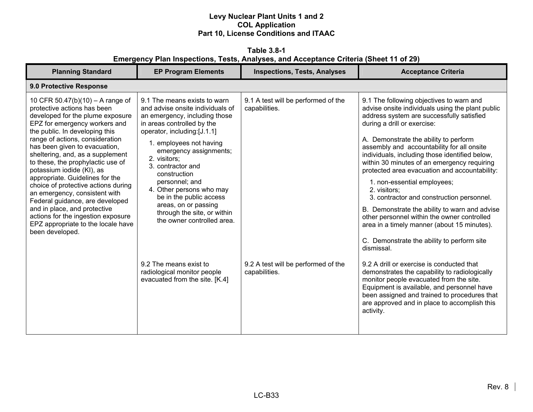**Table 3.8-1 Emergency Plan Inspections, Tests, Analyses, and Acceptance Criteria (Sheet 11 of 29)** 

| <b>Planning Standard</b>                                                                                                                                                                                                                                                                                                                                                                                                                                                                                                                                                                                                      | <b>EP Program Elements</b>                                                                                                                                                                                                                                                                                                                                                                                                                                                                                                        | <b>Inspections, Tests, Analyses</b>                                                                          | <b>Acceptance Criteria</b>                                                                                                                                                                                                                                                                                                                                                                                                                                                                                                                                                                                                                                                                                                                                                                                                                                                                                                                                                                                                   |  |  |
|-------------------------------------------------------------------------------------------------------------------------------------------------------------------------------------------------------------------------------------------------------------------------------------------------------------------------------------------------------------------------------------------------------------------------------------------------------------------------------------------------------------------------------------------------------------------------------------------------------------------------------|-----------------------------------------------------------------------------------------------------------------------------------------------------------------------------------------------------------------------------------------------------------------------------------------------------------------------------------------------------------------------------------------------------------------------------------------------------------------------------------------------------------------------------------|--------------------------------------------------------------------------------------------------------------|------------------------------------------------------------------------------------------------------------------------------------------------------------------------------------------------------------------------------------------------------------------------------------------------------------------------------------------------------------------------------------------------------------------------------------------------------------------------------------------------------------------------------------------------------------------------------------------------------------------------------------------------------------------------------------------------------------------------------------------------------------------------------------------------------------------------------------------------------------------------------------------------------------------------------------------------------------------------------------------------------------------------------|--|--|
| 9.0 Protective Response                                                                                                                                                                                                                                                                                                                                                                                                                                                                                                                                                                                                       |                                                                                                                                                                                                                                                                                                                                                                                                                                                                                                                                   |                                                                                                              |                                                                                                                                                                                                                                                                                                                                                                                                                                                                                                                                                                                                                                                                                                                                                                                                                                                                                                                                                                                                                              |  |  |
| 10 CFR 50.47(b)(10) – A range of<br>protective actions has been<br>developed for the plume exposure<br>EPZ for emergency workers and<br>the public. In developing this<br>range of actions, consideration<br>has been given to evacuation,<br>sheltering, and, as a supplement<br>to these, the prophylactic use of<br>potassium iodide (KI), as<br>appropriate. Guidelines for the<br>choice of protective actions during<br>an emergency, consistent with<br>Federal guidance, are developed<br>and in place, and protective<br>actions for the ingestion exposure<br>EPZ appropriate to the locale have<br>been developed. | 9.1 The means exists to warn<br>and advise onsite individuals of<br>an emergency, including those<br>in areas controlled by the<br>operator, including:[J.1.1]<br>1. employees not having<br>emergency assignments;<br>2. visitors;<br>3. contractor and<br>construction<br>personnel; and<br>4. Other persons who may<br>be in the public access<br>areas, on or passing<br>through the site, or within<br>the owner controlled area.<br>9.2 The means exist to<br>radiological monitor people<br>evacuated from the site. [K.4] | 9.1 A test will be performed of the<br>capabilities.<br>9.2 A test will be performed of the<br>capabilities. | 9.1 The following objectives to warn and<br>advise onsite individuals using the plant public<br>address system are successfully satisfied<br>during a drill or exercise:<br>A. Demonstrate the ability to perform<br>assembly and accountability for all onsite<br>individuals, including those identified below,<br>within 30 minutes of an emergency requiring<br>protected area evacuation and accountability:<br>1. non-essential employees;<br>2. visitors;<br>3. contractor and construction personnel.<br>B. Demonstrate the ability to warn and advise<br>other personnel within the owner controlled<br>area in a timely manner (about 15 minutes).<br>C. Demonstrate the ability to perform site<br>dismissal.<br>9.2 A drill or exercise is conducted that<br>demonstrates the capability to radiologically<br>monitor people evacuated from the site.<br>Equipment is available, and personnel have<br>been assigned and trained to procedures that<br>are approved and in place to accomplish this<br>activity. |  |  |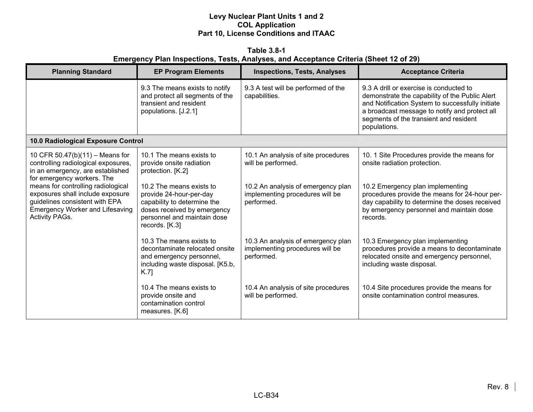**Table 3.8-1 Emergency Plan Inspections, Tests, Analyses, and Acceptance Criteria (Sheet 12 of 29)** 

| <b>Planning Standard</b>                                                                                                                                                    | <b>EP Program Elements</b>                                                                                                                                         | <b>Inspections, Tests, Analyses</b>                                                 | <b>Acceptance Criteria</b>                                                                                                                                                                                                                               |
|-----------------------------------------------------------------------------------------------------------------------------------------------------------------------------|--------------------------------------------------------------------------------------------------------------------------------------------------------------------|-------------------------------------------------------------------------------------|----------------------------------------------------------------------------------------------------------------------------------------------------------------------------------------------------------------------------------------------------------|
|                                                                                                                                                                             | 9.3 The means exists to notify<br>and protect all segments of the<br>transient and resident<br>populations. [J.2.1]                                                | 9.3 A test will be performed of the<br>capabilities.                                | 9.3 A drill or exercise is conducted to<br>demonstrate the capability of the Public Alert<br>and Notification System to successfully initiate<br>a broadcast message to notify and protect all<br>segments of the transient and resident<br>populations. |
| 10.0 Radiological Exposure Control                                                                                                                                          |                                                                                                                                                                    |                                                                                     |                                                                                                                                                                                                                                                          |
| 10 CFR 50.47(b)(11) - Means for<br>controlling radiological exposures,<br>in an emergency, are established<br>for emergency workers. The                                    | 10.1 The means exists to<br>provide onsite radiation<br>protection. [K.2]                                                                                          | 10.1 An analysis of site procedures<br>will be performed.                           | 10. 1 Site Procedures provide the means for<br>onsite radiation protection.                                                                                                                                                                              |
| means for controlling radiological<br>exposures shall include exposure<br>guidelines consistent with EPA<br><b>Emergency Worker and Lifesaving</b><br><b>Activity PAGs.</b> | 10.2 The means exists to<br>provide 24-hour-per-day<br>capability to determine the<br>doses received by emergency<br>personnel and maintain dose<br>records. [K.3] | 10.2 An analysis of emergency plan<br>implementing procedures will be<br>performed. | 10.2 Emergency plan implementing<br>procedures provide the means for 24-hour per-<br>day capability to determine the doses received<br>by emergency personnel and maintain dose<br>records.                                                              |
|                                                                                                                                                                             | 10.3 The means exists to<br>decontaminate relocated onsite<br>and emergency personnel,<br>including waste disposal. [K5.b,<br>K.7                                  | 10.3 An analysis of emergency plan<br>implementing procedures will be<br>performed. | 10.3 Emergency plan implementing<br>procedures provide a means to decontaminate<br>relocated onsite and emergency personnel,<br>including waste disposal.                                                                                                |
|                                                                                                                                                                             | 10.4 The means exists to<br>provide onsite and<br>contamination control<br>measures. [K.6]                                                                         | 10.4 An analysis of site procedures<br>will be performed.                           | 10.4 Site procedures provide the means for<br>onsite contamination control measures.                                                                                                                                                                     |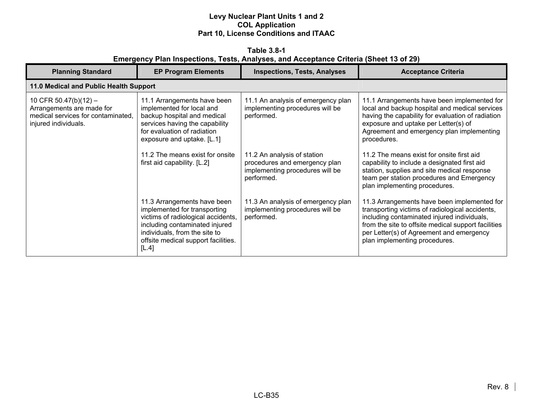**Table 3.8-1 Emergency Plan Inspections, Tests, Analyses, and Acceptance Criteria (Sheet 13 of 29)** 

| <b>Planning Standard</b>                                                                                         | <b>EP Program Elements</b>                                                                                                                                                                                           | <b>Inspections, Tests, Analyses</b>                                                                           | <b>Acceptance Criteria</b>                                                                                                                                                                                                                                                        |
|------------------------------------------------------------------------------------------------------------------|----------------------------------------------------------------------------------------------------------------------------------------------------------------------------------------------------------------------|---------------------------------------------------------------------------------------------------------------|-----------------------------------------------------------------------------------------------------------------------------------------------------------------------------------------------------------------------------------------------------------------------------------|
| 11.0 Medical and Public Health Support                                                                           |                                                                                                                                                                                                                      |                                                                                                               |                                                                                                                                                                                                                                                                                   |
| 10 CFR 50.47(b)(12) -<br>Arrangements are made for<br>medical services for contaminated.<br>injured individuals. | 11.1 Arrangements have been<br>implemented for local and<br>backup hospital and medical<br>services having the capability<br>for evaluation of radiation<br>exposure and uptake. [L.1]                               | 11.1 An analysis of emergency plan<br>implementing procedures will be<br>performed.                           | 11.1 Arrangements have been implemented for<br>local and backup hospital and medical services<br>having the capability for evaluation of radiation<br>exposure and uptake per Letter(s) of<br>Agreement and emergency plan implementing<br>procedures.                            |
|                                                                                                                  | 11.2 The means exist for onsite<br>first aid capability. [L.2]                                                                                                                                                       | 11.2 An analysis of station<br>procedures and emergency plan<br>implementing procedures will be<br>performed. | 11.2 The means exist for onsite first aid<br>capability to include a designated first aid<br>station, supplies and site medical response<br>team per station procedures and Emergency<br>plan implementing procedures.                                                            |
|                                                                                                                  | 11.3 Arrangements have been<br>implemented for transporting<br>victims of radiological accidents,<br>including contaminated injured<br>individuals, from the site to<br>offsite medical support facilities.<br>[L.4] | 11.3 An analysis of emergency plan<br>implementing procedures will be<br>performed.                           | 11.3 Arrangements have been implemented for<br>transporting victims of radiological accidents,<br>including contaminated injured individuals,<br>from the site to offsite medical support facilities<br>per Letter(s) of Agreement and emergency<br>plan implementing procedures. |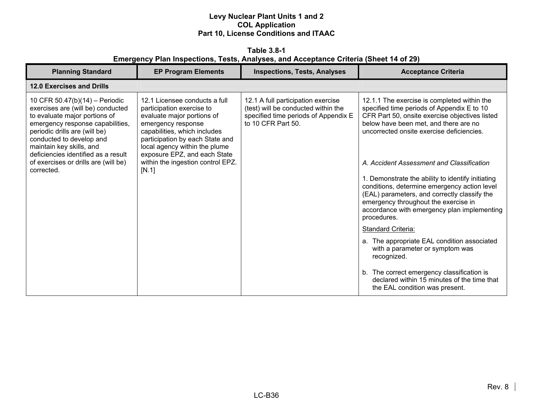**Table 3.8-1 Emergency Plan Inspections, Tests, Analyses, and Acceptance Criteria (Sheet 14 of 29)** 

| <b>Planning Standard</b>                                                                                                                                                                                                                                                                                                       | <b>EP Program Elements</b>                                                                                                                                                                                                                                                                       | <b>Inspections, Tests, Analyses</b>                                                                                                     | <b>Acceptance Criteria</b>                                                                                                                                                                                                                                                                                                                                                                                                                                                                                                                                                                                                                                       |
|--------------------------------------------------------------------------------------------------------------------------------------------------------------------------------------------------------------------------------------------------------------------------------------------------------------------------------|--------------------------------------------------------------------------------------------------------------------------------------------------------------------------------------------------------------------------------------------------------------------------------------------------|-----------------------------------------------------------------------------------------------------------------------------------------|------------------------------------------------------------------------------------------------------------------------------------------------------------------------------------------------------------------------------------------------------------------------------------------------------------------------------------------------------------------------------------------------------------------------------------------------------------------------------------------------------------------------------------------------------------------------------------------------------------------------------------------------------------------|
| 12.0 Exercises and Drills                                                                                                                                                                                                                                                                                                      |                                                                                                                                                                                                                                                                                                  |                                                                                                                                         |                                                                                                                                                                                                                                                                                                                                                                                                                                                                                                                                                                                                                                                                  |
| 10 CFR 50.47(b)(14) - Periodic<br>exercises are (will be) conducted<br>to evaluate major portions of<br>emergency response capabilities,<br>periodic drills are (will be)<br>conducted to develop and<br>maintain key skills, and<br>deficiencies identified as a result<br>of exercises or drills are (will be)<br>corrected. | 12.1 Licensee conducts a full<br>participation exercise to<br>evaluate major portions of<br>emergency response<br>capabilities, which includes<br>participation by each State and<br>local agency within the plume<br>exposure EPZ, and each State<br>within the ingestion control EPZ.<br>[N.1] | 12.1 A full participation exercise<br>(test) will be conducted within the<br>specified time periods of Appendix E<br>to 10 CFR Part 50. | 12.1.1 The exercise is completed within the<br>specified time periods of Appendix E to 10<br>CFR Part 50, onsite exercise objectives listed<br>below have been met, and there are no<br>uncorrected onsite exercise deficiencies.<br>A. Accident Assessment and Classification<br>1. Demonstrate the ability to identify initiating<br>conditions, determine emergency action level<br>(EAL) parameters, and correctly classify the<br>emergency throughout the exercise in<br>accordance with emergency plan implementing<br>procedures.<br>Standard Criteria:<br>a. The appropriate EAL condition associated<br>with a parameter or symptom was<br>recognized. |
|                                                                                                                                                                                                                                                                                                                                |                                                                                                                                                                                                                                                                                                  |                                                                                                                                         | b. The correct emergency classification is<br>declared within 15 minutes of the time that<br>the EAL condition was present.                                                                                                                                                                                                                                                                                                                                                                                                                                                                                                                                      |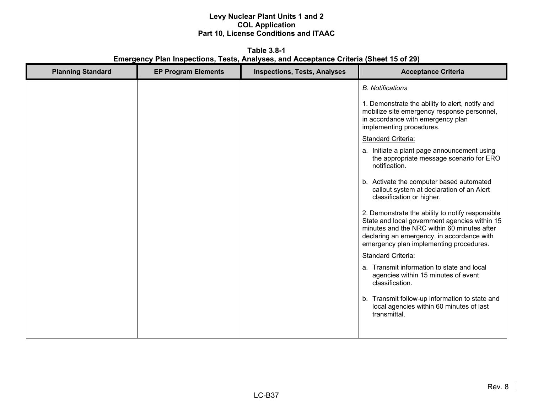**Table 3.8-1 Emergency Plan Inspections, Tests, Analyses, and Acceptance Criteria (Sheet 15 of 29)** 

| <b>Planning Standard</b> | <b>EP Program Elements</b> | <b>Inspections, Tests, Analyses</b> | <b>Acceptance Criteria</b>                                                                                                                                                                                                                |
|--------------------------|----------------------------|-------------------------------------|-------------------------------------------------------------------------------------------------------------------------------------------------------------------------------------------------------------------------------------------|
|                          |                            |                                     | <b>B.</b> Notifications                                                                                                                                                                                                                   |
|                          |                            |                                     | 1. Demonstrate the ability to alert, notify and<br>mobilize site emergency response personnel,<br>in accordance with emergency plan<br>implementing procedures.                                                                           |
|                          |                            |                                     | Standard Criteria:                                                                                                                                                                                                                        |
|                          |                            |                                     | a. Initiate a plant page announcement using<br>the appropriate message scenario for ERO<br>notification.                                                                                                                                  |
|                          |                            |                                     | b. Activate the computer based automated<br>callout system at declaration of an Alert<br>classification or higher.                                                                                                                        |
|                          |                            |                                     | 2. Demonstrate the ability to notify responsible<br>State and local government agencies within 15<br>minutes and the NRC within 60 minutes after<br>declaring an emergency, in accordance with<br>emergency plan implementing procedures. |
|                          |                            |                                     | Standard Criteria:                                                                                                                                                                                                                        |
|                          |                            |                                     | a. Transmit information to state and local<br>agencies within 15 minutes of event<br>classification.                                                                                                                                      |
|                          |                            |                                     | b. Transmit follow-up information to state and<br>local agencies within 60 minutes of last<br>transmittal.                                                                                                                                |
|                          |                            |                                     |                                                                                                                                                                                                                                           |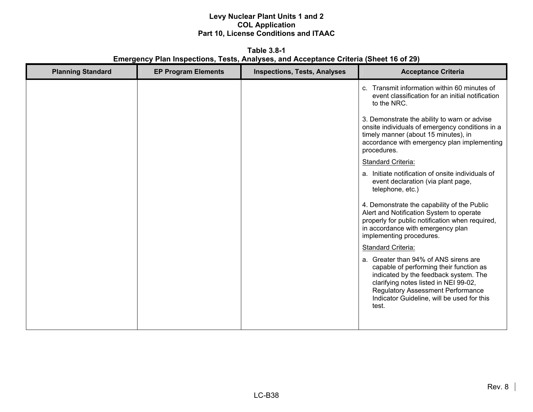**Table 3.8-1 Emergency Plan Inspections, Tests, Analyses, and Acceptance Criteria (Sheet 16 of 29)** 

| <b>Planning Standard</b> | <b>EP Program Elements</b> | <b>Inspections, Tests, Analyses</b> | <b>Acceptance Criteria</b>                                                                                                                                                                                                                                            |
|--------------------------|----------------------------|-------------------------------------|-----------------------------------------------------------------------------------------------------------------------------------------------------------------------------------------------------------------------------------------------------------------------|
|                          |                            |                                     | c. Transmit information within 60 minutes of<br>event classification for an initial notification<br>to the NRC.                                                                                                                                                       |
|                          |                            |                                     | 3. Demonstrate the ability to warn or advise<br>onsite individuals of emergency conditions in a<br>timely manner (about 15 minutes), in<br>accordance with emergency plan implementing<br>procedures.                                                                 |
|                          |                            |                                     | <b>Standard Criteria:</b>                                                                                                                                                                                                                                             |
|                          |                            |                                     | a. Initiate notification of onsite individuals of<br>event declaration (via plant page,<br>telephone, etc.)                                                                                                                                                           |
|                          |                            |                                     | 4. Demonstrate the capability of the Public<br>Alert and Notification System to operate<br>properly for public notification when required,<br>in accordance with emergency plan<br>implementing procedures.                                                           |
|                          |                            |                                     | <b>Standard Criteria:</b>                                                                                                                                                                                                                                             |
|                          |                            |                                     | a. Greater than 94% of ANS sirens are<br>capable of performing their function as<br>indicated by the feedback system. The<br>clarifying notes listed in NEI 99-02,<br><b>Regulatory Assessment Performance</b><br>Indicator Guideline, will be used for this<br>test. |
|                          |                            |                                     |                                                                                                                                                                                                                                                                       |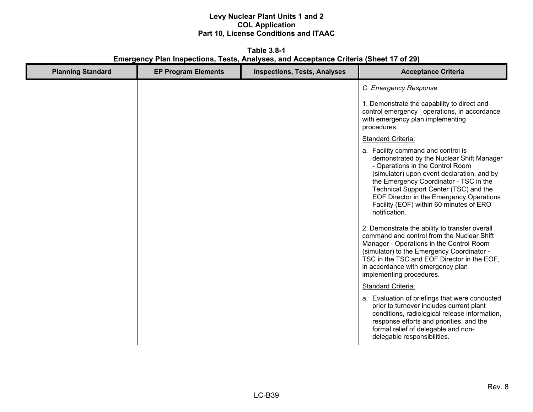**Table 3.8-1 Emergency Plan Inspections, Tests, Analyses, and Acceptance Criteria (Sheet 17 of 29)** 

| <b>Planning Standard</b> | <b>EP Program Elements</b> | <b>Inspections, Tests, Analyses</b> | <b>Acceptance Criteria</b>                                                                                                                                                                                                                                                                                                                                    |
|--------------------------|----------------------------|-------------------------------------|---------------------------------------------------------------------------------------------------------------------------------------------------------------------------------------------------------------------------------------------------------------------------------------------------------------------------------------------------------------|
|                          |                            |                                     | C. Emergency Response                                                                                                                                                                                                                                                                                                                                         |
|                          |                            |                                     | 1. Demonstrate the capability to direct and<br>control emergency operations, in accordance<br>with emergency plan implementing<br>procedures.                                                                                                                                                                                                                 |
|                          |                            |                                     | <b>Standard Criteria:</b>                                                                                                                                                                                                                                                                                                                                     |
|                          |                            |                                     | a. Facility command and control is<br>demonstrated by the Nuclear Shift Manager<br>- Operations in the Control Room<br>(simulator) upon event declaration, and by<br>the Emergency Coordinator - TSC in the<br>Technical Support Center (TSC) and the<br>EOF Director in the Emergency Operations<br>Facility (EOF) within 60 minutes of ERO<br>notification. |
|                          |                            |                                     | 2. Demonstrate the ability to transfer overall<br>command and control from the Nuclear Shift<br>Manager - Operations in the Control Room<br>(simulator) to the Emergency Coordinator -<br>TSC in the TSC and EOF Director in the EOF,<br>in accordance with emergency plan<br>implementing procedures.                                                        |
|                          |                            |                                     | Standard Criteria:                                                                                                                                                                                                                                                                                                                                            |
|                          |                            |                                     | a. Evaluation of briefings that were conducted<br>prior to turnover includes current plant<br>conditions, radiological release information,<br>response efforts and priorities, and the<br>formal relief of delegable and non-<br>delegable responsibilities.                                                                                                 |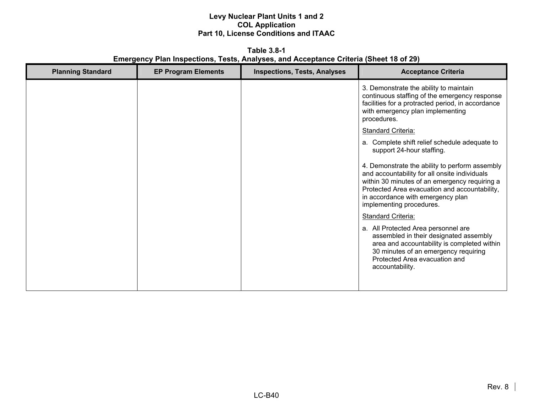**Table 3.8-1 Emergency Plan Inspections, Tests, Analyses, and Acceptance Criteria (Sheet 18 of 29)** 

| <b>Planning Standard</b> | <b>EP Program Elements</b> | <b>Inspections, Tests, Analyses</b> | <b>Acceptance Criteria</b>                                                                                                                                                                                                                                         |
|--------------------------|----------------------------|-------------------------------------|--------------------------------------------------------------------------------------------------------------------------------------------------------------------------------------------------------------------------------------------------------------------|
|                          |                            |                                     | 3. Demonstrate the ability to maintain<br>continuous staffing of the emergency response<br>facilities for a protracted period, in accordance<br>with emergency plan implementing<br>procedures.                                                                    |
|                          |                            |                                     | <b>Standard Criteria:</b>                                                                                                                                                                                                                                          |
|                          |                            |                                     | a. Complete shift relief schedule adequate to<br>support 24-hour staffing.                                                                                                                                                                                         |
|                          |                            |                                     | 4. Demonstrate the ability to perform assembly<br>and accountability for all onsite individuals<br>within 30 minutes of an emergency requiring a<br>Protected Area evacuation and accountability,<br>in accordance with emergency plan<br>implementing procedures. |
|                          |                            |                                     | <b>Standard Criteria:</b>                                                                                                                                                                                                                                          |
|                          |                            |                                     | a. All Protected Area personnel are<br>assembled in their designated assembly<br>area and accountability is completed within<br>30 minutes of an emergency requiring<br>Protected Area evacuation and<br>accountability.                                           |
|                          |                            |                                     |                                                                                                                                                                                                                                                                    |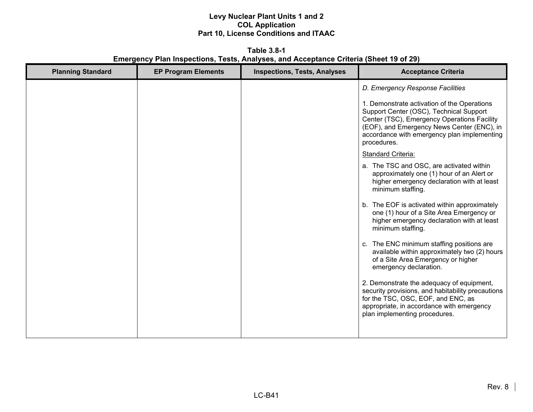**Table 3.8-1 Emergency Plan Inspections, Tests, Analyses, and Acceptance Criteria (Sheet 19 of 29)** 

| <b>Planning Standard</b> | <b>EP Program Elements</b> | <b>Inspections, Tests, Analyses</b> | <b>Acceptance Criteria</b>                                                                                                                                                                                                                        |
|--------------------------|----------------------------|-------------------------------------|---------------------------------------------------------------------------------------------------------------------------------------------------------------------------------------------------------------------------------------------------|
|                          |                            |                                     | D. Emergency Response Facilities                                                                                                                                                                                                                  |
|                          |                            |                                     | 1. Demonstrate activation of the Operations<br>Support Center (OSC), Technical Support<br>Center (TSC), Emergency Operations Facility<br>(EOF), and Emergency News Center (ENC), in<br>accordance with emergency plan implementing<br>procedures. |
|                          |                            |                                     | <b>Standard Criteria:</b>                                                                                                                                                                                                                         |
|                          |                            |                                     | a. The TSC and OSC, are activated within<br>approximately one (1) hour of an Alert or<br>higher emergency declaration with at least<br>minimum staffing.                                                                                          |
|                          |                            |                                     | b. The EOF is activated within approximately<br>one (1) hour of a Site Area Emergency or<br>higher emergency declaration with at least<br>minimum staffing.                                                                                       |
|                          |                            |                                     | c. The ENC minimum staffing positions are<br>available within approximately two (2) hours<br>of a Site Area Emergency or higher<br>emergency declaration.                                                                                         |
|                          |                            |                                     | 2. Demonstrate the adequacy of equipment,<br>security provisions, and habitability precautions<br>for the TSC, OSC, EOF, and ENC, as<br>appropriate, in accordance with emergency<br>plan implementing procedures.                                |
|                          |                            |                                     |                                                                                                                                                                                                                                                   |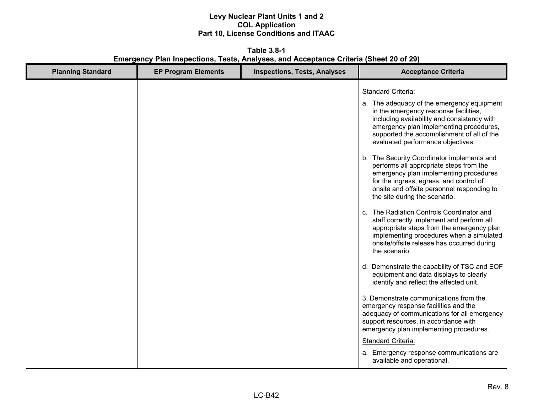**Table 3.8-1 Emergency Plan Inspections, Tests, Analyses, and Acceptance Criteria (Sheet 20 of 29)** 

| <b>Planning Standard</b> | <b>EP Program Elements</b> | <b>Inspections, Tests, Analyses</b> | <b>Acceptance Criteria</b>                                                                                                                                                                                                                                                                                                                                                                                                                                                                                                                                                                                                                                                                                                                                                                  |
|--------------------------|----------------------------|-------------------------------------|---------------------------------------------------------------------------------------------------------------------------------------------------------------------------------------------------------------------------------------------------------------------------------------------------------------------------------------------------------------------------------------------------------------------------------------------------------------------------------------------------------------------------------------------------------------------------------------------------------------------------------------------------------------------------------------------------------------------------------------------------------------------------------------------|
|                          |                            |                                     | <b>Standard Criteria:</b><br>a. The adequacy of the emergency equipment<br>in the emergency response facilities,<br>including availability and consistency with<br>emergency plan implementing procedures,<br>supported the accomplishment of all of the<br>evaluated performance objectives.<br>b. The Security Coordinator implements and<br>performs all appropriate steps from the<br>emergency plan implementing procedures<br>for the ingress, egress, and control of<br>onsite and offsite personnel responding to<br>the site during the scenario.<br>c. The Radiation Controls Coordinator and<br>staff correctly implement and perform all<br>appropriate steps from the emergency plan<br>implementing procedures when a simulated<br>onsite/offsite release has occurred during |
|                          |                            |                                     | the scenario.<br>d. Demonstrate the capability of TSC and EOF<br>equipment and data displays to clearly<br>identify and reflect the affected unit.<br>3. Demonstrate communications from the<br>emergency response facilities and the<br>adequacy of communications for all emergency<br>support resources, in accordance with<br>emergency plan implementing procedures.<br><b>Standard Criteria:</b><br>a. Emergency response communications are<br>available and operational.                                                                                                                                                                                                                                                                                                            |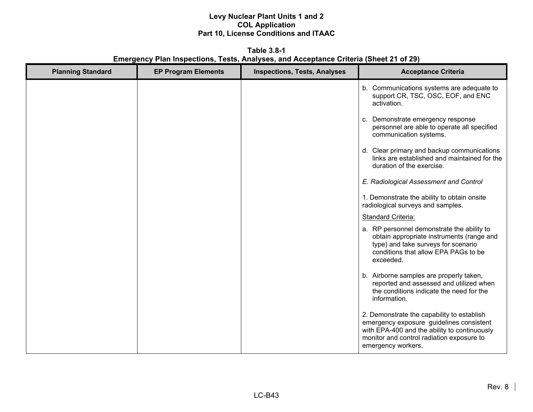**Table 3.8-1 Emergency Plan Inspections, Tests, Analyses, and Acceptance Criteria (Sheet 21 of 29)** 

| <b>Planning Standard</b> | <b>EP Program Elements</b> | <b>Inspections, Tests, Analyses</b> | <b>Acceptance Criteria</b>                                                                                                                                                                                |
|--------------------------|----------------------------|-------------------------------------|-----------------------------------------------------------------------------------------------------------------------------------------------------------------------------------------------------------|
|                          |                            |                                     | b. Communications systems are adequate to<br>support CR, TSC, OSC, EOF, and ENC<br>activation.                                                                                                            |
|                          |                            |                                     | Demonstrate emergency response<br>C.<br>personnel are able to operate all specified<br>communication systems.                                                                                             |
|                          |                            |                                     | d. Clear primary and backup communications<br>links are established and maintained for the<br>duration of the exercise.                                                                                   |
|                          |                            |                                     | E. Radiological Assessment and Control                                                                                                                                                                    |
|                          |                            |                                     | 1. Demonstrate the ability to obtain onsite<br>radiological surveys and samples.                                                                                                                          |
|                          |                            |                                     | Standard Criteria:                                                                                                                                                                                        |
|                          |                            |                                     | a. RP personnel demonstrate the ability to<br>obtain appropriate instruments (range and<br>type) and take surveys for scenario<br>conditions that allow EPA PAGs to be<br>exceeded.                       |
|                          |                            |                                     | b. Airborne samples are properly taken,<br>reported and assessed and utilized when<br>the conditions indicate the need for the<br>information.                                                            |
|                          |                            |                                     | 2. Demonstrate the capability to establish<br>emergency exposure guidelines consistent<br>with EPA-400 and the ability to continuously<br>monitor and control radiation exposure to<br>emergency workers. |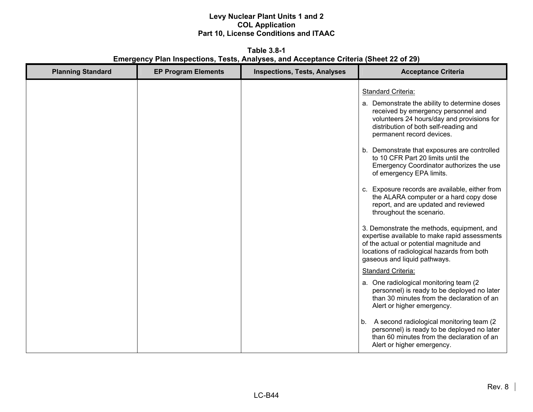**Table 3.8-1 Emergency Plan Inspections, Tests, Analyses, and Acceptance Criteria (Sheet 22 of 29)** 

| <b>Planning Standard</b> | <b>EP Program Elements</b> | <b>Inspections, Tests, Analyses</b> | <b>Acceptance Criteria</b>                                                                                                                                                                                                                                                                                                                                                                                                                                                                                                                                                                                                                                                                                                                                                                                                                                                                                                                                                                |
|--------------------------|----------------------------|-------------------------------------|-------------------------------------------------------------------------------------------------------------------------------------------------------------------------------------------------------------------------------------------------------------------------------------------------------------------------------------------------------------------------------------------------------------------------------------------------------------------------------------------------------------------------------------------------------------------------------------------------------------------------------------------------------------------------------------------------------------------------------------------------------------------------------------------------------------------------------------------------------------------------------------------------------------------------------------------------------------------------------------------|
|                          |                            |                                     | <b>Standard Criteria:</b><br>a. Demonstrate the ability to determine doses<br>received by emergency personnel and<br>volunteers 24 hours/day and provisions for<br>distribution of both self-reading and<br>permanent record devices.<br>b. Demonstrate that exposures are controlled<br>to 10 CFR Part 20 limits until the<br>Emergency Coordinator authorizes the use<br>of emergency EPA limits.<br>c. Exposure records are available, either from<br>the ALARA computer or a hard copy dose<br>report, and are updated and reviewed<br>throughout the scenario.<br>3. Demonstrate the methods, equipment, and<br>expertise available to make rapid assessments<br>of the actual or potential magnitude and<br>locations of radiological hazards from both<br>gaseous and liquid pathways.<br>Standard Criteria:<br>a. One radiological monitoring team (2)<br>personnel) is ready to be deployed no later<br>than 30 minutes from the declaration of an<br>Alert or higher emergency. |
|                          |                            |                                     | A second radiological monitoring team (2<br>b.<br>personnel) is ready to be deployed no later<br>than 60 minutes from the declaration of an<br>Alert or higher emergency.                                                                                                                                                                                                                                                                                                                                                                                                                                                                                                                                                                                                                                                                                                                                                                                                                 |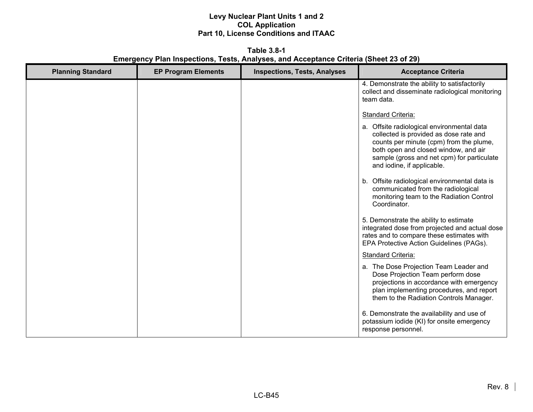**Table 3.8-1 Emergency Plan Inspections, Tests, Analyses, and Acceptance Criteria (Sheet 23 of 29)** 

| <b>Planning Standard</b> | <b>EP Program Elements</b> | <b>Inspections, Tests, Analyses</b> | <b>Acceptance Criteria</b>                                                                                                                                                                                                                          |
|--------------------------|----------------------------|-------------------------------------|-----------------------------------------------------------------------------------------------------------------------------------------------------------------------------------------------------------------------------------------------------|
|                          |                            |                                     | 4. Demonstrate the ability to satisfactorily<br>collect and disseminate radiological monitoring<br>team data.                                                                                                                                       |
|                          |                            |                                     | <b>Standard Criteria:</b>                                                                                                                                                                                                                           |
|                          |                            |                                     | a. Offsite radiological environmental data<br>collected is provided as dose rate and<br>counts per minute (cpm) from the plume,<br>both open and closed window, and air<br>sample (gross and net cpm) for particulate<br>and iodine, if applicable. |
|                          |                            |                                     | Offsite radiological environmental data is<br>b.<br>communicated from the radiological<br>monitoring team to the Radiation Control<br>Coordinator.                                                                                                  |
|                          |                            |                                     | 5. Demonstrate the ability to estimate<br>integrated dose from projected and actual dose<br>rates and to compare these estimates with<br>EPA Protective Action Guidelines (PAGs).                                                                   |
|                          |                            |                                     | <b>Standard Criteria:</b>                                                                                                                                                                                                                           |
|                          |                            |                                     | a. The Dose Projection Team Leader and<br>Dose Projection Team perform dose<br>projections in accordance with emergency<br>plan implementing procedures, and report<br>them to the Radiation Controls Manager.                                      |
|                          |                            |                                     | 6. Demonstrate the availability and use of<br>potassium iodide (KI) for onsite emergency<br>response personnel.                                                                                                                                     |

LC-B45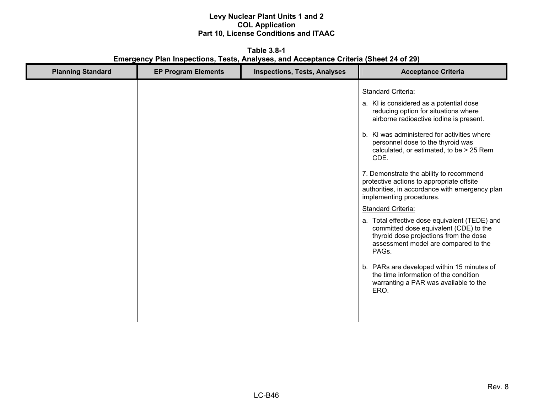**Table 3.8-1 Emergency Plan Inspections, Tests, Analyses, and Acceptance Criteria (Sheet 24 of 29)** 

| <b>Planning Standard</b> | <b>EP Program Elements</b> | <b>Inspections, Tests, Analyses</b> | <b>Acceptance Criteria</b>                                                                                                                                                                                                                                                                                                                                                                                                                                                                                                                                                                                                                                                                                                                                                                                                |
|--------------------------|----------------------------|-------------------------------------|---------------------------------------------------------------------------------------------------------------------------------------------------------------------------------------------------------------------------------------------------------------------------------------------------------------------------------------------------------------------------------------------------------------------------------------------------------------------------------------------------------------------------------------------------------------------------------------------------------------------------------------------------------------------------------------------------------------------------------------------------------------------------------------------------------------------------|
|                          |                            |                                     | <b>Standard Criteria:</b><br>a. KI is considered as a potential dose<br>reducing option for situations where<br>airborne radioactive iodine is present.<br>b. KI was administered for activities where<br>personnel dose to the thyroid was<br>calculated, or estimated, to be > 25 Rem<br>CDE.<br>7. Demonstrate the ability to recommend<br>protective actions to appropriate offsite<br>authorities, in accordance with emergency plan<br>implementing procedures.<br>Standard Criteria:<br>a. Total effective dose equivalent (TEDE) and<br>committed dose equivalent (CDE) to the<br>thyroid dose projections from the dose<br>assessment model are compared to the<br>PAGs.<br>b. PARs are developed within 15 minutes of<br>the time information of the condition<br>warranting a PAR was available to the<br>ERO. |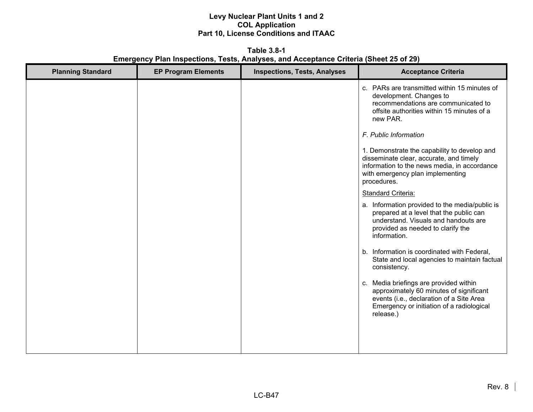**Table 3.8-1 Emergency Plan Inspections, Tests, Analyses, and Acceptance Criteria (Sheet 25 of 29)** 

| <b>Planning Standard</b> | <b>EP Program Elements</b> | <b>Inspections, Tests, Analyses</b> | <b>Acceptance Criteria</b>                                                                                                                                                                 |
|--------------------------|----------------------------|-------------------------------------|--------------------------------------------------------------------------------------------------------------------------------------------------------------------------------------------|
|                          |                            |                                     | c. PARs are transmitted within 15 minutes of<br>development. Changes to<br>recommendations are communicated to<br>offsite authorities within 15 minutes of a<br>new PAR.                   |
|                          |                            |                                     | F. Public Information                                                                                                                                                                      |
|                          |                            |                                     | 1. Demonstrate the capability to develop and<br>disseminate clear, accurate, and timely<br>information to the news media, in accordance<br>with emergency plan implementing<br>procedures. |
|                          |                            |                                     | <b>Standard Criteria:</b>                                                                                                                                                                  |
|                          |                            |                                     | a. Information provided to the media/public is<br>prepared at a level that the public can<br>understand. Visuals and handouts are<br>provided as needed to clarify the<br>information.     |
|                          |                            |                                     | b. Information is coordinated with Federal,<br>State and local agencies to maintain factual<br>consistency.                                                                                |
|                          |                            |                                     | c. Media briefings are provided within<br>approximately 60 minutes of significant<br>events (i.e., declaration of a Site Area<br>Emergency or initiation of a radiological<br>release.)    |
|                          |                            |                                     |                                                                                                                                                                                            |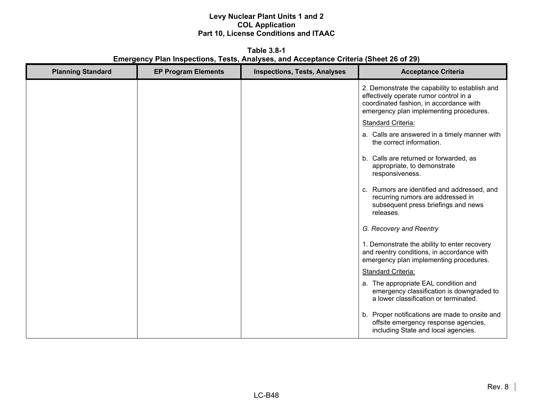**Table 3.8-1 Emergency Plan Inspections, Tests, Analyses, and Acceptance Criteria (Sheet 26 of 29)** 

| <b>Planning Standard</b> | <b>EP Program Elements</b> | <b>Inspections, Tests, Analyses</b> | <b>Acceptance Criteria</b>                                                                                                                                                     |
|--------------------------|----------------------------|-------------------------------------|--------------------------------------------------------------------------------------------------------------------------------------------------------------------------------|
|                          |                            |                                     | 2. Demonstrate the capability to establish and<br>effectively operate rumor control in a<br>coordinated fashion, in accordance with<br>emergency plan implementing procedures. |
|                          |                            |                                     | Standard Criteria:                                                                                                                                                             |
|                          |                            |                                     | a. Calls are answered in a timely manner with<br>the correct information.                                                                                                      |
|                          |                            |                                     | b. Calls are returned or forwarded, as<br>appropriate, to demonstrate<br>responsiveness.                                                                                       |
|                          |                            |                                     | c. Rumors are identified and addressed, and<br>recurring rumors are addressed in<br>subsequent press briefings and news<br>releases.                                           |
|                          |                            |                                     | G. Recovery and Reentry                                                                                                                                                        |
|                          |                            |                                     | 1. Demonstrate the ability to enter recovery<br>and reentry conditions, in accordance with<br>emergency plan implementing procedures.                                          |
|                          |                            |                                     | Standard Criteria:                                                                                                                                                             |
|                          |                            |                                     | a. The appropriate EAL condition and<br>emergency classification is downgraded to<br>a lower classification or terminated.                                                     |
|                          |                            |                                     | b. Proper notifications are made to onsite and<br>offsite emergency response agencies,<br>including State and local agencies.                                                  |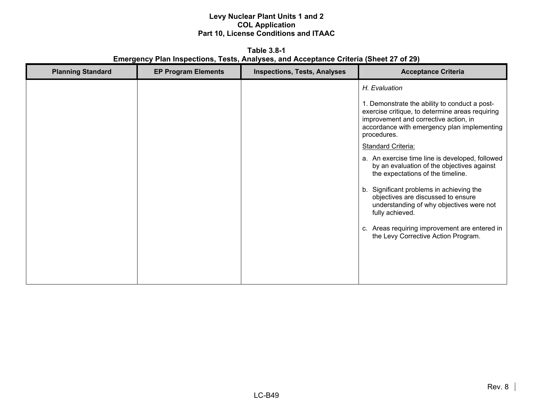**Table 3.8-1 Emergency Plan Inspections, Tests, Analyses, and Acceptance Criteria (Sheet 27 of 29)** 

| <b>Planning Standard</b> | <b>EP Program Elements</b> | <b>Inspections, Tests, Analyses</b> | <b>Acceptance Criteria</b>                                                                                                                       |
|--------------------------|----------------------------|-------------------------------------|--------------------------------------------------------------------------------------------------------------------------------------------------|
|                          |                            |                                     | H. Evaluation<br>1. Demonstrate the ability to conduct a post-<br>exercise critique, to determine areas requiring                                |
|                          |                            |                                     | improvement and corrective action, in<br>accordance with emergency plan implementing<br>procedures.                                              |
|                          |                            |                                     | <b>Standard Criteria:</b>                                                                                                                        |
|                          |                            |                                     | a. An exercise time line is developed, followed<br>by an evaluation of the objectives against<br>the expectations of the timeline.               |
|                          |                            |                                     | Significant problems in achieving the<br>b.<br>objectives are discussed to ensure<br>understanding of why objectives were not<br>fully achieved. |
|                          |                            |                                     | c. Areas requiring improvement are entered in<br>the Levy Corrective Action Program.                                                             |
|                          |                            |                                     |                                                                                                                                                  |
|                          |                            |                                     |                                                                                                                                                  |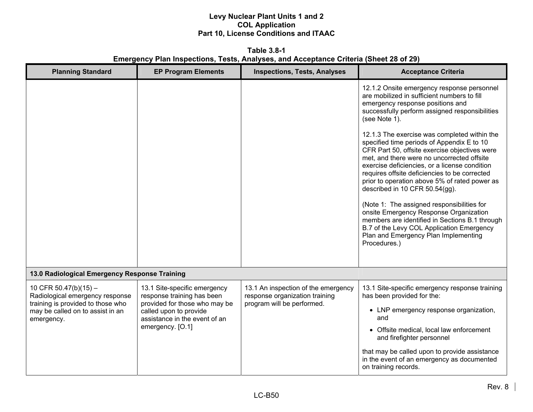**Table 3.8-1 Emergency Plan Inspections, Tests, Analyses, and Acceptance Criteria (Sheet 28 of 29)** 

| <b>Planning Standard</b>                                                                                                                          | <b>EP Program Elements</b>                                                                                                                                                 | <b>Inspections, Tests, Analyses</b>                                                                 | <b>Acceptance Criteria</b>                                                                                                                                                                                                                                                                                                                                                                                                                                                                                                                                                                                                    |
|---------------------------------------------------------------------------------------------------------------------------------------------------|----------------------------------------------------------------------------------------------------------------------------------------------------------------------------|-----------------------------------------------------------------------------------------------------|-------------------------------------------------------------------------------------------------------------------------------------------------------------------------------------------------------------------------------------------------------------------------------------------------------------------------------------------------------------------------------------------------------------------------------------------------------------------------------------------------------------------------------------------------------------------------------------------------------------------------------|
|                                                                                                                                                   |                                                                                                                                                                            |                                                                                                     | 12.1.2 Onsite emergency response personnel<br>are mobilized in sufficient numbers to fill<br>emergency response positions and<br>successfully perform assigned responsibilities<br>(see Note 1).                                                                                                                                                                                                                                                                                                                                                                                                                              |
|                                                                                                                                                   |                                                                                                                                                                            |                                                                                                     | 12.1.3 The exercise was completed within the<br>specified time periods of Appendix E to 10<br>CFR Part 50, offsite exercise objectives were<br>met, and there were no uncorrected offsite<br>exercise deficiencies, or a license condition<br>requires offsite deficiencies to be corrected<br>prior to operation above 5% of rated power as<br>described in 10 CFR 50.54(gg).<br>(Note 1: The assigned responsibilities for<br>onsite Emergency Response Organization<br>members are identified in Sections B.1 through<br>B.7 of the Levy COL Application Emergency<br>Plan and Emergency Plan Implementing<br>Procedures.) |
| 13.0 Radiological Emergency Response Training                                                                                                     |                                                                                                                                                                            |                                                                                                     |                                                                                                                                                                                                                                                                                                                                                                                                                                                                                                                                                                                                                               |
| 10 CFR 50.47(b)(15) $-$<br>Radiological emergency response<br>training is provided to those who<br>may be called on to assist in an<br>emergency. | 13.1 Site-specific emergency<br>response training has been<br>provided for those who may be<br>called upon to provide<br>assistance in the event of an<br>emergency. [O.1] | 13.1 An inspection of the emergency<br>response organization training<br>program will be performed. | 13.1 Site-specific emergency response training<br>has been provided for the:<br>• LNP emergency response organization,<br>and<br>• Offsite medical, local law enforcement                                                                                                                                                                                                                                                                                                                                                                                                                                                     |
|                                                                                                                                                   |                                                                                                                                                                            |                                                                                                     | and firefighter personnel<br>that may be called upon to provide assistance<br>in the event of an emergency as documented<br>on training records.                                                                                                                                                                                                                                                                                                                                                                                                                                                                              |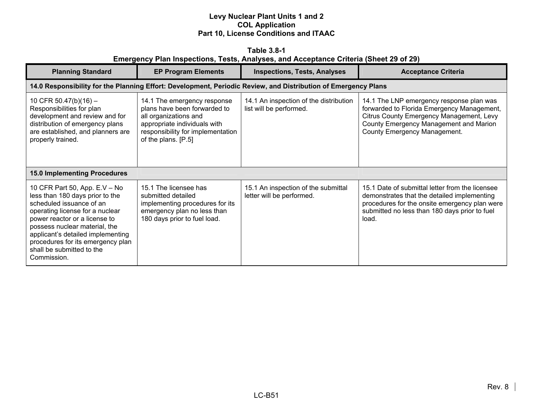|                                                                                       | Table 3.8-1 |  |  |  |
|---------------------------------------------------------------------------------------|-------------|--|--|--|
| Emergency Plan Inspections, Tests, Analyses, and Acceptance Criteria (Sheet 29 of 29) |             |  |  |  |

| <b>Planning Standard</b>                                                                                                                                                                                                                                                                                                | <b>EP Program Elements</b>                                                                                                                                                       | <b>Inspections, Tests, Analyses</b>                                                                            | <b>Acceptance Criteria</b>                                                                                                                                                                                   |
|-------------------------------------------------------------------------------------------------------------------------------------------------------------------------------------------------------------------------------------------------------------------------------------------------------------------------|----------------------------------------------------------------------------------------------------------------------------------------------------------------------------------|----------------------------------------------------------------------------------------------------------------|--------------------------------------------------------------------------------------------------------------------------------------------------------------------------------------------------------------|
|                                                                                                                                                                                                                                                                                                                         |                                                                                                                                                                                  | 14.0 Responsibility for the Planning Effort: Development, Periodic Review, and Distribution of Emergency Plans |                                                                                                                                                                                                              |
| 10 CFR 50.47(b)(16) -<br>Responsibilities for plan<br>development and review and for<br>distribution of emergency plans<br>are established, and planners are<br>properly trained.                                                                                                                                       | 14.1 The emergency response<br>plans have been forwarded to<br>all organizations and<br>appropriate individuals with<br>responsibility for implementation<br>of the plans. [P.5] | 14.1 An inspection of the distribution<br>list will be performed.                                              | 14.1 The LNP emergency response plan was<br>forwarded to Florida Emergency Management,<br>Citrus County Emergency Management, Levy<br>County Emergency Management and Marion<br>County Emergency Management. |
| <b>15.0 Implementing Procedures</b>                                                                                                                                                                                                                                                                                     |                                                                                                                                                                                  |                                                                                                                |                                                                                                                                                                                                              |
| 10 CFR Part 50, App. E.V - No<br>less than 180 days prior to the<br>scheduled issuance of an<br>operating license for a nuclear<br>power reactor or a license to<br>possess nuclear material, the<br>applicant's detailed implementing<br>procedures for its emergency plan<br>shall be submitted to the<br>Commission. | 15.1 The licensee has<br>submitted detailed<br>implementing procedures for its<br>emergency plan no less than<br>180 days prior to fuel load.                                    | 15.1 An inspection of the submittal<br>letter will be performed.                                               | 15.1 Date of submittal letter from the licensee<br>demonstrates that the detailed implementing<br>procedures for the onsite emergency plan were<br>submitted no less than 180 days prior to fuel<br>load.    |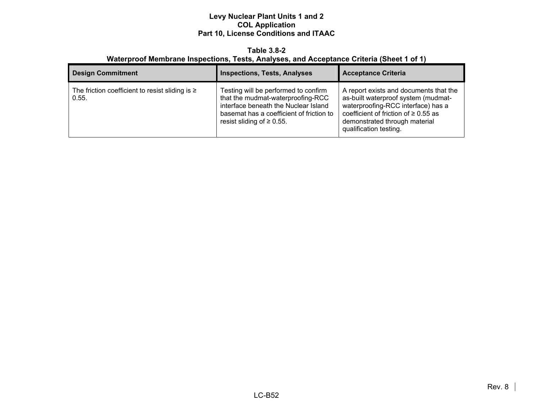#### **Table 3.8-2 Waterproof Membrane Inspections, Tests, Analyses, and Acceptance Criteria (Sheet 1 of 1)**

| <b>Design Commitment</b>                                      | <b>Inspections, Tests, Analyses</b>                                                                                                                                                              | <b>Acceptance Criteria</b>                                                                                                                                                                                                  |
|---------------------------------------------------------------|--------------------------------------------------------------------------------------------------------------------------------------------------------------------------------------------------|-----------------------------------------------------------------------------------------------------------------------------------------------------------------------------------------------------------------------------|
| The friction coefficient to resist sliding is $\geq$<br>0.55. | Testing will be performed to confirm<br>that the mudmat-waterproofing-RCC<br>interface beneath the Nuclear Island<br>basemat has a coefficient of friction to<br>resist sliding of $\geq 0.55$ . | A report exists and documents that the<br>as-built waterproof system (mudmat-<br>waterproofing-RCC interface) has a<br>coefficient of friction of $\geq 0.55$ as<br>demonstrated through material<br>qualification testing. |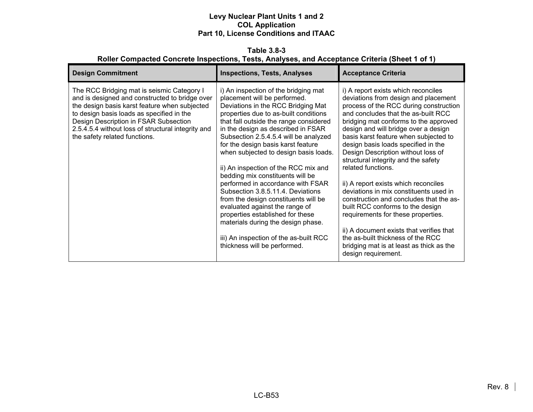**Table 3.8-3 Roller Compacted Concrete Inspections, Tests, Analyses, and Acceptance Criteria (Sheet 1 of 1)** 

| <b>Design Commitment</b>                                                                                                                                                                                                                                                                                                   | <b>Inspections, Tests, Analyses</b>                                                                                                                                                                                                                                                                                                                                                                                                                                                                                                                                                                                                                                                                                                             | <b>Acceptance Criteria</b>                                                                                                                                                                                                                                                                                                                                                                                                                                                                                                                                                                                                                                                                                                                                                                  |
|----------------------------------------------------------------------------------------------------------------------------------------------------------------------------------------------------------------------------------------------------------------------------------------------------------------------------|-------------------------------------------------------------------------------------------------------------------------------------------------------------------------------------------------------------------------------------------------------------------------------------------------------------------------------------------------------------------------------------------------------------------------------------------------------------------------------------------------------------------------------------------------------------------------------------------------------------------------------------------------------------------------------------------------------------------------------------------------|---------------------------------------------------------------------------------------------------------------------------------------------------------------------------------------------------------------------------------------------------------------------------------------------------------------------------------------------------------------------------------------------------------------------------------------------------------------------------------------------------------------------------------------------------------------------------------------------------------------------------------------------------------------------------------------------------------------------------------------------------------------------------------------------|
| The RCC Bridging mat is seismic Category I<br>and is designed and constructed to bridge over<br>the design basis karst feature when subjected<br>to design basis loads as specified in the<br>Design Description in FSAR Subsection<br>2.5.4.5.4 without loss of structural integrity and<br>the safety related functions. | i) An inspection of the bridging mat<br>placement will be performed.<br>Deviations in the RCC Bridging Mat<br>properties due to as-built conditions<br>that fall outside the range considered<br>in the design as described in FSAR<br>Subsection 2.5.4.5.4 will be analyzed<br>for the design basis karst feature<br>when subjected to design basis loads.<br>ii) An inspection of the RCC mix and<br>bedding mix constituents will be<br>performed in accordance with FSAR<br>Subsection 3.8.5.11.4. Deviations<br>from the design constituents will be<br>evaluated against the range of<br>properties established for these<br>materials during the design phase.<br>iii) An inspection of the as-built RCC<br>thickness will be performed. | i) A report exists which reconciles<br>deviations from design and placement<br>process of the RCC during construction<br>and concludes that the as-built RCC<br>bridging mat conforms to the approved<br>design and will bridge over a design<br>basis karst feature when subjected to<br>design basis loads specified in the<br>Design Description without loss of<br>structural integrity and the safety<br>related functions.<br>ii) A report exists which reconciles<br>deviations in mix constituents used in<br>construction and concludes that the as-<br>built RCC conforms to the design<br>requirements for these properties.<br>ii) A document exists that verifies that<br>the as-built thickness of the RCC<br>bridging mat is at least as thick as the<br>design requirement. |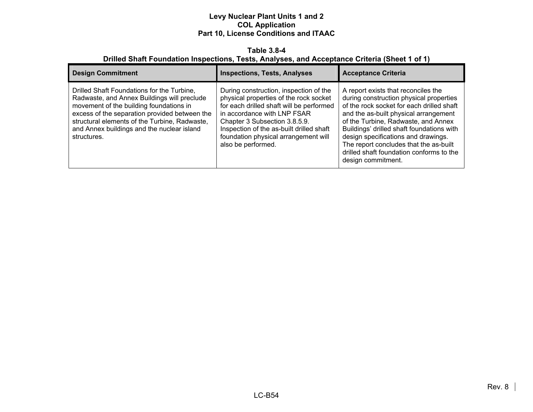#### **Table 3.8-4 Drilled Shaft Foundation Inspections, Tests, Analyses, and Acceptance Criteria (Sheet 1 of 1)**

| <b>Design Commitment</b>                                                                                                                                                                                                                                                                            | <b>Inspections, Tests, Analyses</b>                                                                                                                                                                                                                                                                    | <b>Acceptance Criteria</b>                                                                                                                                                                                                                                                                                                                                                                                  |
|-----------------------------------------------------------------------------------------------------------------------------------------------------------------------------------------------------------------------------------------------------------------------------------------------------|--------------------------------------------------------------------------------------------------------------------------------------------------------------------------------------------------------------------------------------------------------------------------------------------------------|-------------------------------------------------------------------------------------------------------------------------------------------------------------------------------------------------------------------------------------------------------------------------------------------------------------------------------------------------------------------------------------------------------------|
| Drilled Shaft Foundations for the Turbine,<br>Radwaste, and Annex Buildings will preclude<br>movement of the building foundations in<br>excess of the separation provided between the<br>structural elements of the Turbine, Radwaste,<br>and Annex buildings and the nuclear island<br>structures. | During construction, inspection of the<br>physical properties of the rock socket<br>for each drilled shaft will be performed<br>in accordance with LNP FSAR<br>Chapter 3 Subsection 3.8.5.9.<br>Inspection of the as-built drilled shaft<br>foundation physical arrangement will<br>also be performed. | A report exists that reconciles the<br>during construction physical properties<br>of the rock socket for each drilled shaft<br>and the as-built physical arrangement<br>of the Turbine, Radwaste, and Annex<br>Buildings' drilled shaft foundations with<br>design specifications and drawings.<br>The report concludes that the as-built<br>drilled shaft foundation conforms to the<br>design commitment. |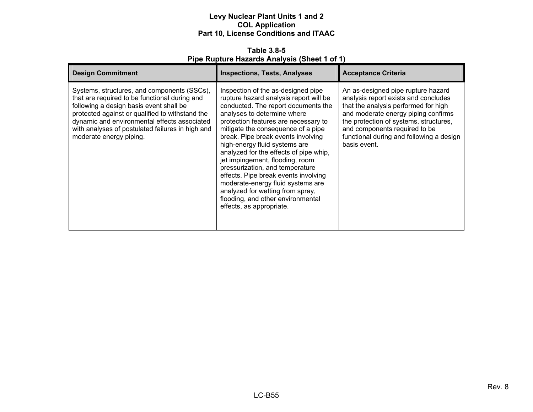**Table 3.8-5 Pipe Rupture Hazards Analysis (Sheet 1 of 1)** 

| <b>Design Commitment</b>                                                                                                                                                                                                                                                                                                  | <b>Inspections, Tests, Analyses</b>                                                                                                                                                                                                                                                                                                                                                                                                                                                                                                                                                                       | <b>Acceptance Criteria</b>                                                                                                                                                                                                                                                                       |
|---------------------------------------------------------------------------------------------------------------------------------------------------------------------------------------------------------------------------------------------------------------------------------------------------------------------------|-----------------------------------------------------------------------------------------------------------------------------------------------------------------------------------------------------------------------------------------------------------------------------------------------------------------------------------------------------------------------------------------------------------------------------------------------------------------------------------------------------------------------------------------------------------------------------------------------------------|--------------------------------------------------------------------------------------------------------------------------------------------------------------------------------------------------------------------------------------------------------------------------------------------------|
| Systems, structures, and components (SSCs),<br>that are required to be functional during and<br>following a design basis event shall be<br>protected against or qualified to withstand the<br>dynamic and environmental effects associated<br>with analyses of postulated failures in high and<br>moderate energy piping. | Inspection of the as-designed pipe<br>rupture hazard analysis report will be<br>conducted. The report documents the<br>analyses to determine where<br>protection features are necessary to<br>mitigate the consequence of a pipe<br>break. Pipe break events involving<br>high-energy fluid systems are<br>analyzed for the effects of pipe whip,<br>jet impingement, flooding, room<br>pressurization, and temperature<br>effects. Pipe break events involving<br>moderate-energy fluid systems are<br>analyzed for wetting from spray,<br>flooding, and other environmental<br>effects, as appropriate. | An as-designed pipe rupture hazard<br>analysis report exists and concludes<br>that the analysis performed for high<br>and moderate energy piping confirms<br>the protection of systems, structures,<br>and components required to be<br>functional during and following a design<br>basis event. |